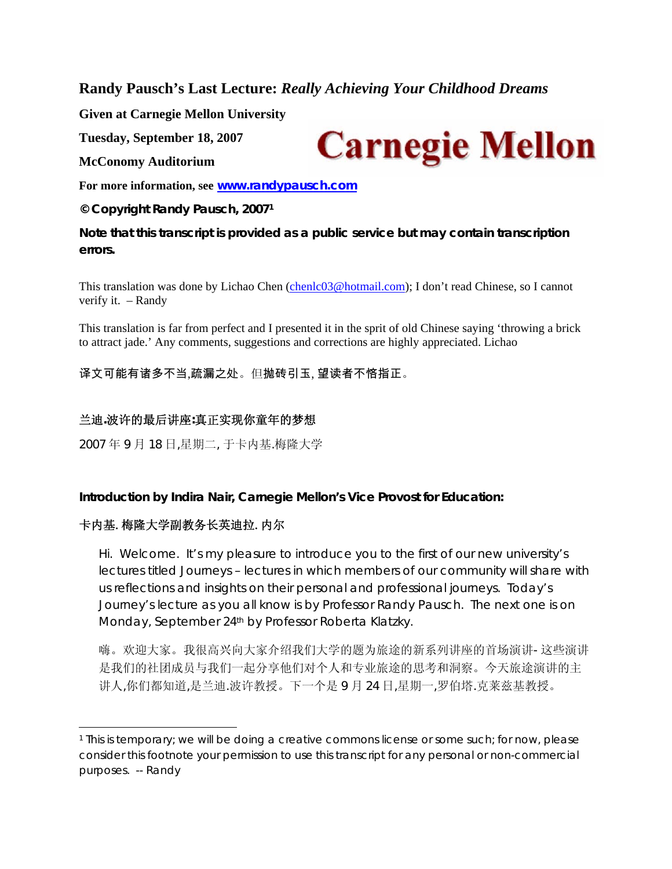**Randy Pausch's Last Lecture:** *Really Achieving Your Childhood Dreams* 

**Given at Carnegie Mellon University** 

**Tuesday, September 18, 2007** 

**McConomy Auditorium** 

**For more information, see www.randypausch.com**

**© Copyright Randy Pausch, 20071**

**Note that this transcript is provided as a public service but may contain transcription errors.** 

This translation was done by Lichao Chen (chenlc03@hotmail.com); I don't read Chinese, so I cannot verify it. – Randy

This translation is far from perfect and I presented it in the sprit of old Chinese saying 'throwing a brick to attract jade.' Any comments, suggestions and corrections are highly appreciated. Lichao

译文可能有诸多不当,疏漏之处。但抛砖引玉, 望读者不悋指正。

### 兰迪**.**波许的最后讲座**:**真正实现你童年的梦想

2007 年 9 月 18 日,星期二, 于卡内基.梅隆大学

**Introduction by Indira Nair, Carnegie Mellon's Vice Provost for Education:** 

# 卡内基.梅隆大学副教务长英迪拉.内尔

Hi. Welcome. It's my pleasure to introduce you to the first of our new university's lectures titled *Journeys* – lectures in which members of our community will share with us reflections and insights on their personal and professional journeys. Today's Journey's lecture as you all know is by Professor Randy Pausch. The next one is on Monday, September 24th by Professor Roberta Klatzky.

嗨。欢迎大家。我很高兴向大家介绍我们大学的题为旅途的新系列讲座的首场演讲- 这些演讲 是我们的社团成员与我们一起分享他们对个人和专业旅途的思考和洞察。今天旅途演讲的主 讲人,你们都知道,是兰迪.波许教授。下一个是 9 月 24 日,星期一,罗伯塔.克莱兹基教授。



<sup>1</sup> This is temporary; we will be doing a creative commons license or some such; for now, please consider this footnote your permission to use this transcript for any personal or non-commercial purposes. -- Randy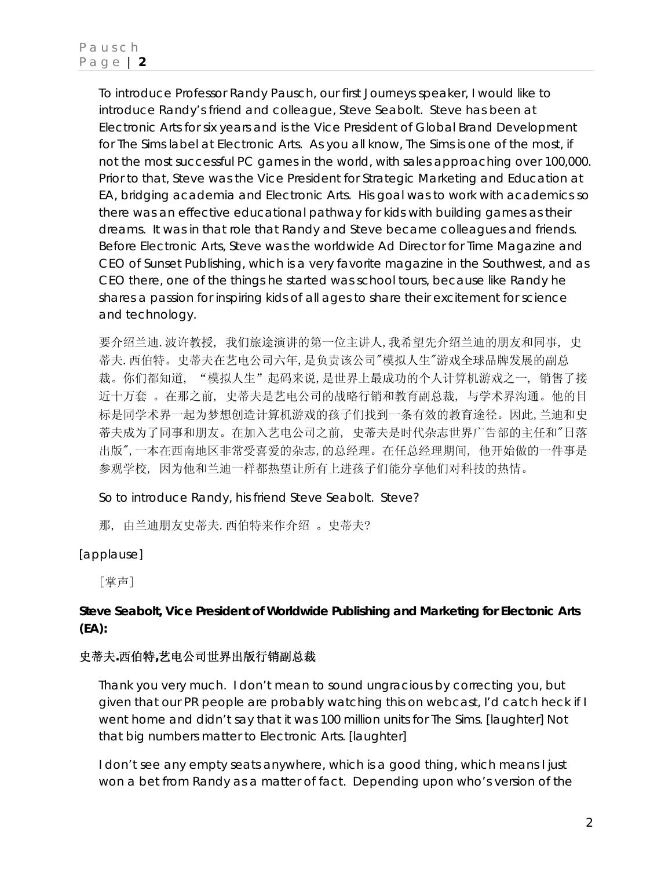To introduce Professor Randy Pausch, our first Journeys speaker, I would like to introduce Randy's friend and colleague, Steve Seabolt. Steve has been at Electronic Arts for six years and is the Vice President of Global Brand Development for *The Sims* label at Electronic Arts. As you all know, *The Sims* is one of the most, if not the most successful PC games in the world, with sales approaching over 100,000. Prior to that, Steve was the Vice President for Strategic Marketing and Education at EA, bridging academia and Electronic Arts. His goal was to work with academics so there was an effective educational pathway for kids with building games as their dreams. It was in that role that Randy and Steve became colleagues and friends. Before Electronic Arts, Steve was the worldwide Ad Director for Time Magazine and CEO of Sunset Publishing, which is a very favorite magazine in the Southwest, and as CEO there, one of the things he started was school tours, because like Randy he shares a passion for inspiring kids of all ages to share their excitement for science and technology.

要介绍兰迪.波许教授, 我们旅途演讲的第一位主讲人,我希望先介绍兰迪的朋友和同事, 史 蒂夫.西伯特。史蒂夫在艺电公司六年,是负责该公司"模拟人生"游戏全球品牌发展的副总 裁。你们都知道, "模拟人生"起码来说,是世界上最成功的个人计算机游戏之一, 销售了接 近十万套 。在那之前, 史蒂夫是艺电公司的战略行销和教育副总裁, 与学术界沟通。他的目 标是同学术界一起为梦想创造计算机游戏的孩子们找到一条有效的教育途径。因此,兰迪和史 蒂夫成为了同事和朋友。在加入艺电公司之前, 史蒂夫是时代杂志世界广告部的主任和"日落 出版",一本在西南地区非常受喜爱的杂志,的总经理。在任总经理期间, 他开始做的一件事是 参观学校, 因为他和兰迪一样都热望让所有上进孩子们能分享他们对科技的热情。

So to introduce Randy, his friend Steve Seabolt. Steve?

那, 由兰迪朋友史蒂夫.西伯特来作介绍 。史蒂夫?

[applause]

[掌声]

# **Steve Seabolt, Vice President of Worldwide Publishing and Marketing for Electonic Arts (EA):**

### 史蒂夫**.**西伯特**,**艺电公司世界出版行销副总裁

Thank you very much. I don't mean to sound ungracious by correcting you, but given that our PR people are probably watching this on webcast, I'd catch heck if I went home and didn't say that it was 100 million units for *The Sims*. [laughter] Not that big numbers matter to Electronic Arts. [laughter]

I don't see any empty seats anywhere, which is a good thing, which means I just won a bet from Randy as a matter of fact. Depending upon who's version of the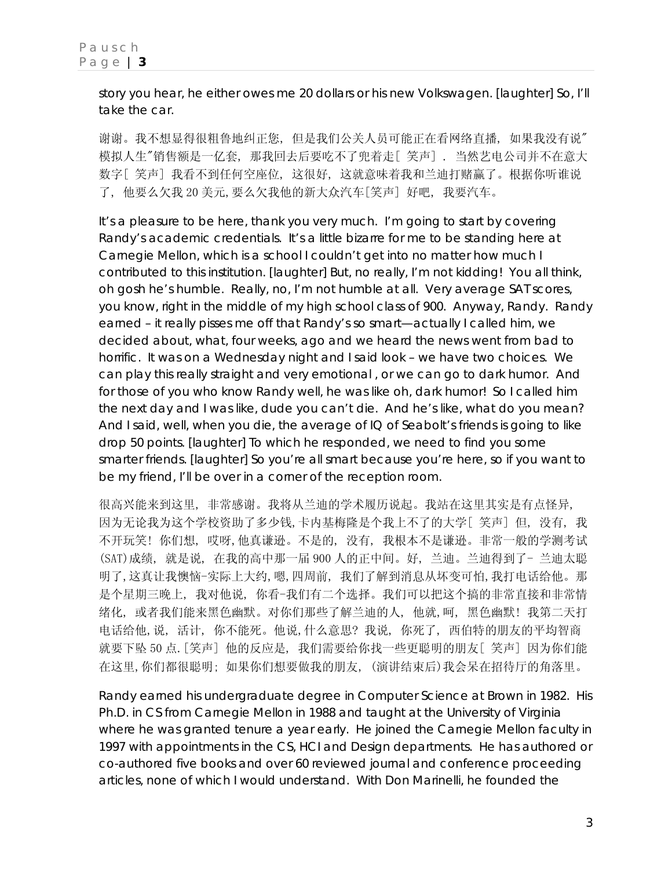story you hear, he either owes me 20 dollars or his new Volkswagen. [laughter] So, I'll take the car.

谢谢。我不想显得很粗鲁地纠正您, 但是我们公关人员可能正在看网络直播, 如果我没有说" 模拟人生"销售额是一亿套, 那我回去后要吃不了兜着走[ 笑声] . 当然艺电公司并不在意大 数字[ 笑声] 我看不到任何空座位, 这很好, 这就意味着我和兰迪打赌赢了。根据你听谁说 了, 他要么欠我 20 美元,要么欠我他的新大众汽车[笑声] 好吧, 我要汽车。

It's a pleasure to be here, thank you very much. I'm going to start by covering Randy's academic credentials. It's a little bizarre for me to be standing here at Carnegie Mellon, which is a school I couldn't get into no matter how much I contributed to this institution. [laughter] But, no really, I'm not kidding! You all think, oh gosh he's humble. Really, no, I'm not humble at all. Very average SAT scores, you know, right in the middle of my high school class of 900. Anyway, Randy. Randy earned – it really pisses me off that Randy's so smart—actually I called him, we decided about, what, four weeks, ago and we heard the news went from bad to horrific. It was on a Wednesday night and I said look – we have two choices. We can play this really straight and very emotional , or we can go to dark humor. And for those of you who know Randy well, he was like oh, dark humor! So I called him the next day and I was like, *dude you can't die*. And he's like, *what do you mean?* And I said, *well, when you die, the average of IQ of Seabolt's friends is going to like drop 50 points.* [laughter] To which he responded, *we need to find you some smarter friends*. [laughter] So you're all smart because you're here, so if you want to be my friend, I'll be over in a corner of the reception room.

很高兴能来到这里, 非常感谢。我将从兰迪的学术履历说起。我站在这里其实是有点怪异, 因为无论我为这个学校资助了多少钱,卡内基梅隆是个我上不了的大学[ 笑声] 但, 没有, 我 不开玩笑! 你们想, 哎呀,他真谦逊。不是的, 没有, 我根本不是谦逊。非常一般的学测考试 (SAT)成绩, 就是说, 在我的高中那一届 900 人的正中间。好, 兰迪。兰迪得到了- 兰迪太聪 明了,这真让我懊恼-实际上大约,嗯,四周前, 我们了解到消息从坏变可怕,我打电话给他。那 是个星期三晚上, 我对他说, 你看-我们有二个选择。我们可以把这个搞的非常直接和非常情 绪化, 或者我们能来黑色幽默。对你们那些了解兰迪的人, 他就,呵, 黑色幽默! 我第二天打 电话给他,说, 活计, 你不能死。他说,什么意思? 我说, 你死了, 西伯特的朋友的平均智商 就要下坠 50 点.[笑声] 他的反应是, 我们需要给你找一些更聪明的朋友[ 笑声] 因为你们能 在这里,你们都很聪明; 如果你们想要做我的朋友, (演讲结束后)我会呆在招待厅的角落里。

Randy earned his undergraduate degree in Computer Science at Brown in 1982. His Ph.D. in CS from Carnegie Mellon in 1988 and taught at the University of Virginia where he was granted tenure a year early. He joined the Carnegie Mellon faculty in 1997 with appointments in the CS, HCI and Design departments. He has authored or co-authored five books and over 60 reviewed journal and conference proceeding articles, none of which I would understand. With Don Marinelli, he founded the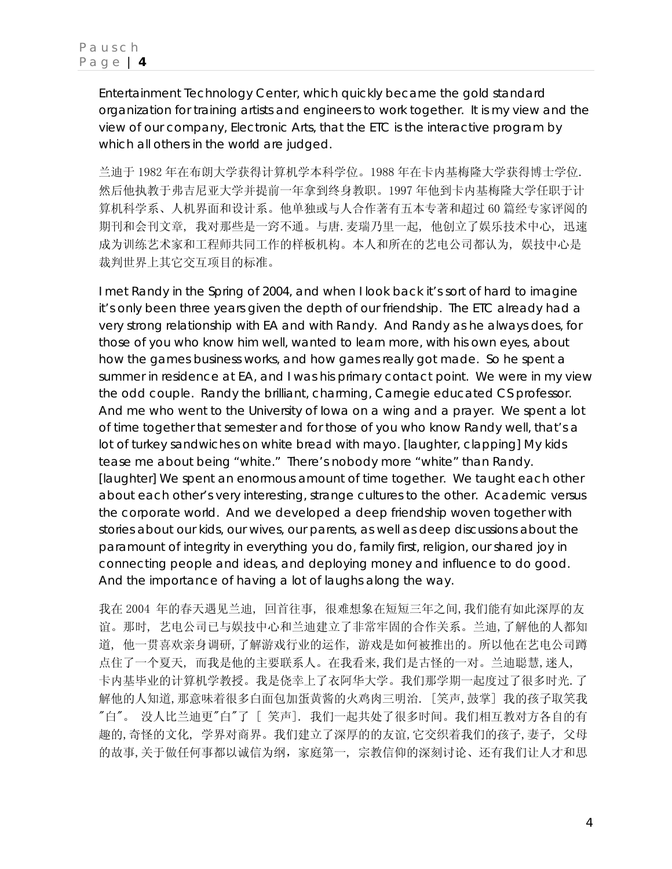Entertainment Technology Center, which quickly became the gold standard organization for training artists and engineers to work together. It is my view and the view of our company, Electronic Arts, that the ETC is the interactive program by which all others in the world are judged.

兰迪于 1982 年在布朗大学获得计算机学本科学位。1988 年在卡内基梅隆大学获得博士学位. 然后他执教于弗吉尼亚大学并提前一年拿到终身教职。1997 年他到卡内基梅隆大学任职于计 算机科学系、人机界面和设计系。他单独或与人合作著有五本专著和超过 60 篇经专家评阅的 期刊和会刊文章, 我对那些是一窍不通。与唐.麦瑞乃里一起, 他创立了娱乐技术中心, 迅速 成为训练艺术家和工程师共同工作的样板机构。本人和所在的艺电公司都认为, 娱技中心是 裁判世界上其它交互项目的标准。

I met Randy in the Spring of 2004, and when I look back it's sort of hard to imagine it's only been three years given the depth of our friendship. The ETC already had a very strong relationship with EA and with Randy. And Randy as he always does, for those of you who know him well, wanted to learn more, with his own eyes, about how the games business works, and how games really got made. So he spent a summer in residence at EA, and I was his primary contact point. We were in my view the odd couple. Randy the brilliant, charming, Carnegie educated CS professor. And me who went to the University of Iowa on a wing and a prayer. We spent a lot of time together that semester and for those of you who know Randy well, that's a lot of turkey sandwiches on white bread with mayo. [laughter, clapping] My kids tease me about being "white." There's nobody more "white" than Randy. [laughter] We spent an enormous amount of time together. We taught each other about each other's very interesting, strange cultures to the other. Academic versus the corporate world. And we developed a deep friendship woven together with stories about our kids, our wives, our parents, as well as deep discussions about the paramount of integrity in everything you do, family first, religion, our shared joy in connecting people and ideas, and deploying money and influence to do good. And the importance of having a lot of laughs along the way.

我在 2004 年的春天遇见兰迪, 回首往事, 很难想象在短短三年之间,我们能有如此深厚的友 谊。那时, 艺电公司已与娱技中心和兰迪建立了非常牢固的合作关系。兰迪,了解他的人都知 道, 他一贯喜欢亲身调研,了解游戏行业的运作, 游戏是如何被推出的。所以他在艺电公司蹲 点住了一个夏天, 而我是他的主要联系人。在我看来,我们是古怪的一对。兰迪聪慧,迷人, 卡内基毕业的计算机学教授。我是侥幸上了衣阿华大学。我们那学期一起度过了很多时光.了 解他的人知道,那意味着很多白面包加蛋黄酱的火鸡肉三明治. [笑声,鼓掌] 我的孩子取笑我 "白"。 没人比兰迪更"白"了 [ 笑声]. 我们一起共处了很多时间。我们相互教对方各自的有 趣的,奇怪的文化, 学界对商界。我们建立了深厚的的友谊,它交织着我们的孩子,妻子, 父母 的故事,关于做任何事都以诚信为纲,家庭第一, 宗教信仰的深刻讨论、还有我们让人才和思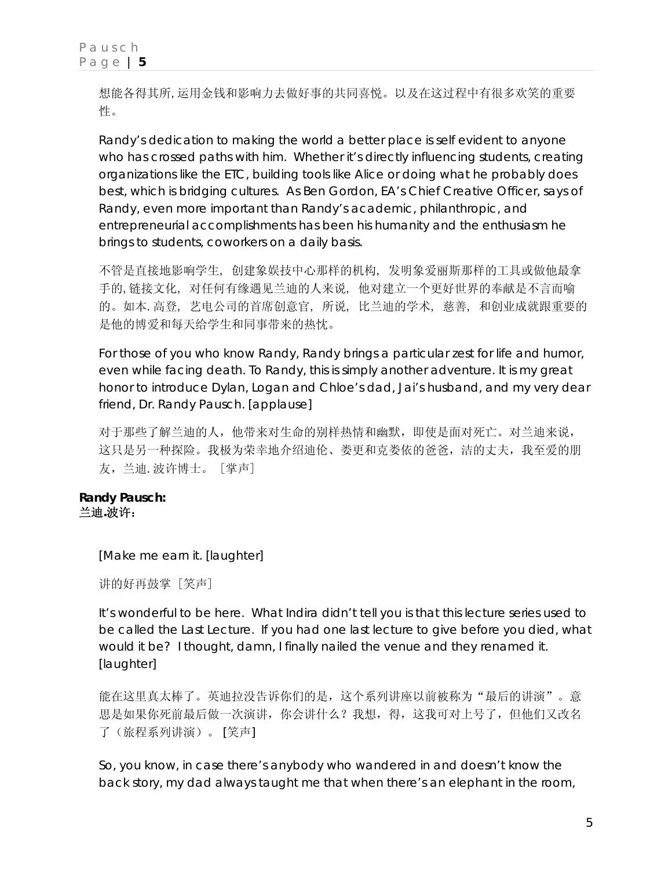想能各得其所,运用金钱和影响力去做好事的共同喜悦。以及在这过程中有很多欢笑的重要 性。

Randy's dedication to making the world a better place is self evident to anyone who has crossed paths with him. Whether it's directly influencing students, creating organizations like the ETC, building tools like Alice or doing what he probably does best, which is bridging cultures. As Ben Gordon, EA's Chief Creative Officer, says of Randy, *even more important than Randy's academic, philanthropic, and entrepreneurial accomplishments has been his humanity and the enthusiasm he brings to students, coworkers on a daily basis.*

不管是直接地影响学生, 创建象娱技中心那样的机构, 发明象爱丽斯那样的工具或做他最拿 手的,链接文化, 对任何有缘遇见兰迪的人来说, 他对建立一个更好世界的奉献是不言而喻 的。如本.高登, 艺电公司的首席创意官, 所说, 比兰迪的学术, 慈善, 和创业成就跟重要的 是他的博爱和每天给学生和同事带来的热忱。

For those of you who know Randy, Randy brings a particular zest for life and humor, even while facing death. To Randy, this is simply another adventure. It is my great honor to introduce Dylan, Logan and Chloe's dad, Jai's husband, and my very dear friend, Dr. Randy Pausch. [applause]

对于那些了解兰迪的人,他带来对生命的别样热情和幽默,即使是面对死亡。对兰迪来说, 这只是另一种探险。我极为荣幸地介绍迪伦、娄更和克娄依的爸爸,洁的丈夫,我至爱的朋 友,兰迪.波许博士。 [掌声]

#### **Randy Pausch:**  兰迪**.**波许:

[Make me earn it. [laughter]

讲的好再鼓掌 [笑声]

It's wonderful to be here. What Indira didn't tell you is that this lecture series used to be called the Last Lecture. If you had one last lecture to give before you died, what would it be? I thought, damn, I finally nailed the venue and they renamed it. [laughter]

能在这里真太棒了。英迪拉没告诉你们的是,这个系列讲座以前被称为"最后的讲演"。意 思是如果你死前最后做一次演讲,你会讲什么?我想,得,这我可对上号了,但他们又改名 了(旅程系列讲演)。 [笑声]

So, you know, in case there's anybody who wandered in and doesn't know the back story, my dad always taught me that when there's an elephant in the room,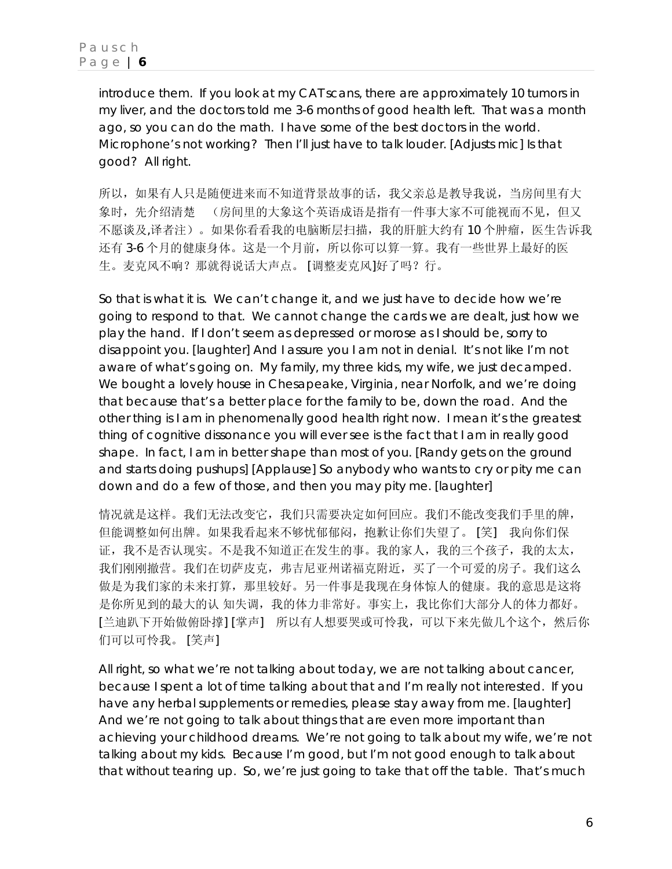introduce them. If you look at my CAT scans, there are approximately 10 tumors in my liver, and the doctors told me 3-6 months of good health left. That was a month ago, so you can do the math. I have some of the best doctors in the world. Microphone's not working? Then I'll just have to talk louder. [Adjusts mic] Is that good? All right.

所以, 如果有人只是随便进来而不知道背景故事的话, 我父亲总是教导我说, 当房间里有大 象时,先介绍清楚 (房间里的大象这个英语成语是指有一件事大家不可能视而不见,但又 不愿谈及,译者注)。如果你看看我的电脑断层扫描,我的肝脏大约有 10 个肿瘤,医生告诉我 还有 3-6 个月的健康身体。这是一个月前,所以你可以算一算。我有一些世界上最好的医 生。麦克风不响?那就得说话大声点。 [调整麦克风]好了吗?行。

So that is what it is. We can't change it, and we just have to decide how we're going to respond to that. We cannot change the cards we are dealt, just how we play the hand. If I don't seem as depressed or morose as I should be, sorry to disappoint you. [laughter] And I assure you I am not in denial. It's not like I'm not aware of what's going on. My family, my three kids, my wife, we just decamped. We bought a lovely house in Chesapeake, Virginia, near Norfolk, and we're doing that because that's a better place for the family to be, down the road. And the other thing is I am in phenomenally good health right now. I mean it's the greatest thing of cognitive dissonance you will ever see is the fact that I am in really good shape. In fact, I am in better shape than most of you. [Randy gets on the ground and starts doing pushups] [Applause] So anybody who wants to cry or pity me can down and do a few of those, and then you may pity me. [laughter]

情况就是这样。我们无法改变它,我们只需要决定如何回应。我们不能改变我们手里的牌, 但能调整如何出牌。如果我看起来不够忧郁郁闷,抱歉让你们失望了。 [笑] 我向你们保 证,我不是否认现实。不是我不知道正在发生的事。我的家人,我的三个孩子,我的太太, 我们刚刚撤营。我们在切萨皮克,弗吉尼亚州诺福克附近,买了一个可爱的房子。我们这么 做是为我们家的未来打算,那里较好。另一件事是我现在身体惊人的健康。我的意思是这将 是你所见到的最大的认 知失调,我的体力非常好。事实上,我比你们大部分人的体力都好。 [兰迪趴下开始做俯卧撑] [掌声] 所以有人想要哭或可怜我,可以下来先做几个这个,然后你 们可以可怜我。 [笑声]

All right, so what we're not talking about today, we are not talking about cancer, because I spent a lot of time talking about that and I'm really not interested. If you have any herbal supplements or remedies, please stay away from me. [laughter] And we're not going to talk about things that are even more important than achieving your childhood dreams. We're not going to talk about my wife, we're not talking about my kids. Because I'm good, but I'm not good enough to talk about that without tearing up. So, we're just going to take that off the table. That's much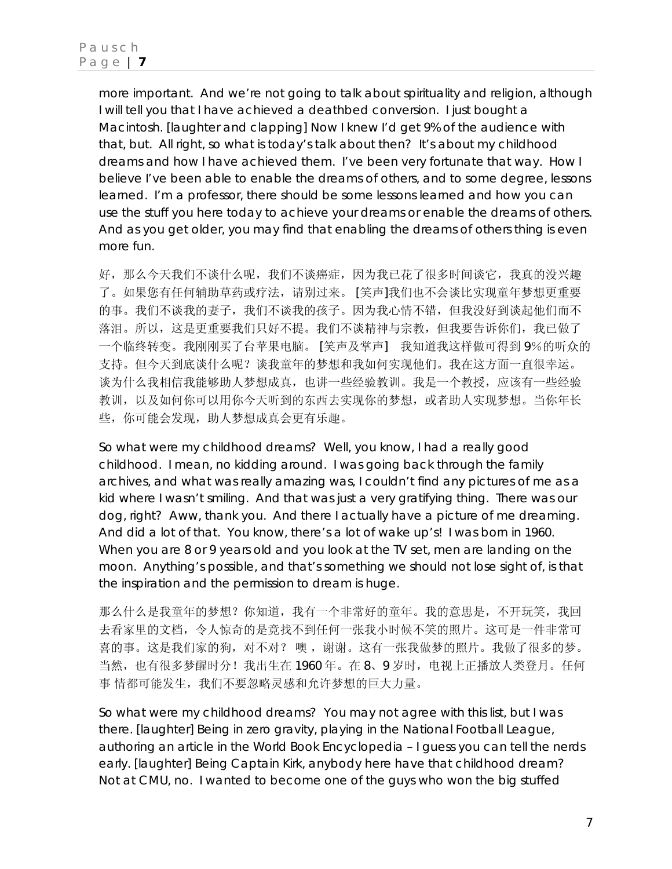more important. And we're not going to talk about spirituality and religion, although I will tell you that I have achieved a deathbed conversion. I just bought a Macintosh. [laughter and clapping] Now I knew I'd get 9% of the audience with that, but. All right, so what is today's talk about then? It's about my childhood dreams and how I have achieved them. I've been very fortunate that way. How I believe I've been able to enable the dreams of others, and to some degree, lessons learned. I'm a professor, there should be some lessons learned and how you can use the stuff you here today to achieve your dreams or enable the dreams of others. And as you get older, you may find that enabling the dreams of others thing is even more fun.

好,那么今天我们不谈什么呢,我们不谈癌症,因为我已花了很多时间谈它,我真的没兴趣 了。如果您有任何辅助草药或疗法,请别过来。 [笑声]我们也不会谈比实现童年梦想更重要 的事。我们不谈我的妻子,我们不谈我的孩子。因为我心情不错,但我没好到谈起他们而不 落泪。所以,这是更重要我们只好不提。我们不谈精神与宗教,但我要告诉你们,我已做了 一个临终转变。我刚刚买了台苹果电脑。 [笑声及掌声] 我知道我这样做可得到 9%的听众的 支持。但今天到底谈什么呢?谈我童年的梦想和我如何实现他们。我在这方面一直很幸运。 谈为什么我相信我能够助人梦想成真,也讲一些经验教训。我是一个教授,应该有一些经验 教训,以及如何你可以用你今天听到的东西去实现你的梦想, 或者助人实现梦想。当你年长 些,你可能会发现,助人梦想成真会更有乐趣。

So what were my childhood dreams? Well, you know, I had a really good childhood. I mean, no kidding around. I was going back through the family archives, and what was really amazing was, I couldn't find any pictures of me as a kid where I wasn't smiling. And that was just a very gratifying thing. There was our dog, right? Aww, thank you. And there I actually have a picture of me dreaming. And did a lot of that. You know, there's a lot of *wake up's!* I was born in 1960. When you are 8 or 9 years old and you look at the TV set, men are landing on the moon. Anything's possible, and that's something we should not lose sight of, is that the inspiration and the permission to dream is huge.

那么什么是我童年的梦想?你知道,我有一个非常好的童年。我的意思是,不开玩笑,我回 去看家里的文档,令人惊奇的是竟找不到任何一张我小时候不笑的照片。这可是一件非常可 喜的事。这是我们家的狗,对不对? 噢 ,谢谢。这有一张我做梦的照片。我做了很多的梦。 当然,也有很多梦醒时分!我出生在 1960 年。在 8、9 岁时,电视上正播放人类登月。任何 事情都可能发生,我们不要忽略灵感和允许梦想的巨大力量。

So what were my childhood dreams? You may not agree with this list, but I was there. [laughter] Being in zero gravity, playing in the National Football League, authoring an article in the World Book Encyclopedia – I guess you can tell the nerds early. [laughter] Being Captain Kirk, anybody here have that childhood dream? Not at CMU, no. I wanted to become one of the guys who won the big stuffed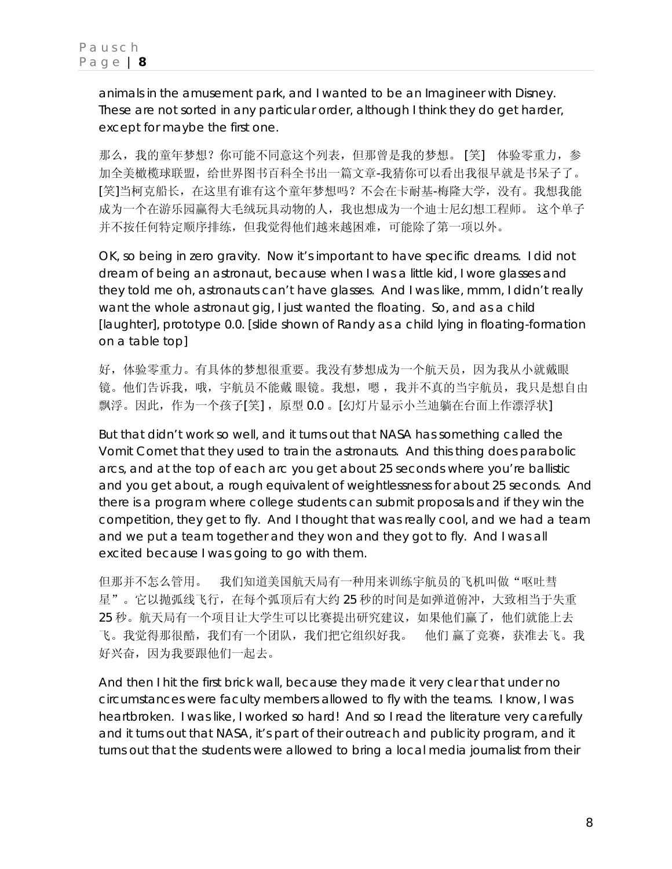animals in the amusement park, and I wanted to be an Imagineer with Disney. These are not sorted in any particular order, although I think they do get harder, except for maybe the first one.

那么,我的童年梦想?你可能不同意这个列表,但那曾是我的梦想。 [笑] 体验零重力,参 加全美橄榄球联盟,给世界图书百科全书出一篇文章-我猜你可以看出我很早就是书呆子了。 [笑]当柯克船长,在这里有谁有这个童年梦想吗?不会在卡耐基-梅隆大学,没有。我想我能 成为一个在游乐园赢得大毛绒玩具动物的人,我也想成为一个迪士尼幻想工程师。 这个单子 并不按任何特定顺序排练,但我觉得他们越来越困难,可能除了第一项以外。

OK, so being in zero gravity. Now it's important to have specific dreams. I did not dream of being an astronaut, because when I was a little kid, I wore glasses and they told me oh, astronauts can't have glasses. And I was like, mmm, I didn't really want the whole astronaut gig, I just wanted the floating. So, and as a child [laughter], prototype 0.0. [slide shown of Randy as a child lying in floating-formation on a table top]

好,体验零重力。有具体的梦想很重要。我没有梦想成为一个航天员,因为我从小就戴眼 镜。他们告诉我,哦,宇航员不能戴 眼镜。我想,嗯,我并不真的当宇航员,我只是想自由 飘浮。因此,作为一个孩子[笑], 原型 0.0 。[幻灯片显示小兰迪躺在台面上作漂浮状]

But that didn't work so well, and it turns out that NASA has something called the Vomit Comet that they used to train the astronauts. And this thing does parabolic arcs, and at the top of each arc you get about 25 seconds where you're ballistic and you get about, a rough equivalent of weightlessness for about 25 seconds. And there is a program where college students can submit proposals and if they win the competition, they get to fly. And I thought that was really cool, and we had a team and we put a team together and they won and they got to fly. And I was all excited because I was going to go with them.

但那并不怎么管用。 我们知道美国航天局有一种用来训练宇航员的飞机叫做"呕吐彗 星"。它以抛弧线飞行,在每个弧顶后有大约 25 秒的时间是如弹道俯冲,大致相当于失重 25 秒。航天局有一个项目让大学生可以比赛提出研究建议,如果他们赢了,他们就能上去 飞。我觉得那很酷,我们有一个团队,我们把它组织好我。 他们 赢了竞赛,获准去飞。我 好兴奋,因为我要跟他们一起去。

And then I hit the first brick wall, because they made it very clear that under no circumstances were faculty members allowed to fly with the teams. I know, I was heartbroken. I was like, I worked so hard! And so I read the literature very carefully and it turns out that NASA, it's part of their outreach and publicity program, and it turns out that the students were allowed to bring a local media journalist from their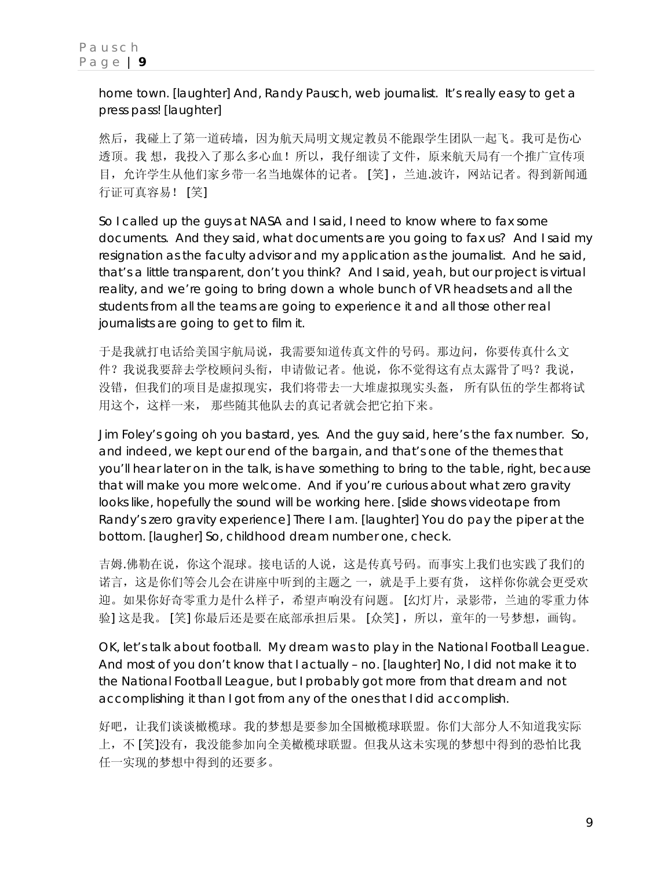home town. [laughter] And, Randy Pausch, web journalist. It's really easy to get a press pass! [laughter]

然后,我碰上了第一道砖墙,因为航天局明文规定教员不能跟学生团队一起飞。我可是伤心 透顶。我 想,我投入了那么多心血!所以,我仔细读了文件,原来航天局有一个推广宣传项 目,允许学生从他们家乡带一名当地媒体的记者。 [笑] ,兰迪.波许,网站记者。得到新闻通 行证可真容易! [笑]

So I called up the guys at NASA and I said, I need to know where to fax some documents. And they said, what documents are you going to fax us? And I said my resignation as the faculty advisor and my application as the journalist. And he said, that's a little transparent, don't you think? And I said, yeah, but our project is virtual reality, and we're going to bring down a whole bunch of VR headsets and all the students from all the teams are going to experience it and all those other real journalists are going to get to film it.

于是我就打电话给美国宇航局说,我需要知道传真文件的号码。那边问,你要传真什么文 件?我说我要辞去学校顾问头衔,申请做记者。他说,你不觉得这有点太露骨了吗?我说, 没错,但我们的项目是虚拟现实,我们将带去一大堆虚拟现实头盔, 所有队伍的学生都将试 用这个,这样一来, 那些随其他队去的真记者就会把它拍下来。

Jim Foley's going oh you bastard, yes. And the guy said, here's the fax number. So, and indeed, we kept our end of the bargain, and that's one of the themes that you'll hear later on in the talk, is have something to bring to the table, right, because that will make you more welcome. And if you're curious about what zero gravity looks like, hopefully the sound will be working here. [slide shows videotape from Randy's zero gravity experience] There I am. [laughter] You do pay the piper at the bottom. [laugher] So, childhood dream number one, check.

吉姆.佛勒在说,你这个混球。接电话的人说,这是传真号码。而事实上我们也实践了我们的 诺言,这是你们等会儿会在讲座中听到的主题之 一,就是手上要有货, 这样你你就会更受欢 迎。如果你好奇零重力是什么样子,希望声响没有问题。 [幻灯片,录影带,兰迪的零重力体 验] 这是我。 [笑] 你最后还是要在底部承担后果。 [众笑], 所以, 童年的一号梦想, 画钩。

OK, let's talk about football. My dream was to play in the National Football League. And most of you don't know that I actually – no. [laughter] No, I did not make it to the National Football League, but I probably got more from that dream and not accomplishing it than I got from any of the ones that I did accomplish.

好吧,让我们谈谈橄榄球。我的梦想是要参加全国橄榄球联盟。你们大部分人不知道我实际 上,不 [笑]没有,我没能参加向全美橄榄球联盟。但我从这未实现的梦想中得到的恐怕比我 任一实现的梦想中得到的还要多。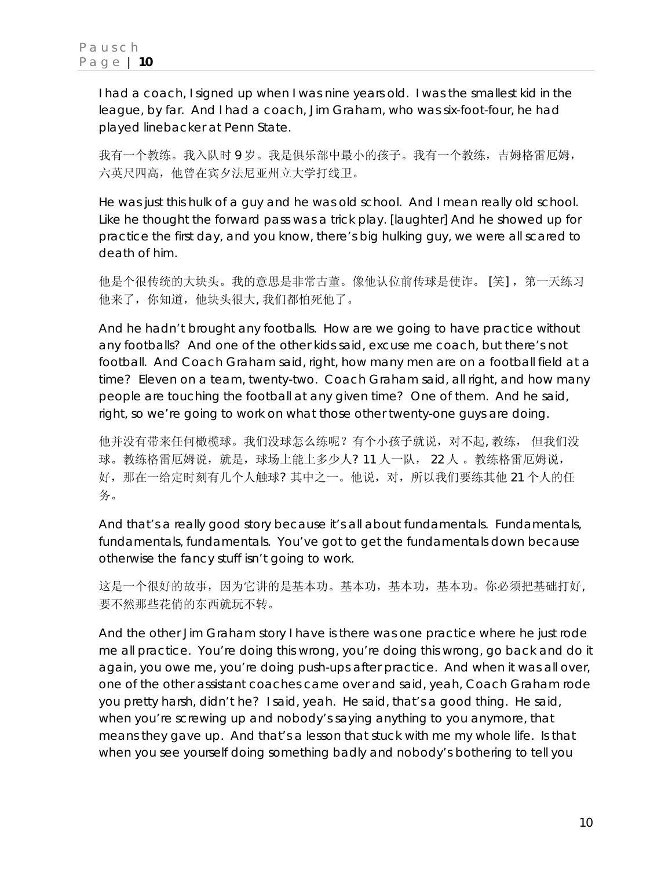I had a coach, I signed up when I was nine years old. I was the smallest kid in the league, by far. And I had a coach, Jim Graham, who was six-foot-four, he had played linebacker at Penn State.

我有一个教练。我入队时 9 岁。我是俱乐部中最小的孩子。我有一个教练,吉姆格雷厄姆, 六英尺四高,他曾在宾夕法尼亚州立大学打线卫。

He was just this hulk of a guy and he was old school. And I mean really old school. Like he thought the forward pass was a trick play. [laughter] And he showed up for practice the first day, and you know, there's big hulking guy, we were all scared to death of him.

他是个很传统的大块头。我的意思是非常古董。像他认位前传球是使诈。 [笑],第一天练习 他来了,你知道,他块头很大, 我们都怕死他了。

And he hadn't brought any footballs. How are we going to have practice without any footballs? And one of the other kids said, excuse me coach, but there's not football. And Coach Graham said, *right, how many men are on a football field at a time?* Eleven on a team, twenty-two. Coach Graham said, *all right, and how many people are touching the football at any given time?* One of them. And he said, *right, so we're going to work on what those other twenty-one guys are doing*.

他并没有带来任何橄榄球。我们没球怎么练呢?有个小孩子就说,对不起, 教练, 但我们没 球。教练格雷厄姆说,就是,球场上能上多少人? 11 人一队, 22 人 。教练格雷厄姆说, 好,那在一给定时刻有几个人触球? 其中之一。他说,对,所以我们要练其他 21 个人的任 务。

And that's a really good story because it's all about fundamentals. Fundamentals, fundamentals, fundamentals. You've got to get the fundamentals down because otherwise the fancy stuff isn't going to work.

这是一个很好的故事,因为它讲的是基本功。基本功,基本功,基本功。你必须把基础打好, 要不然那些花俏的东西就玩不转。

And the other Jim Graham story I have is there was one practice where he just rode me all practice. You're doing this wrong, you're doing this wrong, go back and do it again, you owe me, you're doing push-ups after practice. And when it was all over, one of the other assistant coaches came over and said, *yeah, Coach Graham rode you pretty harsh, didn't he?* I said, *yeah.* He said, *that's a good thing.* He said, *when you're screwing up and nobody's saying anything to you anymore, that means they gave up*. And that's a lesson that stuck with me my whole life. Is that when you see yourself doing something badly and nobody's bothering to tell you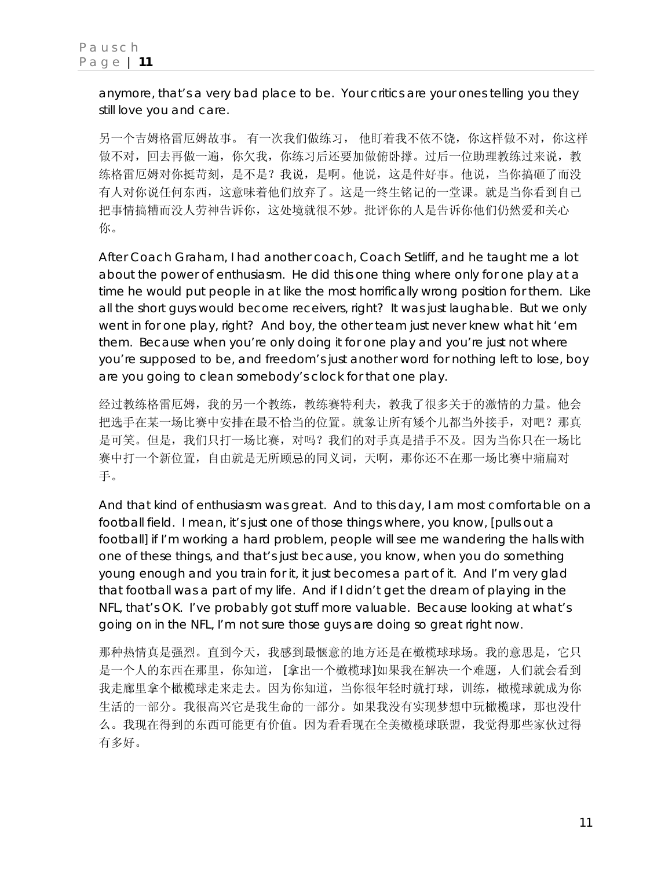anymore, that's a very bad place to be. Your critics are your ones telling you they still love you and care.

另一个吉姆格雷厄姆故事。 有一次我们做练习, 他盯着我不依不饶,你这样做不对,你这样 做不对,回去再做一遍,你欠我,你练习后还要加做俯卧撑。过后一位助理教练过来说,教 练格雷厄姆对你挺苛刻,是不是?我说,是啊。他说,这是件好事。他说,当你搞砸了而没 有人对你说任何东西,这意味着他们放弃了。这是一终生铭记的一堂课。就是当你看到自己 把事情搞糟而没人劳神告诉你,这处境就很不妙。批评你的人是告诉你他们仍然爱和关心 你。

After Coach Graham, I had another coach, Coach Setliff, and he taught me a lot about the power of enthusiasm. He did this one thing where only for one play at a time he would put people in at like the most horrifically wrong position for them. Like all the short guys would become receivers, right? It was just laughable. But we only went in for one play, right? And boy, the other team just never knew what hit 'em them. Because when you're only doing it for one play and you're just not where you're supposed to be, and freedom's just another word for nothing left to lose, boy are you going to clean somebody's clock for that one play.

经过教练格雷厄姆,我的另一个教练,教练赛特利夫,教我了很多关于的激情的力量。他会 把选手在某一场比赛中安排在最不恰当的位置。就象让所有矮个儿都当外接手,对吧?那真 是可笑。但是,我们只打一场比赛,对吗?我们的对手真是措手不及。因为当你只在一场比 赛中打一个新位置,自由就是无所顾忌的同义词,天啊,那你还不在那一场比赛中痛扁对 手。

And that kind of enthusiasm was great. And to this day, I am most comfortable on a football field. I mean, it's just one of those things where, you know, [pulls out a football] if I'm working a hard problem, people will see me wandering the halls with one of these things, and that's just because, you know, when you do something young enough and you train for it, it just becomes a part of it. And I'm very glad that football was a part of my life. And if I didn't get the dream of playing in the NFL, that's OK. I've probably got stuff more valuable. Because looking at what's going on in the NFL, I'm not sure those guys are doing so great right now.

那种热情真是强烈。直到今天,我感到最惬意的地方还是在橄榄球球场。我的意思是,它只 是一个人的东西在那里,你知道,「拿出一个橄榄球]如果我在解决一个难题,人们就会看到 我走廊里拿个橄榄球走来走去。因为你知道,当你很年轻时就打球,训练,橄榄球就成为你 生活的一部分。我很高兴它是我生命的一部分。如果我没有实现梦想中玩橄榄球,那也没什 么。我现在得到的东西可能更有价值。因为看看现在全美橄榄球联盟,我觉得那些家伙过得 有多好。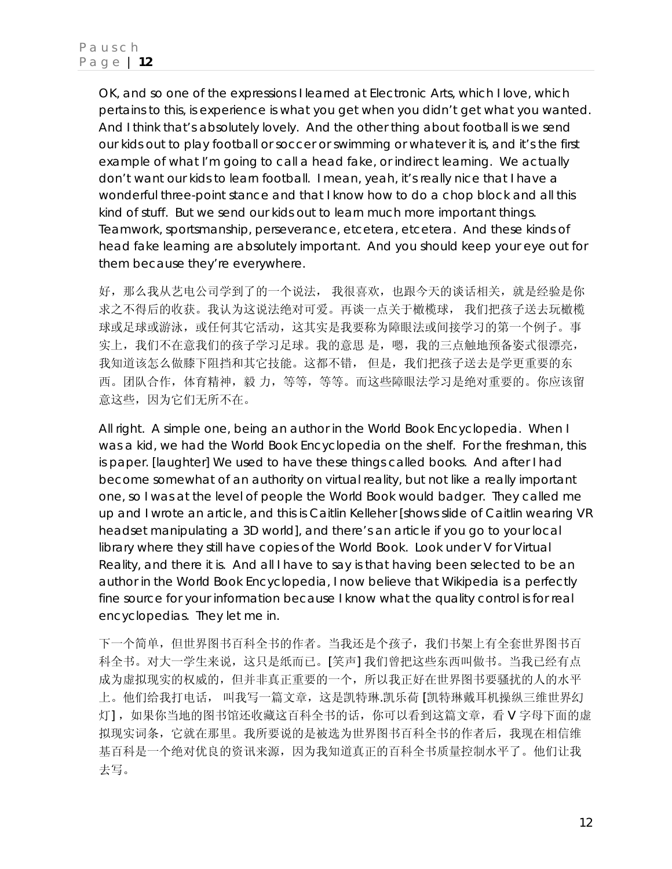OK, and so one of the expressions I learned at Electronic Arts, which I love, which pertains to this, is *experience is what you get when you didn't get what you wanted*. And I think that's absolutely lovely. And the other thing about football is we send our kids out to play football or soccer or swimming or whatever it is, and it's the first example of what I'm going to call a head fake, or indirect learning. We actually don't want our kids to learn football. I mean, yeah, it's really nice that I have a wonderful three-point stance and that I know how to do a chop block and all this kind of stuff. But we send our kids out to learn much more important things. Teamwork, sportsmanship, perseverance, etcetera, etcetera. And these kinds of head fake learning are absolutely important. And you should keep your eye out for them because they're everywhere.

好,那么我从艺电公司学到了的一个说法, 我很喜欢,也跟今天的谈话相关,就是经验是你 求之不得后的收获。我认为这说法绝对可爱。再谈一点关于橄榄球, 我们把孩子送去玩橄榄 球或足球或游泳,或任何其它活动,这其实是我要称为障眼法或间接学习的第一个例子。事 实上,我们不在意我们的孩子学习足球。我的意思 是,嗯,我的三点触地预备姿式很漂亮, 我知道该怎么做膝下阻挡和其它技能。这都不错, 但是, 我们把孩子送去是学更重要的东 西。团队合作,体育精神,毅 力,等等,等等。而这些障眼法学习是绝对重要的。你应该留 意这些,因为它们无所不在。

All right. A simple one, being an author in the World Book Encyclopedia. When I was a kid, we had the World Book Encyclopedia on the shelf. For the freshman, this is paper. [laughter] We used to have these things called books. And after I had become somewhat of an authority on virtual reality, but not like a really important one, so I was at the level of people the World Book would badger. They called me up and I wrote an article, and this is Caitlin Kelleher [shows slide of Caitlin wearing VR headset manipulating a 3D world], and there's an article if you go to your local library where they still have copies of the World Book. Look under V for Virtual Reality, and there it is. And all I have to say is that having been selected to be an author in the World Book Encyclopedia, I now believe that Wikipedia is a perfectly fine source for your information because I know what the quality control is for real encyclopedias. They let me in.

下一个简单,但世界图书百科全书的作者。当我还是个孩子,我们书架上有全套世界图书百 科全书。对大一学生来说,这只是纸而已。[笑声] 我们曾把这些东西叫做书。当我已经有点 成为虚拟现实的权威的,但并非真正重要的一个,所以我正好在世界图书要骚扰的人的水平 上。他们给我打电话, 叫我写一篇文章,这是凯特琳.凯乐荷 [凯特琳戴耳机操纵三维世界幻 灯] ,如果你当地的图书馆还收藏这百科全书的话,你可以看到这篇文章,看 V 字母下面的虚 拟现实词条,它就在那里。我所要说的是被选为世界图书百科全书的作者后,我现在相信维 基百科是一个绝对优良的资讯来源,因为我知道真正的百科全书质量控制水平了。他们让我 去写。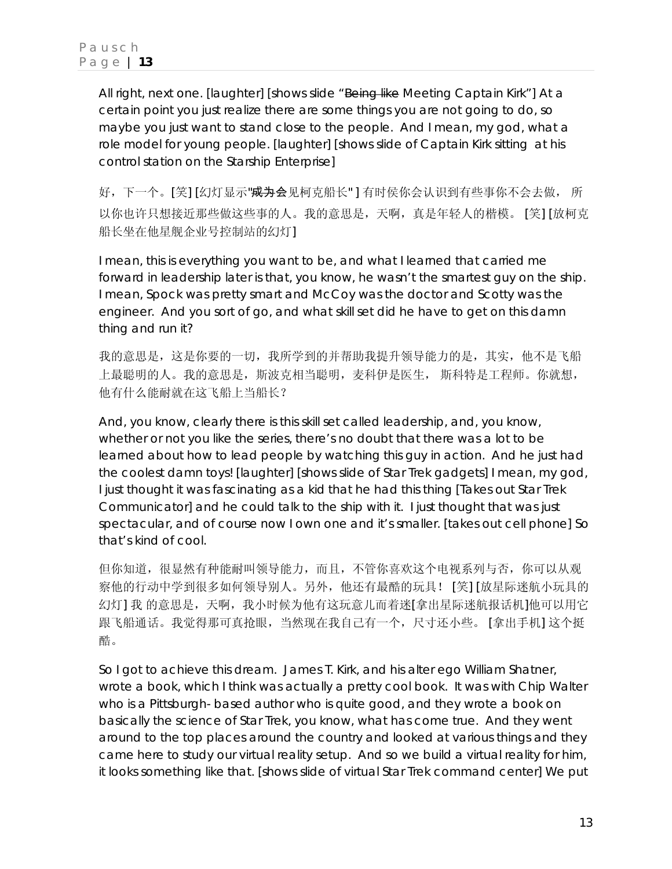All right, next one. [laughter] [shows slide "Being like Meeting Captain Kirk"] At a certain point you just realize there are some things you are not going to do, so maybe you just want to stand close to the people. And I mean, my god, what a role model for young people. [laughter] [shows slide of Captain Kirk sitting at his control station on the Starship Enterprise]

好,下一个。[笑] [幻灯显示"<del>成为</del>会见柯克船长" ] 有时侯你会认识到有些事你不会去做, 所 以你也许只想接近那些做这些事的人。我的意思是,天啊,真是年轻人的楷模。 [笑] [放柯克 船长坐在他星舰企业号控制站的幻灯]

I mean, this is everything you want to be, and what I learned that carried me forward in leadership later is that, you know, he wasn't the smartest guy on the ship. I mean, Spock was pretty smart and McCoy was the doctor and Scotty was the engineer. And you sort of go, *and what skill set did he have to get on this damn thing and run it?*

我的意思是,这是你要的一切,我所学到的并帮助我提升领导能力的是,其实,他不是飞船 上最聪明的人。我的意思是,斯波克相当聪明,麦科伊是医生, 斯科特是工程师。你就想, 他有什么能耐就在这飞船上当船长?

And, you know, clearly there is this skill set called leadership, and, you know, whether or not you like the series, there's no doubt that there was a lot to be learned about how to lead people by watching this guy in action. And he just had the coolest damn toys! [laughter] [shows slide of Star Trek gadgets] I mean, my god, I just thought it was fascinating as a kid that he had this thing [Takes out Star Trek Communicator] and he could talk to the ship with it. I just thought that was just spectacular, and of course now I own one and it's smaller. [takes out cell phone] So that's kind of cool.

但你知道,很显然有种能耐叫领导能力,而且,不管你喜欢这个电视系列与否,你可以从观 察他的行动中学到很多如何领导别人。另外,他还有最酷的玩具! [笑] [放星际迷航小玩具的 幻灯] 我 的意思是,天啊,我小时候为他有这玩意儿而着迷[拿出星际迷航报话机]他可以用它 跟飞船通话。我觉得那可真抢眼,当然现在我自己有一个,尺寸还小些。 [拿出手机] 这个挺 酷。

So I got to achieve this dream. James T. Kirk, and his alter ego William Shatner, wrote a book, which I think was actually a pretty cool book. It was with Chip Walter who is a Pittsburgh- based author who is quite good, and they wrote a book on basically the science of Star Trek, you know, what has come true. And they went around to the top places around the country and looked at various things and they came here to study our virtual reality setup. And so we build a virtual reality for him, it looks something like that. [shows slide of virtual Star Trek command center] We put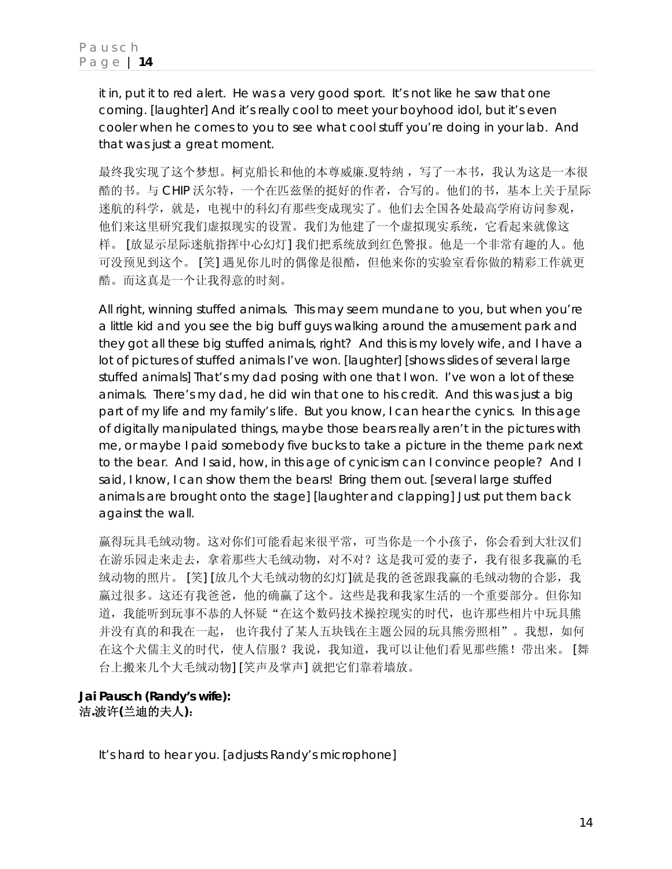it in, put it to red alert. He was a very good sport. It's not like he saw that one coming. [laughter] And it's really cool to meet your boyhood idol, but it's even cooler when he comes to you to see what cool stuff you're doing in your lab. And that was just a great moment.

最终我实现了这个梦想。柯克船长和他的本尊威廉.夏特纳,写了一本书,我认为这是一本很 酷的书。与 CHIP 沃尔特,一个在匹兹堡的挺好的作者,合写的。他们的书,基本上关于星际 迷航的科学,就是,电视中的科幻有那些变成现实了。他们去全国各处最高学府访问参观, 他们来这里研究我们虚拟现实的设置。我们为他建了一个虚拟现实系统,它看起来就像这 样。 [放显示星际迷航指挥中心幻灯] 我们把系统放到红色警报。他是一个非常有趣的人。他 可没预见到这个。 [笑] 遇见你儿时的偶像是很酷,但他来你的实验室看你做的精彩工作就更 酷。而这真是一个让我得意的时刻。

All right, winning stuffed animals. This may seem mundane to you, but when you're a little kid and you see the big buff guys walking around the amusement park and they got all these big stuffed animals, right? And this is my lovely wife, and I have a lot of pictures of stuffed animals I've won. [laughter] [shows slides of several large stuffed animals] That's my dad posing with one that I won. I've won a lot of these animals. There's my dad, he did win that one to his credit. And this was just a big part of my life and my family's life. But you know, I can hear the cynics. In this age of digitally manipulated things, maybe those bears really aren't in the pictures with me, or maybe I paid somebody five bucks to take a picture in the theme park next to the bear. And I said, how, in this age of cynicism can I convince people? And I said, I know, I can show them the bears! Bring them out. [several large stuffed animals are brought onto the stage] [laughter and clapping] Just put them back against the wall.

赢得玩具毛绒动物。这对你们可能看起来很平常,可当你是一个小孩子,你会看到大壮汉们 在游乐园走来走去,拿着那些大毛绒动物,对不对?这是我可爱的妻子,我有很多我赢的毛 绒动物的照片。 [笑] [放几个大毛绒动物的幻灯]就是我的爸爸跟我赢的毛绒动物的合影, 我 赢过很多。这还有我爸爸,他的确赢了这个。这些是我和我家生活的一个重要部分。但你知 道,我能听到玩事不恭的人怀疑"在这个数码技术操控现实的时代,也许那些相片中玩具熊 并没有真的和我在一起, 也许我付了某人五块钱在主题公园的玩具熊旁照相"。我想, 如何 在这个犬儒主义的时代, 使人信服?我说, 我知道, 我可以让他们看见那些熊! 带出来。 [舞 台上搬来几个大毛绒动物] [笑声及掌声] 就把它们靠着墙放。

### **Jai Pausch (Randy's wife):**  洁**.**波许**(**兰迪的夫人**)**:

It's hard to hear you. [adjusts Randy's microphone]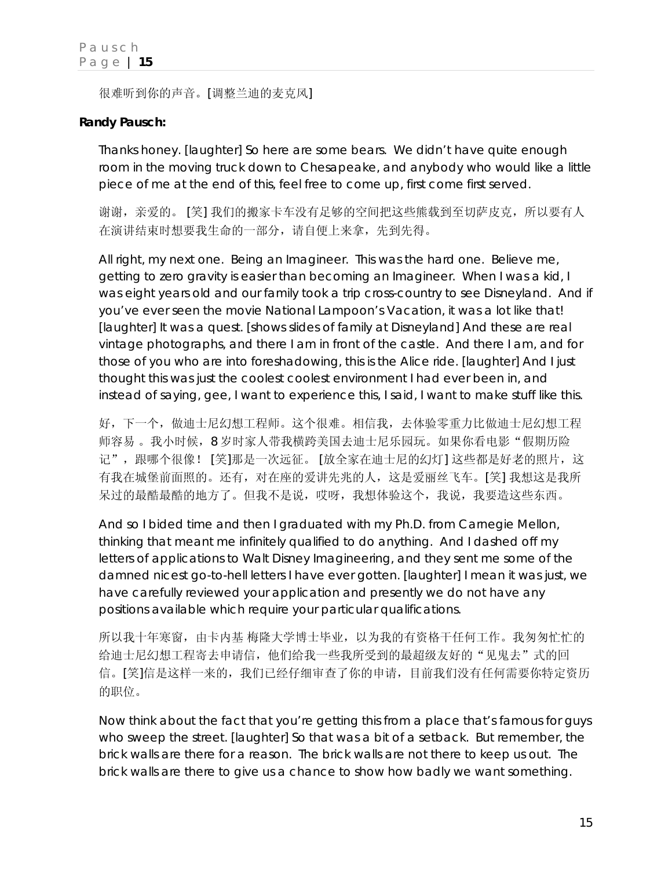很难听到你的声音。[调整兰迪的麦克风]

### **Randy Pausch:**

Thanks honey. [laughter] So here are some bears. We didn't have quite enough room in the moving truck down to Chesapeake, and anybody who would like a little piece of me at the end of this, feel free to come up, first come first served.

谢谢,亲爱的。 [笑] 我们的搬家卡车没有足够的空间把这些熊载到至切萨皮克,所以要有人 在演讲结束时想要我生命的一部分,请自便上来拿,先到先得。

All right, my next one. Being an Imagineer. This was the hard one. Believe me, getting to zero gravity is easier than becoming an Imagineer. When I was a kid, I was eight years old and our family took a trip cross-country to see Disneyland. And if you've ever seen the movie *National Lampoon's Vacation*, it was a lot like that! [laughter] It was a quest. [shows slides of family at Disneyland] And these are real vintage photographs, and there I am in front of the castle. And there I am, and for those of you who are into foreshadowing, this is the Alice ride. [laughter] And I just thought this was just the coolest coolest environment I had ever been in, and instead of saying, *gee, I want to experience this*, I said, *I want to make stuff like this*.

好,下一个,做迪士尼幻想工程师。这个很难。相信我,去体验零重力比做迪士尼幻想工程 师容易。我小时候,8 岁时家人带我横跨美国去迪士尼乐园玩。如果你看电影"假期历险 记",跟哪个很像! [笑]那是一次远征。 [放全家在迪士尼的幻灯] 这些都是好老的照片, 这 有我在城堡前面照的。还有,对在座的爱讲先兆的人,这是爱丽丝飞车。[笑] 我想这是我所 呆过的最酷最酷的地方了。但我不是说,哎呀,我想体验这个,我说,我要造这些东西。

And so I bided time and then I graduated with my Ph.D. from Carnegie Mellon, thinking that meant me infinitely qualified to do anything. And I dashed off my letters of applications to Walt Disney Imagineering, and they sent me some of the damned nicest go-to-hell letters I have ever gotten. [laughter] I mean it was just, *we have carefully reviewed your application and presently we do not have any positions available which require your particular qualifications.*

所以我十年寒窗,由卡内基 梅隆大学博士毕业,以为我的有资格干任何工作。我匆匆忙忙的 给迪士尼幻想工程寄去申请信,他们给我一些我所受到的最超级友好的"见鬼去"式的回 信。[笑]信是这样一来的,我们已经仔细审查了你的申请,目前我们没有任何需要你特定资历 的职位。

Now think about the fact that you're getting this from a place that's famous for guys who sweep the street. [laughter] So that was a bit of a setback. But remember, the brick walls are there for a reason. The brick walls are not there to keep us out. The brick walls are there to give us a chance to show how badly we want something.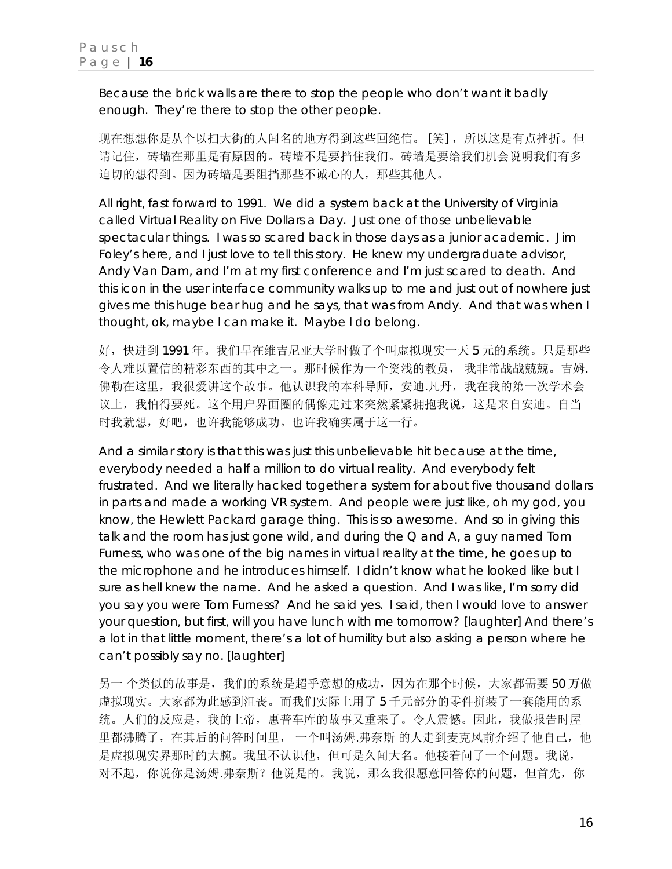Because the brick walls are there to stop the people who don't want it badly enough. They're there to stop the *other* people.

现在想想你是从个以扫大街的人闻名的地方得到这些回绝信。 [笑],所以这是有点挫折。但 请记住,砖墙在那里是有原因的。砖墙不是要挡住我们。砖墙是要给我们机会说明我们有多 迫切的想得到。因为砖墙是要阻挡那些不诚心的人,那些其他人。

All right, fast forward to 1991. We did a system back at the University of Virginia called Virtual Reality on Five Dollars a Day. Just one of those unbelievable spectacular things. I was so scared back in those days as a junior academic. Jim Foley's here, and I just love to tell this story. He knew my undergraduate advisor, Andy Van Dam, and I'm at my first conference and I'm just scared to death. And this icon in the user interface community walks up to me and just out of nowhere just gives me this huge bear hug and he says, *that was from Andy*. And that was when I thought, *ok, maybe I can make it*. Maybe I do belong.

好,快进到 1991 年。我们早在维吉尼亚大学时做了个叫虚拟现实一天 5 元的系统。只是那些 令人难以置信的精彩东西的其中之一。那时候作为一个资浅的教员, 我非常战战兢兢。吉姆. 佛勒在这里,我很爱讲这个故事。他认识我的本科导师,安迪.凡丹,我在我的第一次学术会 议上,我怕得要死。这个用户界面圈的偶像走过来突然紧紧拥抱我说,这是来自安迪。自当 时我就想,好吧,也许我能够成功。也许我确实属于这一行。

And a similar story is that this was just this unbelievable hit because at the time, everybody needed a half a million to do virtual reality. And everybody felt frustrated. And we literally hacked together a system for about five thousand dollars in parts and made a working VR system. And people were just like, *oh my god*, you know, the Hewlett Packard garage thing. This is so awesome. And so in giving this talk and the room has just gone wild, and during the Q and A, a guy named Tom Furness, who was one of the big names in virtual reality at the time, he goes up to the microphone and he introduces himself. I didn't know what he looked like but I sure as hell knew the name. And he asked a question. And I was like, I'm sorry did you say you were Tom Furness? And he said yes. I said, *then I would love to answer your question, but first, will you have lunch with me tomorrow?* [laughter] And there's a lot in that little moment, there's a lot of humility but also asking a person where he can't possibly say no. [laughter]

另一 个类似的故事是,我们的系统是超乎意想的成功,因为在那个时候,大家都需要 50 万做 虚拟现实。大家都为此感到沮丧。而我们实际上用了 5 千元部分的零件拼装了一套能用的系 统。人们的反应是,我的上帝,惠普车库的故事又重来了。令人震憾。因此,我做报告时屋 里都沸腾了, 在其后的问答时间里, 一个叫汤姆.弗奈斯 的人走到麦克风前介绍了他自己, 他 是虚拟现实界那时的大腕。我虽不认识他,但可是久闻大名。他接着问了一个问题。我说, 对不起,你说你是汤姆.弗奈斯?他说是的。我说,那么我很愿意回答你的问题,但首先,你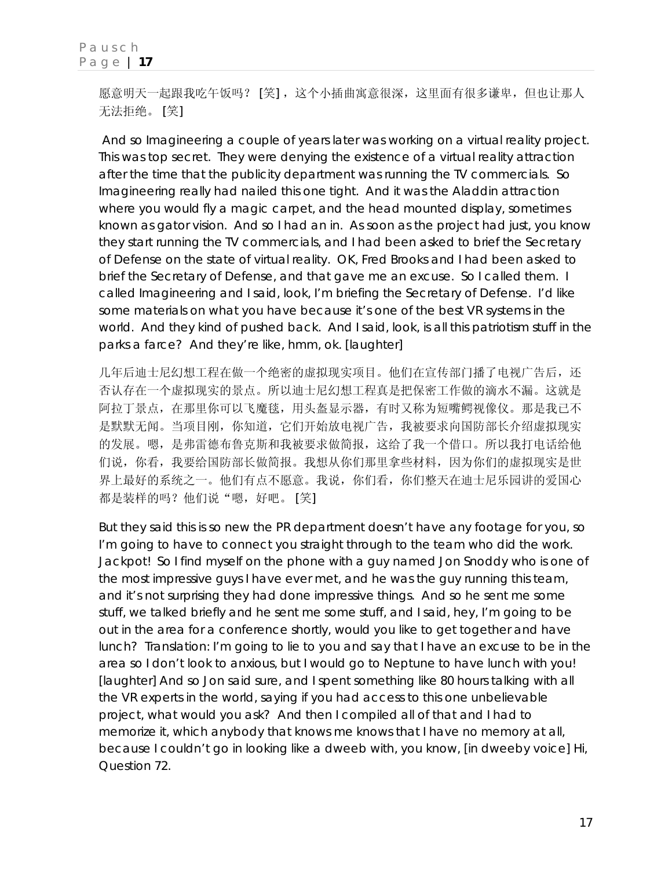愿意明天一起跟我吃午饭吗? [笑], 这个小插曲寓意很深, 这里面有很多谦卑, 但也让那人 无法拒绝。 [笑]

 And so Imagineering a couple of years later was working on a virtual reality project. This was top secret. They were denying the existence of a virtual reality attraction *after* the time that the publicity department was running the TV commercials. So Imagineering really had nailed this one tight. And it was the Aladdin attraction where you would fly a magic carpet, and the head mounted display, sometimes known as *gator vision*. And so I had an *in*. As soon as the project had just, you know they start running the TV commercials, and I had been asked to brief the Secretary of Defense on the state of virtual reality. OK, Fred Brooks and I had been asked to brief the Secretary of Defense, and that gave me an excuse. So I called them. I called Imagineering and I said, *look, I'm briefing the Secretary of Defense. I'd like some materials on what you have because it's one of the best VR systems in the world.* And they kind of pushed back. And I said, *look, is all this patriotism stuff in the parks a farce?* And they're like, hmm, ok. [laughter]

几年后迪士尼幻想工程在做一个绝密的虚拟现实项目。他们在宣传部门播了电视广告后,还 否认存在一个虚拟现实的景点。所以迪士尼幻想工程真是把保密工作做的滴水不漏。这就是 阿拉丁景点,在那里你可以飞魔毯,用头盔显示器,有时又称为短嘴鳄视像仪。那是我已不 是默默无闻。当项目刚, 你知道, 它们开始放电视广告, 我被要求向国防部长介绍虚拟现实 的发展。嗯,是弗雷德布鲁克斯和我被要求做简报,这给了我一个借口。所以我打电话给他 们说,你看,我要给国防部长做简报。我想从你们那里拿些材料,因为你们的虚拟现实是世 界上最好的系统之一。他们有点不愿意。我说,你们看,你们整天在迪士尼乐园讲的爱国心 都是装样的吗?他们说"嗯,好吧。 [笑]

But they said this is so new the PR department doesn't have any footage for you, so I'm going to have to connect you straight through to the team who did the work. Jackpot! So I find myself on the phone with a guy named Jon Snoddy who is one of the most impressive guys I have ever met, and he was the guy running this team, and it's not surprising they had done impressive things. And so he sent me some stuff, we talked briefly and he sent me some stuff, and I said, *hey, I'm going to be out in the area for a conference shortly, would you like to get together and have lunch?* Translation: I'm going to lie to you and say that I have an excuse to be in the area so I don't look to anxious, but I would go to Neptune to have lunch with you! [laughter] And so Jon said sure, and I spent something like 80 hours talking with all the VR experts in the world, saying if you had access to this one unbelievable project, what would you ask? And then I compiled all of that and I had to memorize it, which anybody that knows me knows that I have no memory at all, because I couldn't go in looking like a dweeb with, you know, [in dweeby voice] *Hi, Question 72*.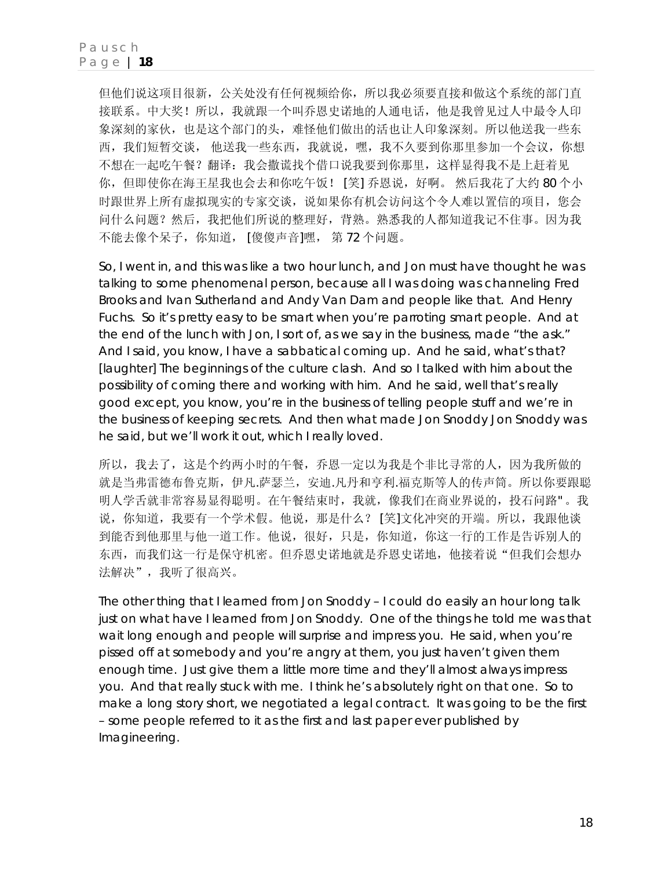但他们说这项目很新,公关处没有任何视频给你,所以我必须要直接和做这个系统的部门直 接联系。中大奖!所以,我就跟一个叫乔恩史诺地的人通电话,他是我曾见过人中最令人印 象深刻的家伙,也是这个部门的头,难怪他们做出的活也让人印象深刻。所以他送我一些东 西,我们短暂交谈, 他送我一些东西,我就说,嘿,我不久要到你那里参加一个会议,你想 不想在一起吃午餐?翻译:我会撒谎找个借口说我要到你那里,这样显得我不是上赶着见 你,但即使你在海王星我也会去和你吃午饭! [笑] 乔恩说,好啊。 然后我花了大约 80 个小 时跟世界上所有虚拟现实的专家交谈,说如果你有机会访问这个令人难以置信的项目,您会 问什么问题?然后,我把他们所说的整理好,背熟。熟悉我的人都知道我记不住事。因为我 不能去像个呆子,你知道, [傻傻声音]嘿, 第 72 个问题。

So, I went in, and this was like a two hour lunch, and Jon must have thought he was talking to some phenomenal person, because all I was doing was channeling Fred Brooks and Ivan Sutherland and Andy Van Dam and people like that. And Henry Fuchs. So it's pretty easy to be smart when you're parroting smart people. And at the end of the lunch with Jon, I sort of, as we say in the business, made "the ask." And I said, *you know, I have a sabbatical coming up*. And he said, *what's that?* [laughter] The beginnings of the culture clash. And so I talked with him about the possibility of coming there and working with him. And he said, *well that's really good except, you know, you're in the business of telling people stuff and we're in the business of keeping secrets*. And then what made Jon Snoddy Jon Snoddy was he said, *but we'll work it out*, which I really loved.

所以,我去了,这是个约两小时的午餐,乔恩一定以为我是个非比寻常的人,因为我所做的 就是当弗雷德布鲁克斯,伊凡.萨瑟兰, 安迪.凡丹和亨利.福克斯等人的传声筒。所以你要跟聪 明人学舌就非常容易显得聪明。在午餐结束时,我就,像我们在商业界说的,投石问路" 。我 说,你知道,我要有一个学术假。他说,那是什么? [笑]文化冲突的开端。所以,我跟他谈 到能否到他那里与他一道工作。他说,很好,只是,你知道,你这一行的工作是告诉别人的 东西,而我们这一行是保守机密。但乔恩史诺地就是乔恩史诺地,他接着说"但我们会想办 法解决",我听了很高兴。

The other thing that I learned from Jon Snoddy – I could do easily an hour long talk just on what have I learned from Jon Snoddy. One of the things he told me was that wait long enough and people will surprise and impress you. He said, *when you're pissed off at somebody and you're angry at them, you just haven't given them enough time*. Just give them a little more time and they'll almost always impress you. And that really stuck with me. I think he's absolutely right on that one. So to make a long story short, we negotiated a legal contract. It was going to be the first – some people referred to it as the first and last paper ever published by Imagineering.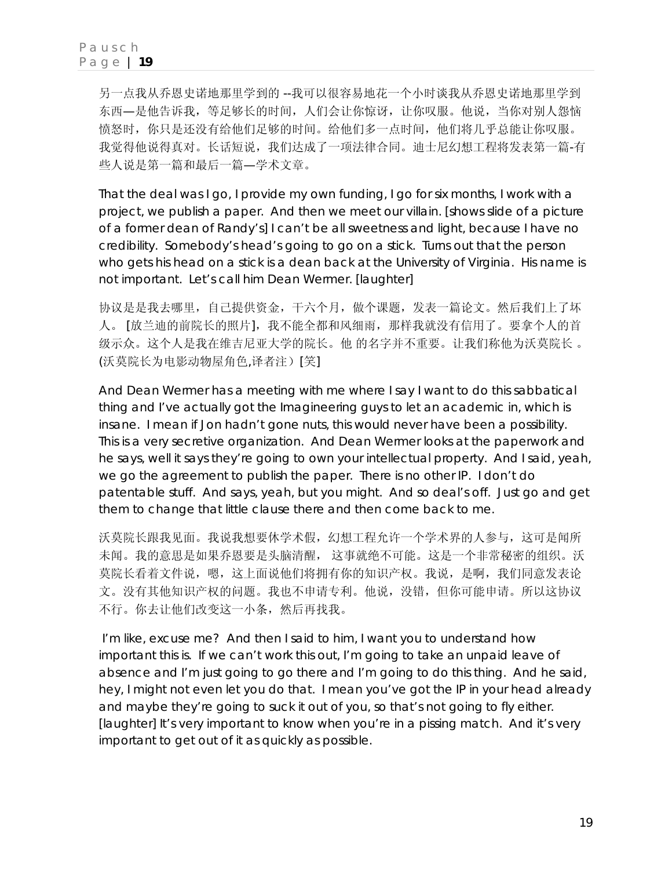另一点我从乔恩史诺地那里学到的 --我可以很容易地花一个小时谈我从乔恩史诺地那里学到 东西—是他告诉我,等足够长的时间,人们会让你惊讶,让你叹服。他说,当你对别人怨恼 愤怒时,你只是还没有给他们足够的时间。给他们多一点时间,他们将几乎总能让你叹服。 我觉得他说得真对。长话短说,我们达成了一项法律合同。迪士尼幻想工程将发表第一篇-有 些人说是第一篇和最后一篇—学术文章。

That the deal was I go, I provide my own funding, I go for six months, I work with a project, we publish a paper. And then we meet our villain. [shows slide of a picture of a former dean of Randy's] I can't be all sweetness and light, because I have no credibility. Somebody's head's going to go on a stick. Turns out that the person who gets his head on a stick is a dean back at the University of Virginia. His name is not important. Let's call him Dean Wermer. [laughter]

协议是是我去哪里,自己提供资金,干六个月,做个课题,发表一篇论文。然后我们上了坏 人。 [放兰迪的前院长的照片],我不能全都和风细雨,那样我就没有信用了。要拿个人的首 级示众。这个人是我在维吉尼亚大学的院长。他 的名字并不重要。让我们称他为沃莫院长 。 (沃莫院长为电影动物屋角色,译者注)[笑]

And Dean Wermer has a meeting with me where I say I want to do this sabbatical thing and I've actually got the Imagineering guys to let an academic in, which is insane. I mean if Jon hadn't gone nuts, this would never have been a possibility. This is a very secretive organization. And Dean Wermer looks at the paperwork and he says, *well it says they're going to own your intellectual property.* And I said, *yeah, we go the agreement to publish the paper. There is no other IP. I don't do patentable stuff.* And says, *yeah, but you might. And so deal's off*. *Just go and get them to change that little clause there and then come back to me.*

沃莫院长跟我见面。我说我想要休学术假,幻想工程允许一个学术界的人参与,这可是闻所 未闻。我的意思是如果乔恩要是头脑清醒, 这事就绝不可能。这是一个非常秘密的组织。沃 莫院长看着文件说,嗯,这上面说他们将拥有你的知识产权。我说,是啊,我们同意发表论 文。没有其他知识产权的问题。我也不申请专利。他说,没错,但你可能申请。所以这协议 不行。你去让他们改变这一小条,然后再找我。

 I'm like, *excuse me?* And then I said to him, *I want you to understand how important this is. If we can't work this out, I'm going to take an unpaid leave of absence and I'm just going to go there and I'm going to do this thing.* And he said, *hey, I might not even let you do that. I mean you've got the IP in your head already and maybe they're going to suck it out of you, so that's not going to fly either.* [laughter] It's very important to know when you're in a pissing match. And it's very important to get out of it as quickly as possible.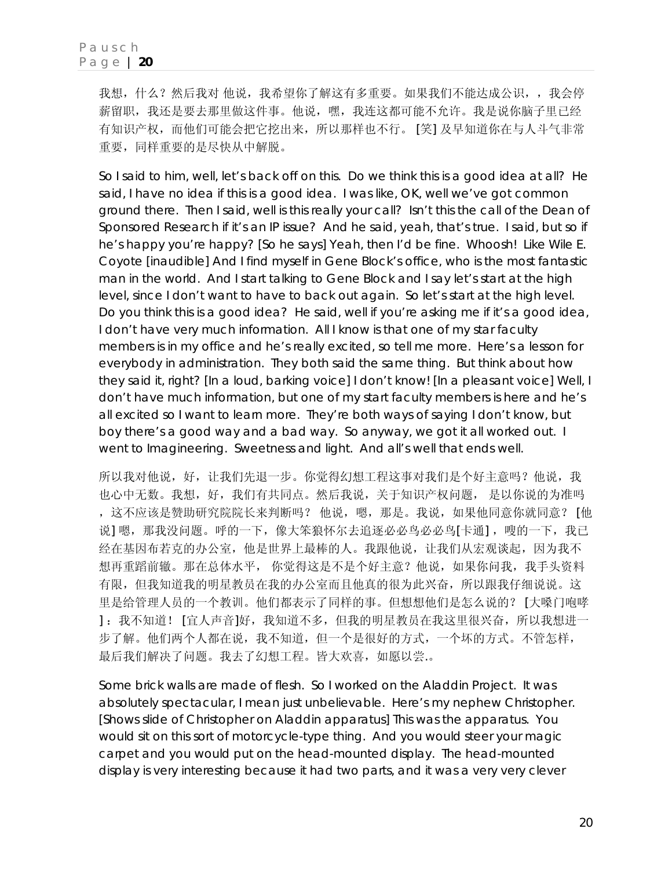我想,什么?然后我对他说,我希望你了解这有多重要。如果我们不能达成公识,,我会停 薪留职,我还是要去那里做这件事。他说,嘿,我连这都可能不允许。我是说你脑子里已经 有知识产权,而他们可能会把它挖出来,所以那样也不行。 [笑] 及早知道你在与人斗气非常 重要,同样重要的是尽快从中解脱。

So I said to him, *well, let's back off on this. Do we think this is a good idea at all?* He said, *I have no idea if this is a good idea.* I was like, *OK, well we've got common ground there.* Then I said, *well is this really your call? Isn't this the call of the Dean of Sponsored Research if it's an IP issue?* And he said, *yeah, that's true*. I said, *but so if he's happy you're happy?* [So he says] *Yeah, then I'd be fine*. *Whoosh!* Like Wile E. Coyote [inaudible] And I find myself in Gene Block's office, who is the most fantastic man in the world. And I start talking to Gene Block and I say *let's start at the high level*, since I don't want to have to back out again. *So let's start at the high level. Do you think this is a good idea?* He said, *well if you're asking me if it's a good idea, I don't have very much information. All I know is that one of my star faculty members is in my office and he's really excited, so tell me more.* Here's a lesson for everybody in administration. They both said the same thing. But think about how they said it, right? [In a loud, barking voice] *I don't know!* [In a pleasant voice] Well, I don't have much information, but one of my start faculty members is here and he's all excited so I want to learn more. They're both ways of saying I don't know, but boy there's a good way and a bad way. So anyway, we got it all worked out. I went to Imagineering. Sweetness and light. And all's well that ends well.

所以我对他说,好,让我们先退一步。你觉得幻想工程这事对我们是个好主意吗?他说,我 也心中无数。我想,好,我们有共同点。然后我说,关于知识产权问题,是以你说的为准吗 ,这不应该是赞助研究院院长来判断吗? 他说,嗯,那是。我说,如果他同意你就同意? [他 说] 嗯, 那我没问题。呼的一下, 像大笨狼怀尔去追逐必必鸟必必鸟[卡通], 嗖的一下, 我已 经在基因布若克的办公室,他是世界上最棒的人。我跟他说,让我们从宏观谈起,因为我不 想再重蹈前辙。那在总体水平, 你觉得这是不是个好主意?他说, 如果你问我, 我手头资料 有限,但我知道我的明星教员在我的办公室而且他真的很为此兴奋,所以跟我仔细说说。这 里是给管理人员的一个教训。他们都表示了同样的事。但想想他们是怎么说的? [大嗓门咆哮 ] :我不知道! [宜人声音]好,我知道不多,但我的明星教员在我这里很兴奋,所以我想进一 步了解。他们两个人都在说,我不知道,但一个是很好的方式,一个坏的方式。不管怎样, 最后我们解决了问题。我去了幻想工程。皆大欢喜,如愿以尝.。

Some brick walls are made of flesh. So I worked on the Aladdin Project. It was absolutely spectacular, I mean just unbelievable. Here's my nephew Christopher. [Shows slide of Christopher on Aladdin apparatus] This was the apparatus. You would sit on this sort of motorcycle-type thing. And you would steer your magic carpet and you would put on the head-mounted display. The head-mounted display is very interesting because it had two parts, and it was a very very clever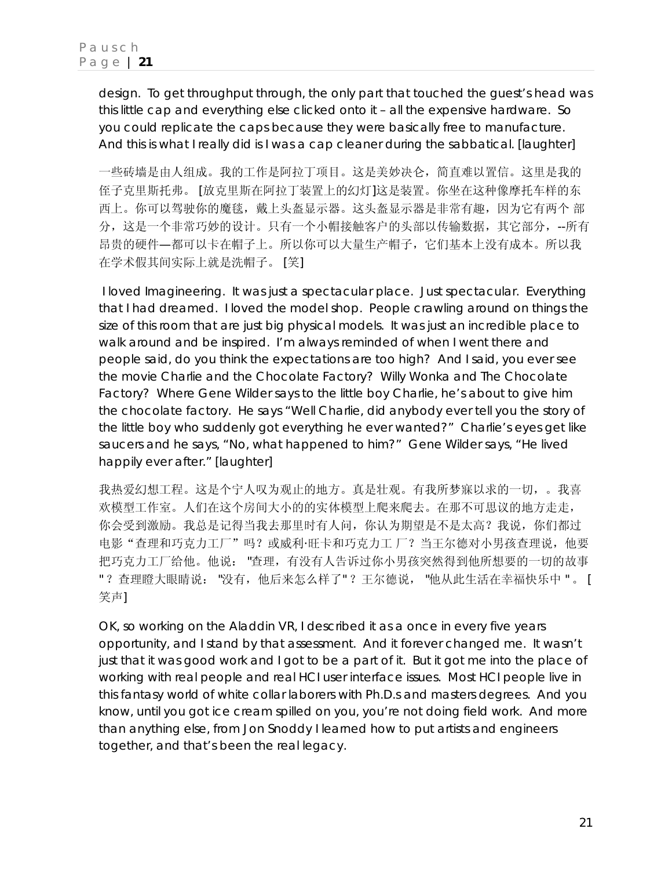design. To get throughput through, the only part that touched the guest's head was this little cap and everything else clicked onto it – all the expensive hardware. So you could replicate the caps because they were basically free to manufacture. And this is what I really did is I was a cap cleaner during the sabbatical. [laughter]

一些砖墙是由人组成。我的工作是阿拉丁项目。这是美妙决仑,简直难以置信。这里是我的 侄子克里斯托弗。 [放克里斯在阿拉丁装置上的幻灯]这是装置。你坐在这种像摩托车样的东 西上。你可以驾驶你的魔毯,戴上头盔显示器。这头盔显示器是非常有趣,因为它有两个 部 分,这是一个非常巧妙的设计。只有一个小帽接触客户的头部以传输数据,其它部分,--所有 昂贵的硬件—都可以卡在帽子上。所以你可以大量生产帽子,它们基本上没有成本。所以我 在学术假其间实际上就是洗帽子。 [笑]

 I loved Imagineering. It was just a spectacular place. Just spectacular. Everything that I had dreamed. I loved the model shop. People crawling around on things the size of this room that are just big physical models. It was just an incredible place to walk around and be inspired. I'm always reminded of when I went there and people said, *do you think the expectations are too high?* And I said*, you ever see the movie Charlie and the Chocolate Factory? Willy Wonka and The Chocolate Factory? Where Gene Wilder says to the little boy Charlie, he's about to give him the chocolate factory. He says "Well Charlie, did anybody ever tell you the story of the little boy who suddenly got everything he ever wanted?" Charlie's eyes get like saucers and he says, "No, what happened to him?" Gene Wilder says, "He lived happily ever after."* [laughter]

我热爱幻想工程。这是个宁人叹为观止的地方。真是壮观。有我所梦寐以求的一切,。我喜 欢模型工作室。人们在这个房间大小的的实体模型上爬来爬去。在那不可思议的地方走走, 你会受到激励。我总是记得当我去那里时有人问,你认为期望是不是太高?我说,你们都过 电影"查理和巧克力工厂"吗?或威利·旺卡和巧克力工厂?当王尔德对小男孩查理说,他要 把巧克力工厂给他。他说: "查理,有没有人告诉过你小男孩突然得到他所想要的一切的故事 " ?查理瞪大眼睛说: "没有,他后来怎么样了" ?王尔德说, "他从此生活在幸福快乐中 " 。 [ 笑声]

OK, so working on the Aladdin VR, I described it as a once in every five years opportunity, and I stand by that assessment. And it forever changed me. It wasn't just that it was good work and I got to be a part of it. But it got me into the place of working with real people and real HCI user interface issues. Most HCI people live in this fantasy world of white collar laborers with Ph.D.s and masters degrees. And you know, until you got ice cream spilled on you, you're not doing field work. And more than anything else, from Jon Snoddy I learned how to put artists and engineers together, and that's been the real legacy.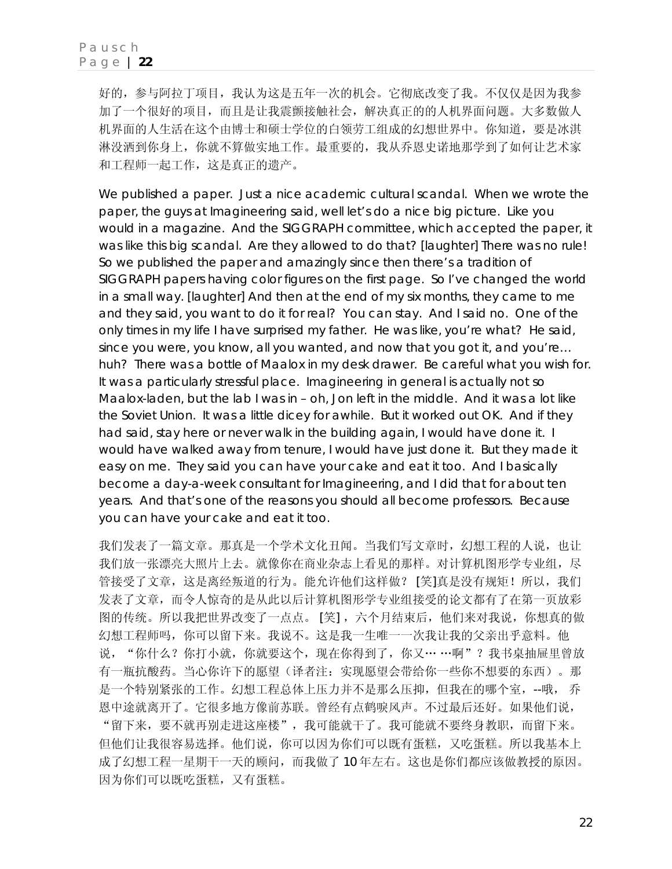好的,参与阿拉丁项目,我认为这是五年一次的机会。它彻底改变了我。不仅仅是因为我参 加了一个很好的项目,而且是让我震颤接触社会,解决真正的的人机界面问题。大多数做人 机界面的人生活在这个由博士和硕士学位的白领劳工组成的幻想世界中。你知道,要是冰淇 淋没洒到你身上,你就不算做实地工作。最重要的,我从乔恩史诺地那学到了如何让艺术家 和工程师一起工作,这是真正的遗产。

We published a paper. Just a nice academic cultural scandal. When we wrote the paper, the guys at Imagineering said, *well let's do a nice big picture.* Like you would in a magazine. And the SIGGRAPH committee, which accepted the paper, it was like this big scandal. *Are they allowed to do that?* [laughter] There was no rule! So we published the paper and amazingly since then there's a tradition of SIGGRAPH papers having color figures on the first page. So I've changed the world in a small way. [laughter] And then at the end of my six months, they came to me and they said, *you want to do it for real? You can stay.* And I said no. One of the only times in my life I have surprised my father. He was like, *you're what?* He said, *since you were, you know, all you wanted, and now that you got it, and you're… huh?* There was a bottle of Maalox in my desk drawer. Be careful what you wish for. It was a particularly stressful place. Imagineering in general is actually not so Maalox-laden, but the lab I was in – oh, Jon left in the middle. And it was a lot like the Soviet Union. It was a little dicey for awhile. But it worked out OK. And if they had said, *stay here or never walk in the building again*, I would have done it. I would have walked away from tenure, I would have just done it. But they made it easy on me. They said you can have your cake and eat it too. And I basically become a day-a-week consultant for Imagineering, and I did that for about ten years. And that's one of the reasons you should all become professors. Because you can have your cake and eat it too.

我们发表了一篇文章。那真是一个学术文化丑闻。当我们写文章时,幻想工程的人说,也让 我们放一张漂亮大照片上去。就像你在商业杂志上看见的那样。对计算机图形学专业组,尽 管接受了文章,这是离经叛道的行为。能允许他们这样做?[笑]真是没有规矩!所以,我们 发表了文章,而令人惊奇的是从此以后计算机图形学专业组接受的论文都有了在第一页放彩 图的传统。所以我把世界改变了一点点。 [笑], 六个月结束后, 他们来对我说, 你想真的做 幻想工程师吗,你可以留下来。我说不。这是我一生唯一一次我让我的父亲出乎意料。他 说, "你什么?你打小就, 你就要这个, 现在你得到了, 你又… …啊"?我书桌抽屉里曾放 有一瓶抗酸药。当心你许下的愿望(译者注:实现愿望会带给你一些你不想要的东西)。那 是一个特别紧张的工作。幻想工程总体上压力并不是那么压抑,但我在的哪个室,--哦, 乔 恩中途就离开了。它很多地方像前苏联。曾经有点鹤唳风声。不过最后还好。如果他们说, "留下来,要不就再别走进这座楼",我可能就干了。我可能就不要终身教职,而留下来。 但他们让我很容易选择。他们说,你可以因为你们可以既有蛋糕,又吃蛋糕。所以我基本上 成了幻想工程一星期干一天的顾问,而我做了 10 年左右。这也是你们都应该做教授的原因。 因为你们可以既吃蛋糕,又有蛋糕。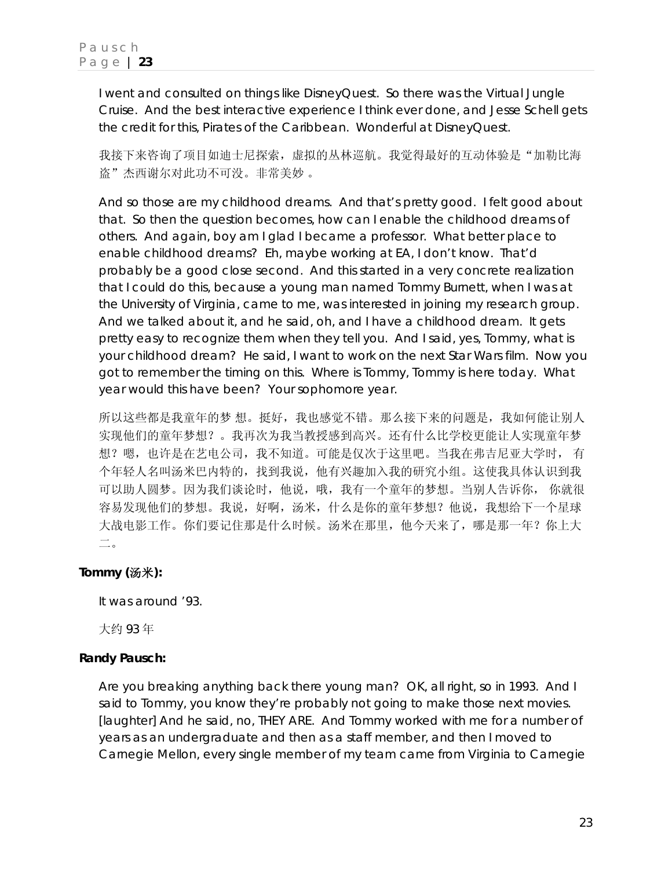I went and consulted on things like DisneyQuest. So there was the Virtual Jungle Cruise. And the best interactive experience I think ever done, and Jesse Schell gets the credit for this, Pirates of the Caribbean. Wonderful at DisneyQuest.

我接下来咨询了项目如迪士尼探索,虚拟的丛林巡航。我觉得最好的互动体验是"加勒比海 盗"杰西谢尔对此功不可没。非常美妙 。

And so those are my childhood dreams. And that's pretty good. I felt good about that. So then the question becomes, how can I enable the childhood dreams of others. And again, boy am I glad I became a professor. What better place to enable childhood dreams? Eh, maybe working at EA, I don't know. That'd probably be a good close second. And this started in a very concrete realization that I could do this, because a young man named Tommy Burnett, when I was at the University of Virginia, came to me, was interested in joining my research group. And we talked about it, and he said, *oh, and I have a childhood dream*. It gets pretty easy to recognize them when they tell you. And I said, *yes, Tommy, what is your childhood dream?* He said, *I want to work on the next Star Wars film.* Now you got to remember the timing on this. Where is Tommy, Tommy is here today. What year would this have been? Your sophomore year.

所以这些都是我童年的梦 想。挺好,我也感觉不错。那么接下来的问题是,我如何能让别人 实现他们的童年梦想?。我再次为我当教授感到高兴。还有什么比学校更能让人实现童年梦 想?嗯,也许是在艺电公司,我不知道。可能是仅次于这里吧。当我在弗吉尼亚大学时, 有 个年轻人名叫汤米巴内特的,找到我说,他有兴趣加入我的研究小组。这使我具体认识到我 可以助人圆梦。因为我们谈论时,他说,哦,我有一个童年的梦想。当别人告诉你, 你就很 容易发现他们的梦想。我说,好啊,汤米,什么是你的童年梦想?他说,我想给下一个星球 大战电影工作。你们要记住那是什么时候。汤米在那里,他今天来了,哪是那一年?你上大 二。

### **Tommy (**汤米**):**

It was around '93.

大约 93 年

### **Randy Pausch:**

Are you breaking anything back there young man? OK, all right, so in 1993. And I said to Tommy, *you know they're probably not going to make those next movies.* [laughter] And he said, *no, THEY ARE*. And Tommy worked with me for a number of years as an undergraduate and then as a staff member, and then I moved to Carnegie Mellon, every single member of my team came from Virginia to Carnegie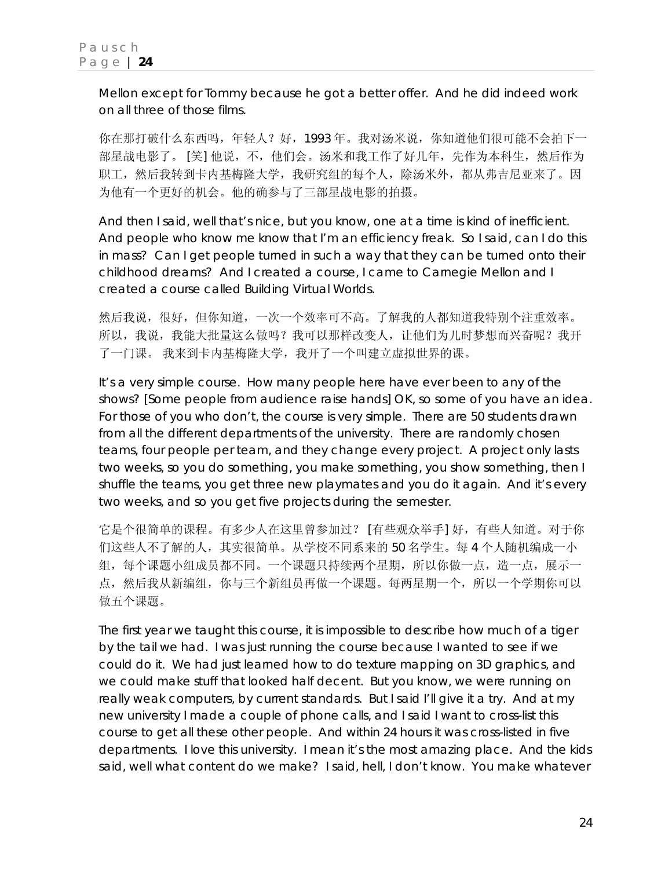Mellon except for Tommy because he got a better offer. And he did indeed work on all three of those films.

你在那打破什么东西吗,年轻人?好,1993年。我对汤米说,你知道他们很可能不会拍下一 部星战电影了。 [笑] 他说,不,他们会。汤米和我工作了好几年,先作为本科生,然后作为 职工,然后我转到卡内基梅隆大学,我研究组的每个人,除汤米外,都从弗吉尼亚来了。因 为他有一个更好的机会。他的确参与了三部星战电影的拍摄。

And then I said, *well that's nice, but you know, one at a time is kind of inefficient*. And people who know me know that I'm an efficiency freak. So I said, *can I do this in mass? Can I get people turned in such a way that they can be turned onto their childhood dreams?* And I created a course, I came to Carnegie Mellon and I created a course called Building Virtual Worlds.

然后我说,很好,但你知道,一次一个效率可不高。了解我的人都知道我特别个注重效率。 所以,我说,我能大批量这么做吗?我可以那样改变人,让他们为儿时梦想而兴奋呢?我开 了一门课。 我来到卡内基梅隆大学,我开了一个叫建立虚拟世界的课。

It's a very simple course. How many people here have ever been to any of the shows? [Some people from audience raise hands] OK, so some of you have an idea. For those of you who don't, the course is very simple. There are 50 students drawn from all the different departments of the university. There are randomly chosen teams, four people per team, and they change every project. A project only lasts two weeks, so you do something, you make something, you show something, then I shuffle the teams, you get three new playmates and you do it again. And it's every two weeks, and so you get five projects during the semester.

它是个很简单的课程。有多少人在这里曾参加过? [有些观众举手] 好,有些人知道。对于你 们这些人不了解的人,其实很简单。从学校不同系来的 50 名学生。每 4 个人随机编成一小 组,每个课题小组成员都不同。一个课题只持续两个星期,所以你做一点,造一点,展示一 点,然后我从新编组,你与三个新组员再做一个课题。每两星期一个,所以一个学期你可以 做五个课题。

The first year we taught this course, it is impossible to describe how much of a tiger by the tail we had. I was just running the course because I wanted to see if we could do it. We had just learned how to do texture mapping on 3D graphics, and we could make stuff that looked half decent. But you know, we were running on really weak computers, by current standards. But I said I'll give it a try. And at my new university I made a couple of phone calls, and I said I want to cross-list this course to get all these other people. And within 24 hours it was cross-listed in five departments. I love this university. I mean it's the most amazing place. And the kids said, *well what content do we make?* I said, *hell, I don't know. You make whatever*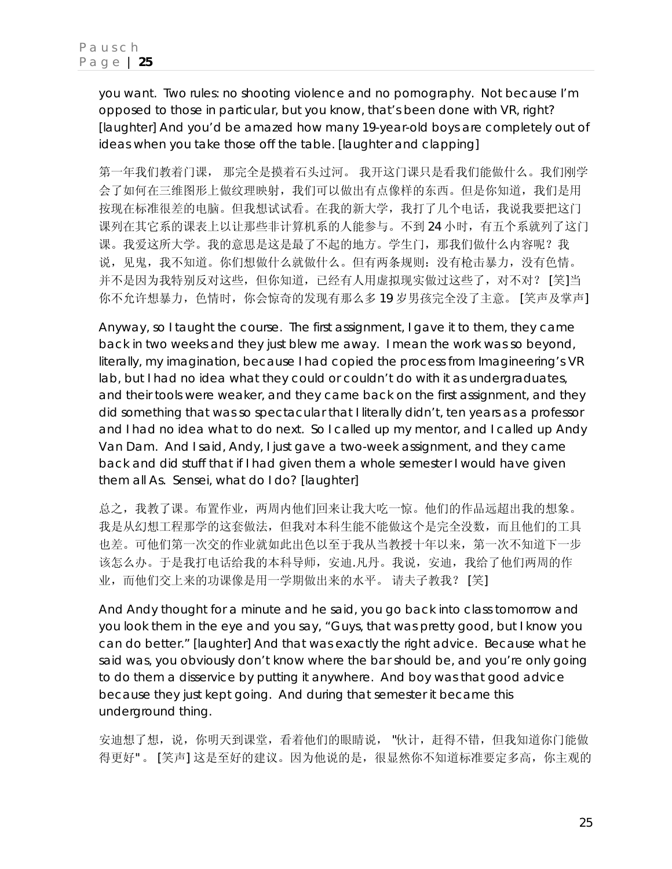*you want. Two rules: no shooting violence and no pornography.* Not because I'm opposed to those in particular, but you know, that's been done with VR, right? [laughter] And you'd be amazed how many 19-year-old boys are completely out of ideas when you take those off the table. [laughter and clapping]

第一年我们教着门课, 那完全是摸着石头过河。 我开这门课只是看我们能做什么。我们刚学 会了如何在三维图形上做纹理映射,我们可以做出有点像样的东西。但是你知道,我们是用 按现在标准很差的电脑。但我想试试看。在我的新大学,我打了几个电话,我说我要把这门 课列在其它系的课表上以让那些非计算机系的人能参与。不到 24 小时,有五个系就列了这门 课。我爱这所大学。我的意思是这是最了不起的地方。学生门,那我们做什么内容呢?我 说,见鬼,我不知道。你们想做什么就做什么。但有两条规则:没有枪击暴力,没有色情。 并不是因为我特别反对这些,但你知道,已经有人用虚拟现实做过这些了,对不对? [笑]当 你不允许想暴力,色情时,你会惊奇的发现有那么多 19 岁男孩完全没了主意。 [笑声及掌声]

Anyway, so I taught the course. The first assignment, I gave it to them, they came back in two weeks and they just blew me away. I mean the work was so beyond, literally, my imagination, because I had copied the process from Imagineering's VR lab, but I had no idea what they could or couldn't do with it as undergraduates, and their tools were weaker, and they came back on the first assignment, and they did something that was so spectacular that I literally didn't, ten years as a professor and I had no idea what to do next. So I called up my mentor, and I called up Andy Van Dam. And I said, *Andy, I just gave a two-week assignment, and they came*  back and did stuff that if I had given them a whole semester I would have given *them all As. Sensei, what do I do?* [laughter]

总之,我教了课。布置作业,两周内他们回来让我大吃一惊。他们的作品远超出我的想象。 我是从幻想工程那学的这套做法,但我对本科生能不能做这个是完全没数,而且他们的工具 也差。可他们第一次交的作业就如此出色以至于我从当教授十年以来,第一次不知道下一步 该怎么办。于是我打电话给我的本科导师,安迪.凡丹。我说,安迪,我给了他们两周的作 业,而他们交上来的功课像是用一学期做出来的水平。 请夫子教我? [笑]

And Andy thought for a minute and he said, *you go back into class tomorrow and you look them in the eye and you say, "Guys, that was pretty good, but I know you can do better."* [laughter] And that was exactly the right advice. Because what he said was, you obviously don't know where the bar should be, and you're only going to do them a disservice by putting it anywhere. And boy was that good advice because they just kept going. And during that semester it became this underground thing.

安迪想了想,说,你明天到课堂,看着他们的眼睛说, "伙计,赶得不错,但我知道你门能做 得更好"。 [笑声] 这是至好的建议。因为他说的是,很显然你不知道标准要定多高,你主观的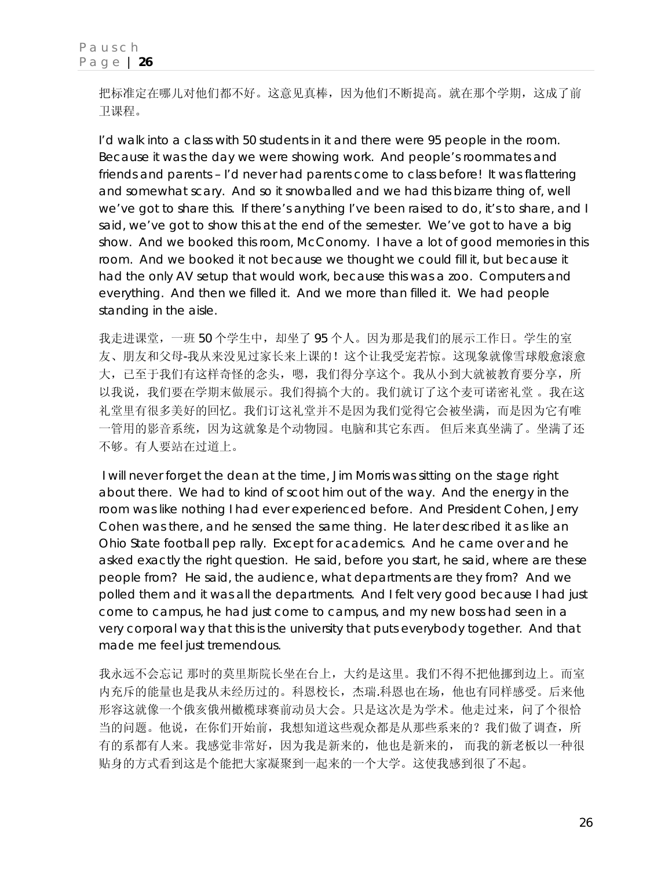把标准定在哪儿对他们都不好。这意见真棒,因为他们不断提高。就在那个学期,这成了前 卫课程。

I'd walk into a class with 50 students in it and there were 95 people in the room. Because it was the day we were showing work. And people's roommates and friends and parents - I'd never had parents come to class before! It was flattering and somewhat scary. And so it snowballed and we had this bizarre thing of, well we've got to share this. If there's anything I've been raised to do, it's to share, and I said, *we've got to show this at the end of the semester. We've got to have a big show.* And we booked this room, McConomy. I have a lot of good memories in this room. And we booked it not because we thought we could fill it, but because it had the only AV setup that would work, because this was a zoo. Computers and everything. And then we filled it. And we more than filled it. We had people standing in the aisle.

我走进课堂,一班 50 个学生中, 却坐了 95 个人。因为那是我们的展示工作日。学生的室 友、朋友和父母-我从来没见过家长来上课的!这个让我受宠若惊。这现象就像雪球般愈滚愈 大,已至于我们有这样奇怪的念头,嗯,我们得分享这个。我从小到大就被教育要分享,所 以我说,我们要在学期末做展示。我们得搞个大的。我们就订了这个麦可诺密礼堂 。我在这 礼堂里有很多美好的回忆。我们订这礼堂并不是因为我们觉得它会被坐满,而是因为它有唯 一管用的影音系统,因为这就象是个动物园。电脑和其它东西。 但后来真坐满了。坐满了还 不够。有人要站在过道上。

 I will never forget the dean at the time, Jim Morris was sitting on the stage right about there. We had to kind of scoot him out of the way. And the energy in the room was like nothing I had ever experienced before. And President Cohen, Jerry Cohen was there, and he sensed the same thing. He later described it as like an Ohio State football pep rally. Except for academics. And he came over and he asked exactly the right question. He said, *before you start,* he said, *where are these people from?* He said, *the audience, what departments are they from*? And we polled them and it was all the departments. And I felt very good because I had just come to campus, he had just come to campus, and my new boss had seen in a very corporal way that this is the university that puts everybody together. And that made me feel just tremendous.

我永远不会忘记 那时的莫里斯院长坐在台上,大约是这里。我们不得不把他挪到边上。而室 内充斥的能量也是我从未经历过的。科恩校长,杰瑞.科恩也在场,他也有同样感受。后来他 形容这就像一个俄亥俄州橄榄球赛前动员大会。只是这次是为学术。他走过来,问了个很恰 当的问题。他说,在你们开始前,我想知道这些观众都是从那些系来的?我们做了调查,所 有的系都有人来。我感觉非常好,因为我是新来的,他也是新来的, 而我的新老板以一种很 贴身的方式看到这是个能把大家凝聚到一起来的一个大学。这使我感到很了不起。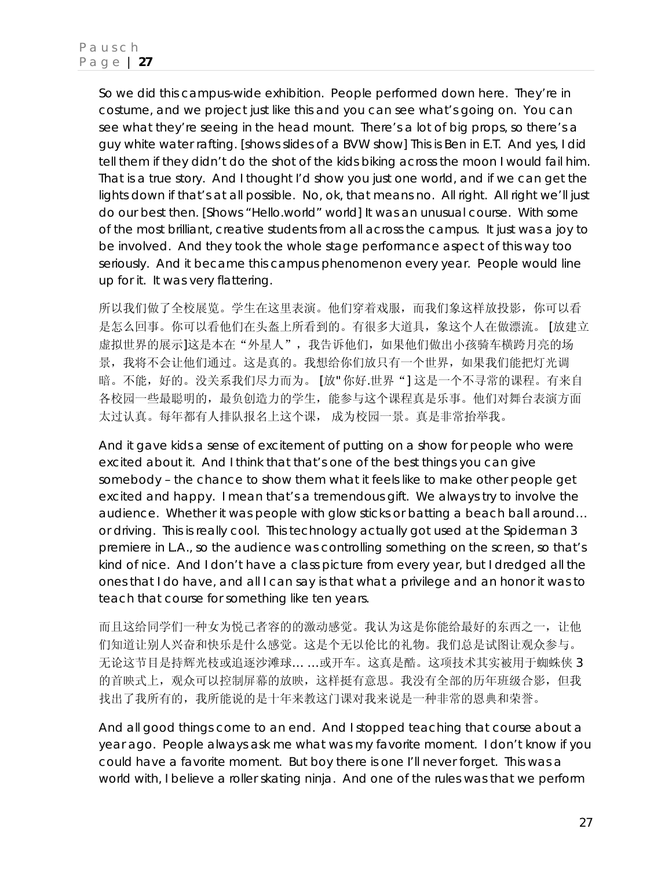So we did this campus-wide exhibition. People performed down here. They're in costume, and we project just like this and you can see what's going on. You can see what they're seeing in the head mount. There's a lot of big props, so there's a guy white water rafting. [shows slides of a BVW show] This is Ben in E.T. And yes, I did tell them if they didn't do the shot of the kids biking across the moon I would fail him. That is a true story. And I thought I'd show you just one world, and if we can get the lights down if that's at all possible. No, ok, that means no. All right. All right we'll just do our best then. [Shows "Hello.world" world] It was an unusual course. With some of the most brilliant, creative students from all across the campus. It just was a joy to be involved. And they took the whole stage performance aspect of this way too seriously. And it became this campus phenomenon every year. People would line up for it. It was very flattering.

所以我们做了全校展览。学生在这里表演。他们穿着戏服,而我们象这样放投影,你可以看 是怎么回事。你可以看他们在头盔上所看到的。有很多大道具,象这个人在做漂流。 [放建立 虚拟世界的展示]这是本在"外星人",我告诉他们,如果他们做出小孩骑车横跨月亮的场 景,我将不会让他们通过。这是真的。我想给你们放只有一个世界,如果我们能把灯光调 暗。不能,好的。没关系我们尽力而为。 [放"你好.世界"] 这是一个不寻常的课程。有来自 各校园一些最聪明的,最负创造力的学生,能参与这个课程真是乐事。他们对舞台表演方面 太过认真。每年都有人排队报名上这个课, 成为校园一景。真是非常抬举我。

And it gave kids a sense of excitement of putting on a show for people who were excited about it. And I think that that's one of the best things you can give somebody – the chance to show them what it feels like to make other people get excited and happy. I mean that's a tremendous gift. We always try to involve the audience. Whether it was people with glow sticks or batting a beach ball around… or driving. This is really cool. This technology actually got used at the Spiderman 3 premiere in L.A., so the audience was controlling something on the screen, so that's kind of nice. And I don't have a class picture from every year, but I dredged all the ones that I do have, and all I can say is that what a privilege and an honor it was to teach that course for something like ten years.

而且这给同学们一种女为悦己者容的的激动感觉。我认为这是你能给最好的东西之一,让他 们知道让别人兴奋和快乐是什么感觉。这是个无以伦比的礼物。我们总是试图让观众参与。 无论这节目是持辉光枝或追逐沙滩球… …或开车。这真是酷。这项技术其实被用于蜘蛛侠 3 的首映式上,观众可以控制屏幕的放映,这样挺有意思。我没有全部的历年班级合影,但我 找出了我所有的,我所能说的是十年来教这门课对我来说是一种非常的恩典和荣誉。

And all good things come to an end. And I stopped teaching that course about a year ago. People always ask me what was my favorite moment. I don't know if you could have a favorite moment. But boy there is one I'll never forget. This was a world with, I believe a roller skating ninja. And one of the rules was that we perform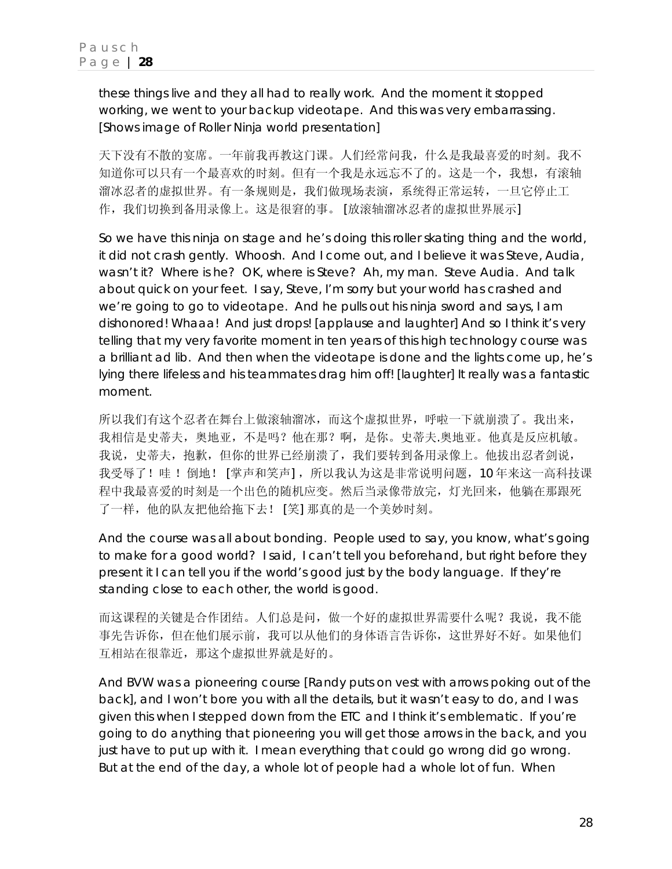these things live and they all had to really work. And the moment it stopped working, we went to your backup videotape. And this was very embarrassing. [Shows image of Roller Ninja world presentation]

天下没有不散的宴席。一年前我再教这门课。人们经常问我,什么是我最喜爱的时刻。我不 知道你可以只有一个最喜欢的时刻。但有一个我是永远忘不了的。这是一个,我想,有滚轴 溜冰忍者的虚拟世界。有一条规则是,我们做现场表演,系统得正常运转,一旦它停止工 作,我们切换到备用录像上。这是很窘的事。 [放滚轴溜冰忍者的虚拟世界展示]

So we have this ninja on stage and he's doing this roller skating thing and the world, it did not crash gently. Whoosh. And I come out, and I believe it was Steve, Audia, wasn't it? Where is he? OK, where is Steve? Ah, my man. Steve Audia. And talk about quick on your feet. I say, *Steve, I'm sorry but your world has crashed and we're going to go to videotape*. And he pulls out his ninja sword and says, *I am dishonored! Whaaa!* And just drops! [applause and laughter] And so I think it's very telling that my very favorite moment in ten years of this high technology course was a brilliant ad lib. And then when the videotape is done and the lights come up, he's lying there lifeless and his teammates drag him off! [laughter] It really was a fantastic moment.

所以我们有这个忍者在舞台上做滚轴溜冰,而这个虚拟世界,呼啦一下就崩溃了。我出来, 我相信是史蒂夫,奥地亚,不是吗?他在那?啊,是你。史蒂夫.奥地亚。他真是反应机敏。 我说,史蒂夫,抱歉,但你的世界已经崩溃了,我们要转到备用录像上。他拔出忍者剑说, 我受辱了!哇 ! 倒地! [掌声和笑声], 所以我认为这是非常说明问题, 10 年来这一高科技课 程中我最喜爱的时刻是一个出色的随机应变。然后当录像带放完,灯光回来,他躺在那跟死 了一样,他的队友把他给拖下去! [笑] 那真的是一个美妙时刻。

And the course was all about bonding. People used to say, you know, what's going to make for a good world? I said, *I can't tell you beforehand, but right before they present it I can tell you if the world's good just by the body language. If they're standing close to each other, the world is good*.

而这课程的关键是合作团结。人们总是问,做一个好的虚拟世界需要什么呢?我说,我不能 事先告诉你,但在他们展示前,我可以从他们的身体语言告诉你,这世界好不好。如果他们 互相站在很靠近,那这个虚拟世界就是好的。

And BVW was a pioneering course [Randy puts on vest with arrows poking out of the back], and I won't bore you with all the details, but it wasn't easy to do, and I was given this when I stepped down from the ETC and I think it's emblematic. If you're going to do anything that pioneering you will get those arrows in the back, and you just have to put up with it. I mean everything that could go wrong did go wrong. But at the end of the day, a whole lot of people had a whole lot of fun. When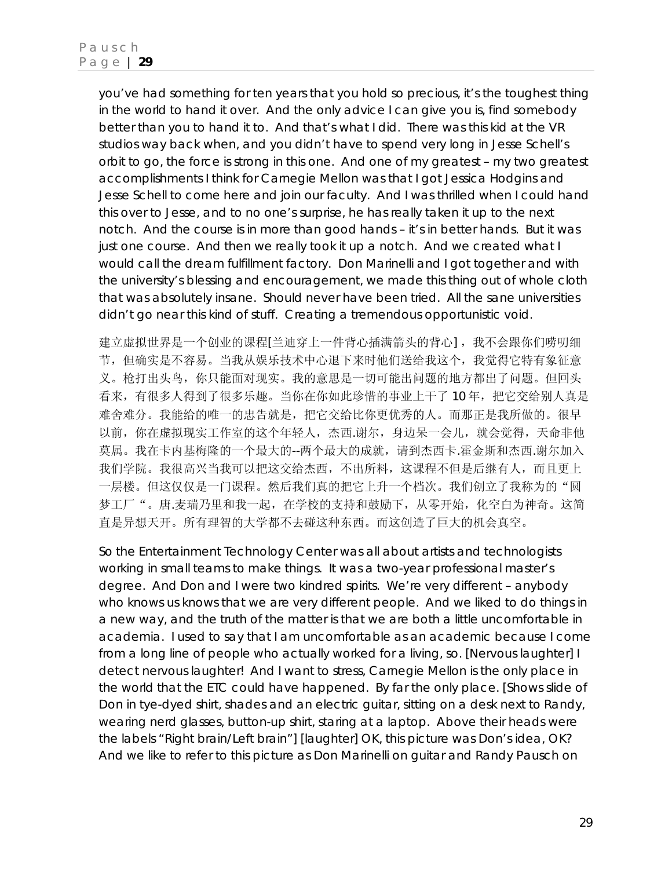you've had something for ten years that you hold so precious, it's the toughest thing in the world to hand it over. And the only advice I can give you is, *find somebody better than you to hand it to*. And that's what I did. There was this kid at the VR studios way back when, and you didn't have to spend very long in Jesse Schell's orbit to go, *the force is strong in this one*. And one of my greatest – my two greatest accomplishments I think for Carnegie Mellon was that I got Jessica Hodgins and Jesse Schell to come here and join our faculty. And I was thrilled when I could hand this over to Jesse, and to no one's surprise, he has really taken it up to the next notch. And the course is in more than good hands – it's in better hands. But it was just one course. And then we really took it up a notch. And we created what I would call the dream fulfillment factory. Don Marinelli and I got together and with the university's blessing and encouragement, we made this thing out of whole cloth that was absolutely insane. Should never have been tried. All the sane universities didn't go near this kind of stuff. Creating a tremendous opportunistic void.

建立虚拟世界是一个创业的课程[兰迪穿上一件背心插满箭头的背心],我不会跟你们唠叨细 节,但确实是不容易。当我从娱乐技术中心退下来时他们送给我这个,我觉得它特有象征意 义。枪打出头鸟,你只能面对现实。我的意思是一切可能出问题的地方都出了问题。但回头 看来,有很多人得到了很多乐趣。当你在你如此珍惜的事业上干了 10 年,把它交给别人真是 难舍难分。我能给的唯一的忠告就是,把它交给比你更优秀的人。而那正是我所做的。很早 以前,你在虚拟现实工作室的这个年轻人,杰西.谢尔,身边呆一会儿,就会觉得,天命非他 莫属。我在卡内基梅隆的一个最大的--两个最大的成就,请到杰西卡.霍金斯和杰西.谢尔加入 我们学院。我很高兴当我可以把这交给杰西,不出所料,这课程不但是后继有人,而且更上 一层楼。但这仅仅是一门课程。然后我们真的把它上升一个档次。我们创立了我称为的"圆 梦工厂"。唐.麦瑞乃里和我一起,在学校的支持和鼓励下,从零开始,化空白为神奇。这简 直是异想天开。所有理智的大学都不去碰这种东西。而这创造了巨大的机会真空。

So the Entertainment Technology Center was all about artists and technologists working in small teams to make things. It was a two-year professional master's degree. And Don and I were two kindred spirits. We're very different – anybody who knows us knows that we are very different people. And we liked to do things in a new way, and the truth of the matter is that we are both a little uncomfortable in academia. I used to say that I am uncomfortable as an academic because I come from a long line of people who actually worked for a living, so. [Nervous laughter] I detect nervous laughter! And I want to stress, Carnegie Mellon is the only place in the world that the ETC could have happened. By far the only place. [Shows slide of Don in tye-dyed shirt, shades and an electric guitar, sitting on a desk next to Randy, wearing nerd glasses, button-up shirt, staring at a laptop. Above their heads were the labels "Right brain/Left brain"] [laughter] OK, this picture was Don's idea, OK? And we like to refer to this picture as Don Marinelli on guitar and Randy Pausch on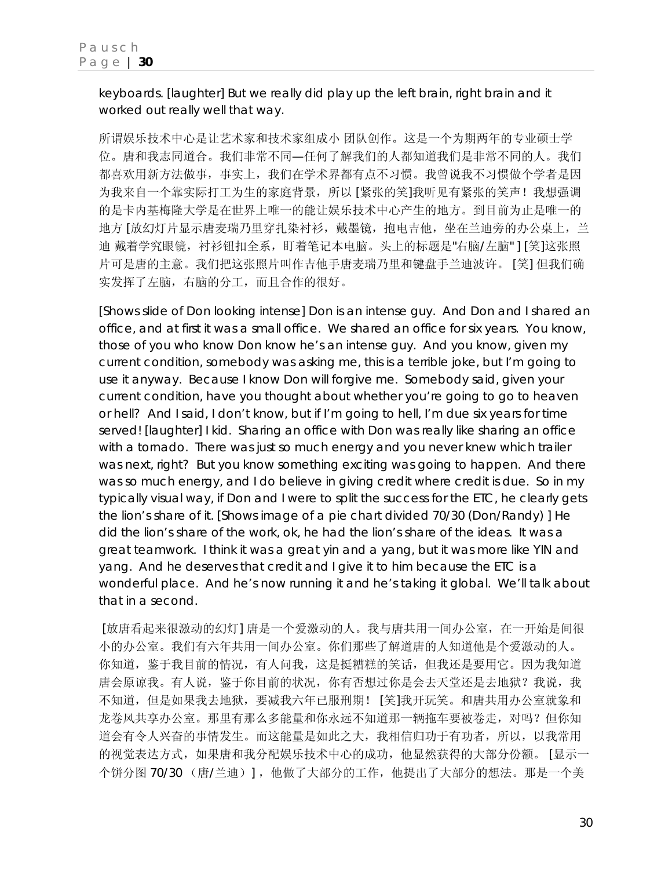keyboards. [laughter] But we really did play up the left brain, right brain and it worked out really well that way.

所谓娱乐技术中心是让艺术家和技术家组成小 团队创作。这是一个为期两年的专业硕士学 位。唐和我志同道合。我们非常不同—任何了解我们的人都知道我们是非常不同的人。我们 都喜欢用新方法做事,事实上,我们在学术界都有点不习惯。我曾说我不习惯做个学者是因 为我来自一个靠实际打工为生的家庭背景,所以 [紧张的笑]我听见有紧张的笑声! 我想强调 的是卡内基梅隆大学是在世界上唯一的能让娱乐技术中心产生的地方。到目前为止是唯一的 地方 [放幻灯片显示唐麦瑞乃里穿扎染衬衫,戴墨镜,抱电吉他,坐在兰迪旁的办公桌上,兰 迪 戴着学究眼镜,衬衫钮扣全系,盯着笔记本电脑。头上的标题是"右脑/左脑" ] [笑]这张照 片可是唐的主意。我们把这张照片叫作吉他手唐麦瑞乃里和键盘手兰迪波许。 [笑] 但我们确 实发挥了左脑,右脑的分工,而且合作的很好。

[Shows slide of Don looking intense] Don is an intense guy. And Don and I shared an office, and at first it was a small office. We shared an office for six years. You know, those of you who know Don know he's an intense guy. And you know, given my current condition, somebody was asking me, this is a terrible joke, but I'm going to use it anyway. Because I know Don will forgive me. Somebody said, *given your current condition, have you thought about whether you're going to go to heaven or hell?* And I said*, I don't know, but if I'm going to hell, I'm due six years for time served!* [laughter] I kid. Sharing an office with Don was really like sharing an office with a tornado. There was just so much energy and you never knew which trailer was next, right? But you know something exciting was going to happen. And there was so much energy, and I do believe in giving credit where credit is due. So in my typically visual way, if Don and I were to split the success for the ETC, he clearly gets the lion's share of it. [Shows image of a pie chart divided 70/30 (Don/Randy) ] He did the lion's share of the work, ok, he had the lion's share of the ideas. It was a great teamwork. I think it was a great yin and a yang, but it was more like YIN and yang. And he deserves that credit and I give it to him because the ETC is a wonderful place. And he's now running it and he's taking it global. We'll talk about that in a second.

 [放唐看起来很激动的幻灯] 唐是一个爱激动的人。我与唐共用一间办公室,在一开始是间很 小的办公室。我们有六年共用一间办公室。你们那些了解道唐的人知道他是个爱激动的人。 你知道,鉴于我目前的情况,有人问我,这是挺糟糕的笑话,但我还是要用它。因为我知道 唐会原谅我。有人说,鉴于你目前的状况,你有否想过你是会去天堂还是去地狱?我说,我 不知道,但是如果我去地狱,要减我六年已服刑期! [笑]我开玩笑。和唐共用办公室就象和 龙卷风共享办公室。那里有那么多能量和你永远不知道那一辆拖车要被卷走, 对吗?但你知 道会有令人兴奋的事情发生。而这能量是如此之大,我相信归功于有功者,所以,以我常用 的视觉表达方式,如果唐和我分配娱乐技术中心的成功,他显然获得的大部分份额。 [显示一 个饼分图 70/30 (唐/兰迪)] ,他做了大部分的工作,他提出了大部分的想法。那是一个美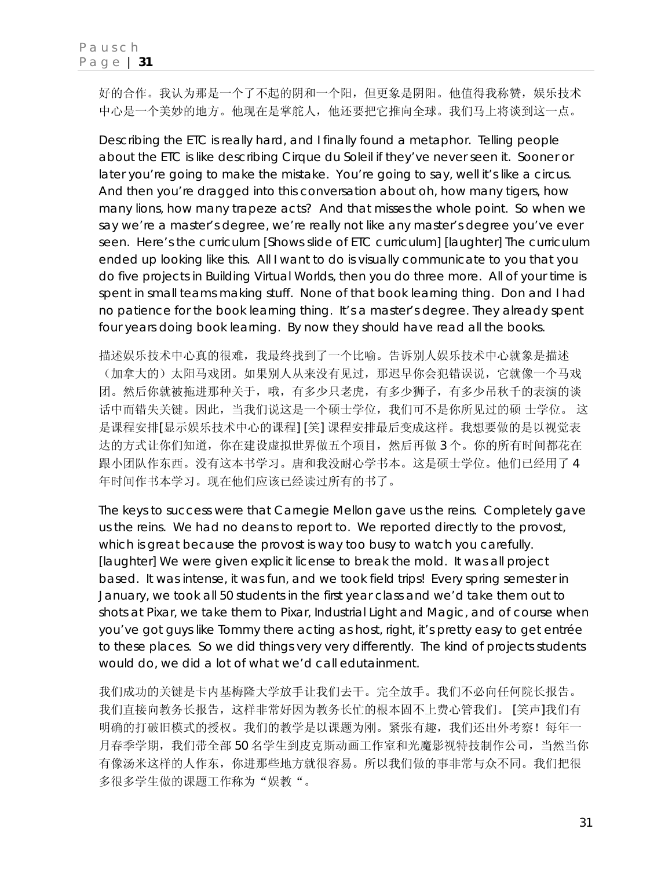好的合作。我认为那是一个了不起的阴和一个阳,但更象是阴阳。他值得我称赞,娱乐技术 中心是一个美妙的地方。他现在是掌舵人,他还要把它推向全球。我们马上将谈到这一点。

Describing the ETC is really hard, and I finally found a metaphor. Telling people about the ETC is like describing Cirque du Soleil if they've never seen it. Sooner or later you're going to make the mistake. You're going to say, *well it's like a circus*. And then you're dragged into this conversation about *oh, how many tigers, how many lions, how many trapeze acts?* And that misses the whole point. So when we say we're a master's degree, we're really not like any master's degree you've ever seen. Here's the curriculum [Shows slide of ETC curriculum] [laughter] The curriculum ended up looking like this. All I want to do is visually communicate to you that you do five projects in Building Virtual Worlds, then you do three more. All of your time is spent in small teams making stuff. None of that book learning thing. Don and I had no patience for the book learning thing. It's a master's degree. They already spent four years doing book learning. By now they should have read all the books.

描述娱乐技术中心真的很难,我最终找到了一个比喻。告诉别人娱乐技术中心就象是描述 (加拿大的)太阳马戏团。如果别人从来没有见过,那迟早你会犯错误说,它就像一个马戏 团。然后你就被拖进那种关于,哦,有多少只老虎,有多少狮子,有多少吊秋千的表演的谈 话中而错失关键。因此,当我们说这是一个硕士学位,我们可不是你所见过的硕 士学位。 这 是课程安排[显示娱乐技术中心的课程] [笑] 课程安排最后变成这样。我想要做的是以视觉表 达的方式让你们知道,你在建设虚拟世界做五个项目,然后再做 3 个。你的所有时间都花在 跟小团队作东西。没有这本书学习。唐和我没耐心学书本。这是硕士学位。他们已经用了 4 年时间作书本学习。现在他们应该已经读过所有的书了。

The keys to success were that Carnegie Mellon gave us the reins. Completely gave us the reins. We had no deans to report to. We reported directly to the provost, which is great because the provost is way too busy to watch you carefully. [laughter] We were given explicit license to break the mold. It was all project based. It was intense, it was fun, and we took field trips! Every spring semester in January, we took all 50 students in the first year class and we'd take them out to shots at Pixar, we take them to Pixar, Industrial Light and Magic, and of course when you've got guys like Tommy there acting as host, right, it's pretty easy to get entrée to these places. So we did things very very differently. The kind of projects students would do, we did a lot of what we'd call *edutainment*.

我们成功的关键是卡内基梅隆大学放手让我们去干。完全放手。我们不必向任何院长报告。 我们直接向教务长报告,这样非常好因为教务长忙的根本固不上费心管我们。 [笑声]我们有 明确的打破旧模式的授权。我们的教学是以课题为刚。紧张有趣,我们还出外考察!每年一 月春季学期,我们带全部 50 名学生到皮克斯动画工作室和光魔影视特技制作公司,当然当你 有像汤米这样的人作东,你进那些地方就很容易。所以我们做的事非常与众不同。我们把很 多很多学生做的课题工作称为"娱教"。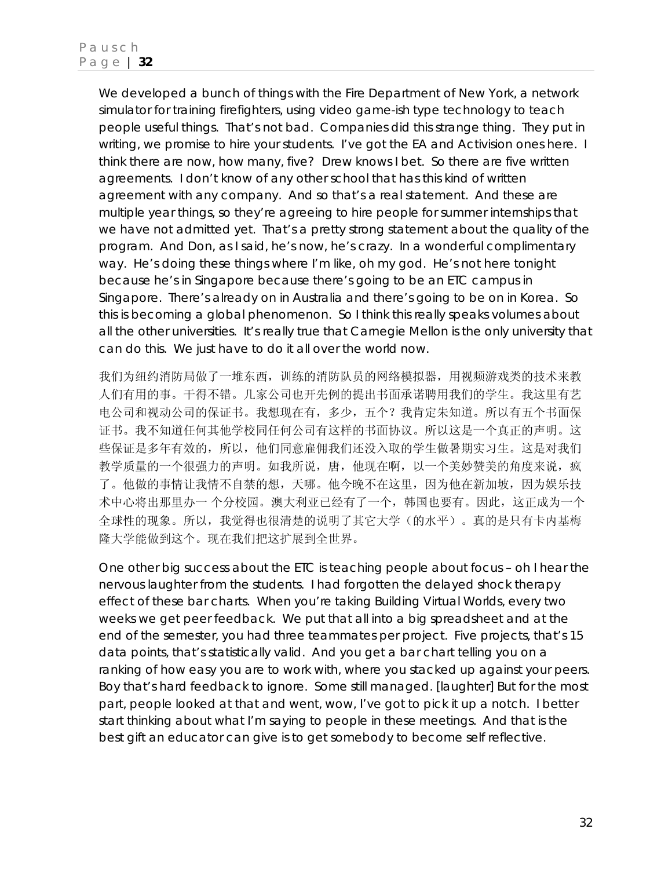We developed a bunch of things with the Fire Department of New York, a network simulator for training firefighters, using video game-ish type technology to teach people useful things. That's not bad. Companies did this strange thing. They put in writing, *we promise to hire your students*. I've got the EA and Activision ones here. I think there are now, how many, five? Drew knows I bet. So there are five written agreements. I don't know of any other school that has this kind of written agreement with any company. And so that's a real statement. And these are multiple year things, so they're agreeing to hire people for summer internships that we have not admitted yet. That's a pretty strong statement about the quality of the program. And Don, as I said, he's now, he's crazy. In a wonderful complimentary way. He's doing these things where I'm like, *oh my god*. He's not here tonight because he's in Singapore because there's going to be an ETC campus in Singapore. There's already on in Australia and there's going to be on in Korea. So this is becoming a global phenomenon. So I think this really speaks volumes about all the other universities. It's really true that Carnegie Mellon is the only university that can do this. We just have to do it all over the world now.

我们为纽约消防局做了一堆东西,训练的消防队员的网络模拟器,用视频游戏类的技术来教 人们有用的事。干得不错。几家公司也开先例的提出书面承诺聘用我们的学生。我这里有艺 电公司和视动公司的保证书。我想现在有,多少,五个?我肯定朱知道。所以有五个书面保 证书。我不知道任何其他学校同任何公司有这样的书面协议。所以这是一个真正的声明。这 些保证是多年有效的,所以,他们同意雇佣我们还没入取的学生做暑期实习生。这是对我们 教学质量的一个很强力的声明。如我所说,唐,他现在啊,以一个美妙赞美的角度来说,疯 了。他做的事情让我情不自禁的想,天哪。他今晚不在这里,因为他在新加坡,因为娱乐技 术中心将出那里办一 个分校园。澳大利亚已经有了一个,韩国也要有。因此,这正成为一个 全球性的现象。所以,我觉得也很清楚的说明了其它大学(的水平)。真的是只有卡内基梅 隆大学能做到这个。现在我们把这扩展到全世界。

One other big success about the ETC is teaching people about focus – oh I hear the nervous laughter from the students. I had forgotten the delayed shock therapy effect of these bar charts. When you're taking Building Virtual Worlds, every two weeks we get peer feedback. We put that all into a big spreadsheet and at the end of the semester, you had three teammates per project. Five projects, that's 15 data points, that's statistically valid. And you get a bar chart telling you on a ranking of how easy you are to work with, where you stacked up against your peers. Boy that's hard feedback to ignore. Some still managed. [laughter] But for the most part, people looked at that and went, *wow, I've got to pick it up a notch. I better start thinking about what I'm saying to people in these meetings.* And that is the best gift an educator can give is to get somebody to become self reflective.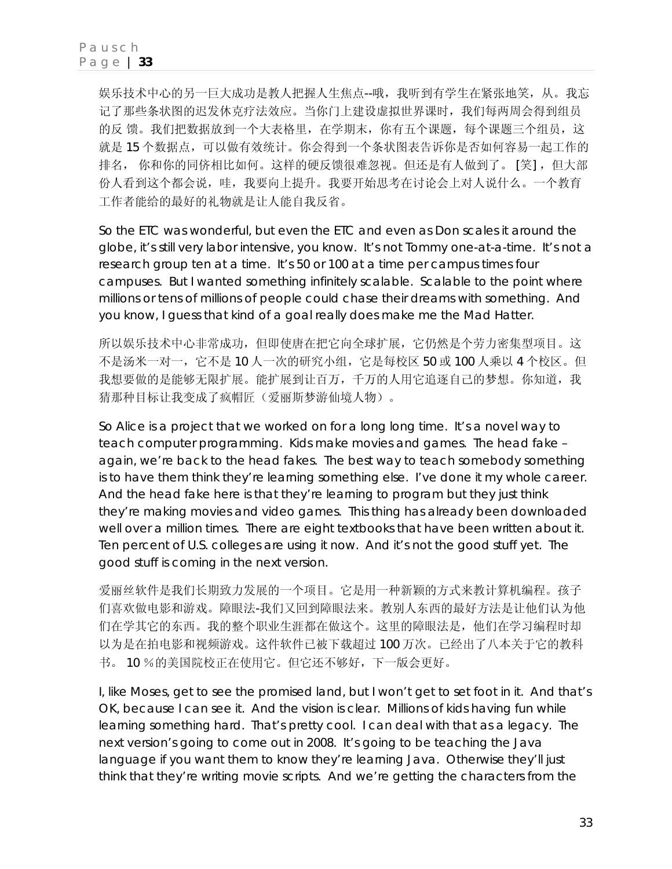娱乐技术中心的另一巨大成功是教人把握人生焦点--哦,我听到有学生在紧张地笑,从。我忘 记了那些条状图的迟发休克疗法效应。当你门上建设虚拟世界课时,我们每两周会得到组员 的反 馈。我们把数据放到一个大表格里,在学期末,你有五个课题,每个课题三个组员,这 就是 15 个数据点,可以做有效统计。你会得到一个条状图表告诉你是否如何容易一起工作的 排名, 你和你的同侪相比如何。这样的硬反馈很难忽视。但还是有人做到了。 [笑], 但大部 份人看到这个都会说,哇,我要向上提升。我要开始思考在讨论会上对人说什么。一个教育 工作者能给的最好的礼物就是让人能自我反省。

So the ETC was wonderful, but even the ETC and even as Don scales it around the globe, it's still very labor intensive, you know. It's not Tommy one-at-a-time. It's not a research group ten at a time. It's 50 or 100 at a time per campus times four campuses. But I wanted something infinitely scalable. Scalable to the point where millions or tens of millions of people could chase their dreams with something. And you know, I guess that kind of a goal really does make me the Mad Hatter.

所以娱乐技术中心非常成功,但即使唐在把它向全球扩展,它仍然是个劳力密集型项目。这 不是汤米一对一,它不是 10 人一次的研究小组,它是每校区 50 或 100 人乘以 4 个校区。但 我想要做的是能够无限扩展。能扩展到让百万,千万的人用它追逐自己的梦想。你知道,我 猜那种目标让我变成了疯帽匠(爱丽斯梦游仙境人物)。

So Alice is a project that we worked on for a long long time. It's a novel way to teach computer programming. Kids make movies and games. The head fake – again, we're back to the head fakes. The best way to teach somebody something is to have them think they're learning something else. I've done it my whole career. And the head fake here is that they're learning to program but they just think they're making movies and video games. This thing has already been downloaded well over a million times. There are eight textbooks that have been written about it. Ten percent of U.S. colleges are using it now. And it's not the good stuff yet. The good stuff is coming in the next version.

爱丽丝软件是我们长期致力发展的一个项目。它是用一种新颖的方式来教计算机编程。孩子 们喜欢做电影和游戏。障眼法-我们又回到障眼法来。教别人东西的最好方法是让他们认为他 们在学其它的东西。我的整个职业生涯都在做这个。这里的障眼法是,他们在学习编程时却 以为是在拍电影和视频游戏。这件软件已被下载超过 100 万次。已经出了八本关于它的教科 书。 10 %的美国院校正在使用它。但它还不够好,下一版会更好。

I, like Moses, get to see the promised land, but I won't get to set foot in it. And that's OK, because I can see it. And the vision is clear. Millions of kids having fun while learning something hard. That's pretty cool. I can deal with that as a legacy. The next version's going to come out in 2008. It's going to be teaching the Java language if you want them to know they're learning Java. Otherwise they'll just think that they're writing movie scripts. And we're getting the characters from the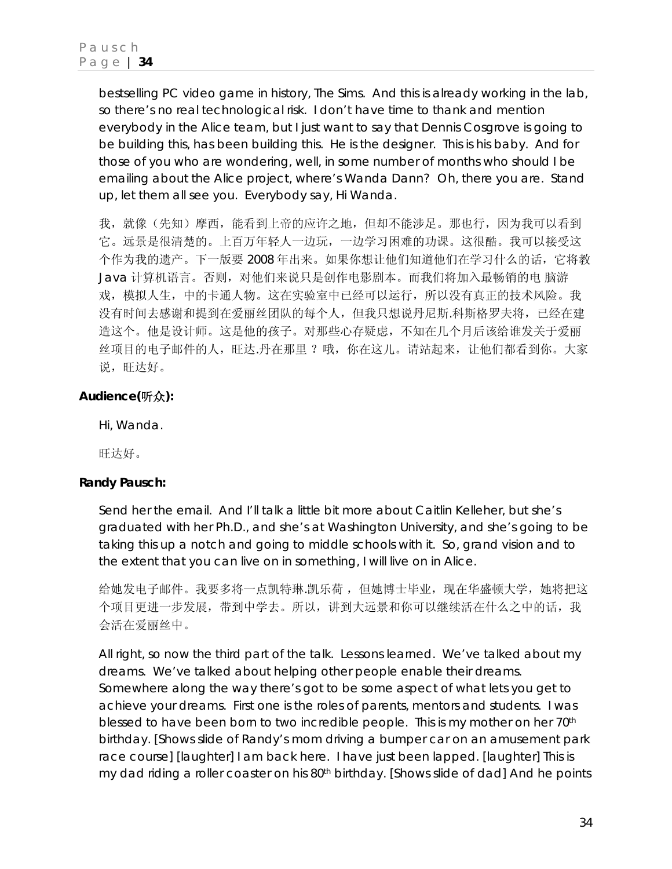bestselling PC video game in history, *The Sims*. And this is already working in the lab, so there's no real technological risk. I don't have time to thank and mention everybody in the Alice team, but I just want to say that Dennis Cosgrove is going to be building this, has been building this. He is the designer. This is his baby. And for those of you who are wondering, *well, in some number of months who should I be emailing about the Alice project,* where's Wanda Dann? Oh, there you are. Stand up, let them all see you. Everybody say, *Hi Wanda*.

我,就像(先知)摩西,能看到上帝的应许之地,但却不能涉足。那也行,因为我可以看到 它。远景是很清楚的。上百万年轻人一边玩,一边学习困难的功课。这很酷。我可以接受这 个作为我的遗产。下一版要 2008 年出来。如果你想让他们知道他们在学习什么的话,它将教 Java 计算机语言。否则,对他们来说只是创作电影剧本。而我们将加入最畅销的电 脑游 戏,模拟人生,中的卡通人物。这在实验室中已经可以运行,所以没有真正的技术风险。我 没有时间去感谢和提到在爱丽丝团队的每个人,但我只想说丹尼斯.科斯格罗夫将,已经在建 造这个。他是设计师。这是他的孩子。对那些心存疑虑,不知在几个月后该给谁发关于爱丽 丝项目的电子邮件的人,旺达.丹在那里 ?哦,你在这儿。请站起来,让他们都看到你。大家 说,旺达好。

# **Audience(**听众**):**

Hi, Wanda.

旺达好。

### **Randy Pausch:**

Send her the email. And I'll talk a little bit more about Caitlin Kelleher, but she's graduated with her Ph.D., and she's at Washington University, and she's going to be taking this up a notch and going to middle schools with it. So, grand vision and to the extent that you can live on in something, I will live on in Alice.

给她发电子邮件。我要多将一点凯特琳.凯乐荷,但她博士毕业,现在华盛顿大学,她将把这 个项目更进一步发展,带到中学去。所以,讲到大远景和你可以继续活在什么之中的话,我 会活在爱丽丝中。

All right, so now the third part of the talk. Lessons learned. We've talked about my dreams. We've talked about helping other people enable their dreams. Somewhere along the way there's got to be some aspect of what lets you get to achieve your dreams. First one is the roles of parents, mentors and students. I was blessed to have been born to two incredible people. This is my mother on her 70<sup>th</sup> birthday. [Shows slide of Randy's mom driving a bumper car on an amusement park race course] [laughter] I am back here. I have just been lapped. [laughter] This is my dad riding a roller coaster on his 80<sup>th</sup> birthday. [Shows slide of dad] And he points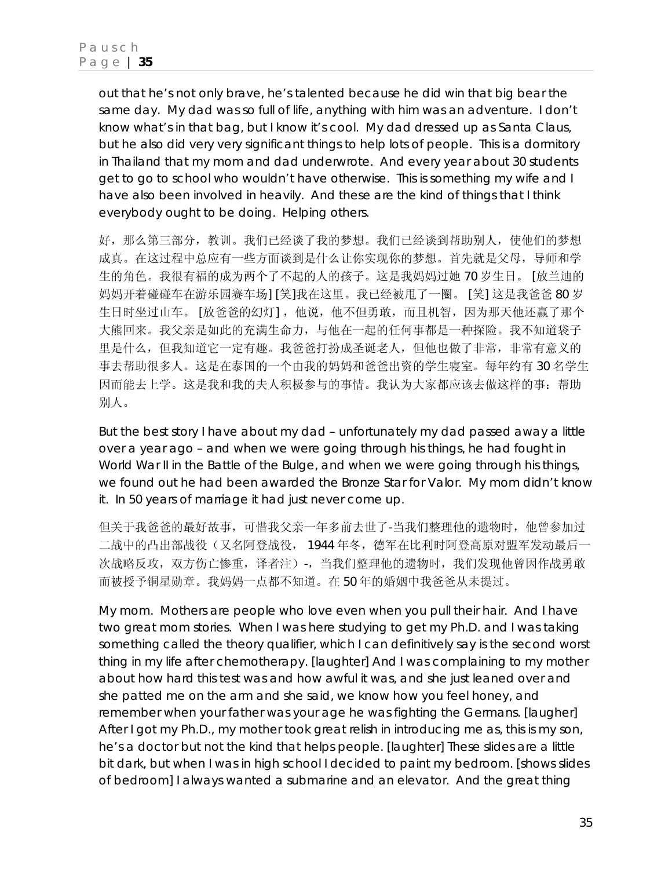out that he's not only brave, he's talented because he did win that big bear the same day. My dad was so full of life, anything with him was an adventure. I don't know what's in that bag, but I know it's cool. My dad dressed up as Santa Claus, but he also did very very significant things to help lots of people. This is a dormitory in Thailand that my mom and dad underwrote. And every year about 30 students get to go to school who wouldn't have otherwise. This is something my wife and I have also been involved in heavily. And these are the kind of things that I think everybody ought to be doing. Helping others.

好,那么第三部分,教训。我们已经谈了我的梦想。我们已经谈到帮助别人,使他们的梦想 成真。在这过程中总应有一些方面谈到是什么让你实现你的梦想。首先就是父母,导师和学 生的角色。我很有福的成为两个了不起的人的孩子。这是我妈妈过她 70 岁生日。 [放兰迪的 妈妈开着碰碰车在游乐园赛车场] [笑]我在这里。我已经被甩了一圈。 [笑] 这是我爸爸 80 岁 生日时坐过山车。 [放爸爸的幻灯], 他说, 他不但勇敢, 而且机智, 因为那天他还赢了那个 大熊回来。我父亲是如此的充满生命力,与他在一起的任何事都是一种探险。我不知道袋子 里是什么,但我知道它一定有趣。我爸爸打扮成圣诞老人,但他也做了非常,非常有意义的 事去帮助很多人。这是在泰国的一个由我的妈妈和爸爸出资的学生寝室。每年约有 30 名学生 因而能去上学。这是我和我的夫人积极参与的事情。我认为大家都应该去做这样的事:帮助 别人。

But the best story I have about my dad – unfortunately my dad passed away a little over a year ago – and when we were going through his things, he had fought in World War II in the Battle of the Bulge, and when we were going through his things, we found out he had been awarded the Bronze Star for Valor. My mom didn't know it. In 50 years of marriage it had just never come up.

但关于我爸爸的最好故事,可惜我父亲一年多前去世了-当我们整理他的遗物时,他曾参加过 二战中的凸出部战役(又名阿登战役, 1944 年冬,德军在比利时阿登高原对盟军发动最后一 次战略反攻, 双方伤亡惨重, 译者注)-, 当我们整理他的遗物时, 我们发现他曾因作战勇敢 而被授予铜星勋章。我妈妈一点都不知道。在 50 年的婚姻中我爸爸从未提过。

My mom. Mothers are people who love even when you pull their hair. And I have two great mom stories. When I was here studying to get my Ph.D. and I was taking something called the theory qualifier, which I can definitively say is the *second* worst thing in my life after chemotherapy. [laughter] And I was complaining to my mother about how hard this test was and how awful it was, and she just leaned over and she patted me on the arm and she said, *we know how you feel honey, and remember when your father was your age he was fighting the Germans.* [laugher] After I got my Ph.D., my mother took great relish in introducing me as, *this is my son, he's a doctor but not the kind that helps people*. [laughter] These slides are a little bit dark, but when I was in high school I decided to paint my bedroom. [shows slides of bedroom] I always wanted a submarine and an elevator. And the great thing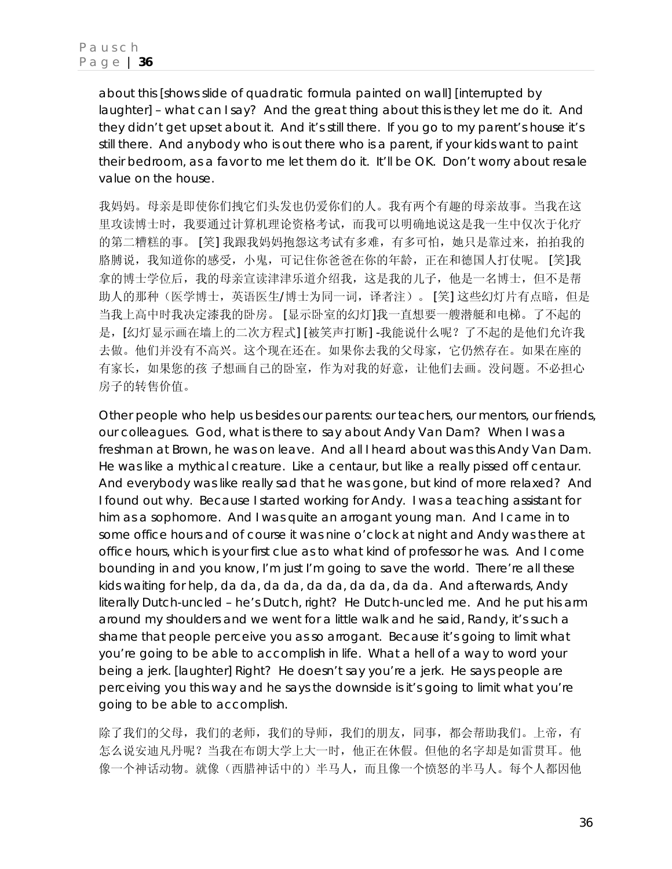about this [shows slide of quadratic formula painted on wall] [interrupted by laughter] – what can I say? And the great thing about this is they let me do it. And they didn't get upset about it. And it's still there. If you go to my parent's house it's still there. And anybody who is out there who is a parent, if your kids want to paint their bedroom, as a favor to me let them do it. It'll be OK. Don't worry about resale value on the house.

我妈妈。母亲是即使你们拽它们头发也仍爱你们的人。我有两个有趣的母亲故事。当我在这 里攻读博士时,我要通过计算机理论资格考试,而我可以明确地说这是我一生中仅次于化疗 的第二糟糕的事。 [笑] 我跟我妈妈抱怨这考试有多难,有多可怕,她只是靠过来,拍拍我的 胳膊说,我知道你的感受,小鬼,可记住你爸爸在你的年龄,正在和德国人打仗呢。 [笑]我 拿的博士学位后,我的母亲宣读津津乐道介绍我,这是我的儿子,他是一名博士,但不是帮 助人的那种(医学博士,英语医生/博士为同一词,译者注)。 [笑] 这些幻灯片有点暗, 但是 当我上高中时我决定漆我的卧房。 [显示卧室的幻灯]我一直想要一艘潜艇和电梯。了不起的 是,[幻灯显示画在墙上的二次方程式] [被笑声打断] -我能说什么呢?了不起的是他们允许我 去做。他们并没有不高兴。这个现在还在。如果你去我的父母家,它仍然存在。如果在座的 有家长,如果您的孩 子想画自己的卧室,作为对我的好意,让他们去画。没问题。不必担心 房子的转售价值。

Other people who help us besides our parents: our teachers, our mentors, our friends, our colleagues. God, what is there to say about Andy Van Dam? When I was a freshman at Brown, he was on leave. And all I heard about was this Andy Van Dam. He was like a mythical creature. Like a centaur, but like a really pissed off centaur. And everybody was like really sad that he was gone, but kind of more relaxed? And I found out why. Because I started working for Andy. I was a teaching assistant for him as a sophomore. And I was quite an arrogant young man. And I came in to some office hours and of course it was nine o'clock at night and Andy was there at office hours, which is your first clue as to what kind of professor he was. And I come bounding in and you know, I'm just I'm going to save the world. There're all these kids waiting for help, da da, da da, da da, da da, da da. And afterwards, Andy literally Dutch-uncled – he's Dutch, right? He Dutch-uncled me. And he put his arm around my shoulders and we went for a little walk and he said, *Randy, it's such a shame that people perceive you as so arrogant. Because it's going to limit what you're going to be able to accomplish in life*. What a hell of a way to word your being a jerk. [laughter] Right? He doesn't say you're a jerk. He says people are perceiving you this way and he says the downside is it's going to limit what you're going to be able to accomplish.

除了我们的父母,我们的老师,我们的导师,我们的朋友,同事,都会帮助我们。上帝,有 怎么说安迪凡丹呢?当我在布朗大学上大一时,他正在休假。但他的名字却是如雷贯耳。他 像一个神话动物。就像(西腊神话中的)半马人,而且像一个愤怒的半马人。每个人都因他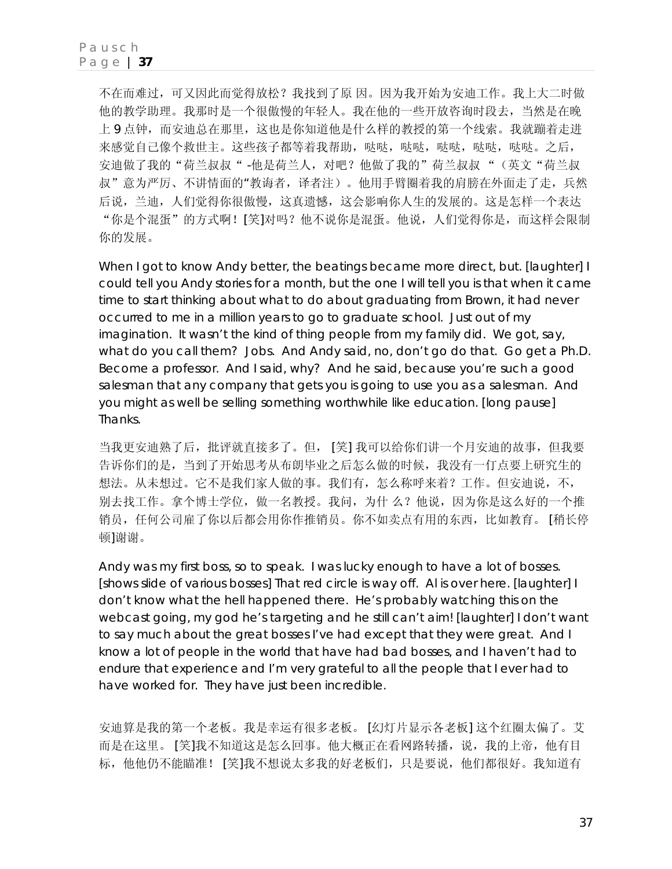不在而难过,可又因此而觉得放松?我找到了原 因。因为我开始为安迪工作。我上大二时做 他的教学助理。我那时是一个很傲慢的年轻人。我在他的一些开放咨询时段去,当然是在晚 上 9 点钟,而安迪总在那里,这也是你知道他是什么样的教授的第一个线索。我就蹦着走进 来感觉自己像个救世主。这些孩子都等着我帮助,哒哒,哒哒,哒哒,哒哒,哒哒,哒哒。之后, 安迪做了我的"荷兰叔叔" -他是荷兰人, 对吧?他做了我的"荷兰叔叔"(英文"荷兰叔 叔"意为严厉、不讲情面的"教诲者,译者注)。他用手臂圈着我的肩膀在外面走了走,兵然 后说,兰迪,人们觉得你很傲慢,这真遗憾,这会影响你人生的发展的。这是怎样一个表达 "你是个混蛋"的方式啊![笑]对吗?他不说你是混蛋。他说,人们觉得你是,而这样会限制 你的发展。

When I got to know Andy better, the beatings became more direct, but. [laughter] I could tell you Andy stories for a month, but the one I will tell you is that when it came time to start thinking about what to do about graduating from Brown, it had never occurred to me in a million years to go to graduate school. Just out of my imagination. It wasn't the kind of thing people from my family did. We got, say, what do you call them? Jobs. And Andy said, *no, don't go do that. Go get a Ph.D. Become a professor.* And I said, *why?* And he said, *because you're such a good salesman that any company that gets you is going to use you as a salesman. And you might as well be selling something worthwhile like education*. [long pause] Thanks.

当我更安迪熟了后,批评就直接多了。但, [笑] 我可以给你们讲一个月安迪的故事,但我要 告诉你们的是,当到了开始思考从布朗毕业之后怎么做的时候,我没有一仃点要上研究生的 想法。从未想过。它不是我们家人做的事。我们有,怎么称呼来着?工作。但安迪说,不, 别去找工作。拿个博士学位,做一名教授。我问,为什么?他说,因为你是这么好的一个推 销员,任何公司雇了你以后都会用你作推销员。你不如卖点有用的东西,比如教育。 [稍长停 顿]谢谢。

Andy was my first boss, so to speak. I was lucky enough to have a lot of bosses. [shows slide of various bosses] That red circle is way off. Al is over here. [laughter] I don't know what the hell happened there. He's probably watching this on the webcast going, *my god he's targeting and he still can't aim!* [laughter] I don't want to say much about the great bosses I've had except that they were great. And I know a lot of people in the world that have had bad bosses, and I haven't had to endure that experience and I'm very grateful to all the people that I ever had to have worked for. They have just been incredible.

安迪算是我的第一个老板。我是幸运有很多老板。 [幻灯片显示各老板] 这个红圈太偏了。艾 而是在这里。 [笑]我不知道这是怎么回事。他大概正在看网路转播,说,我的上帝,他有目 标,他他仍不能瞄准! [笑]我不想说太多我的好老板们,只是要说,他们都很好。我知道有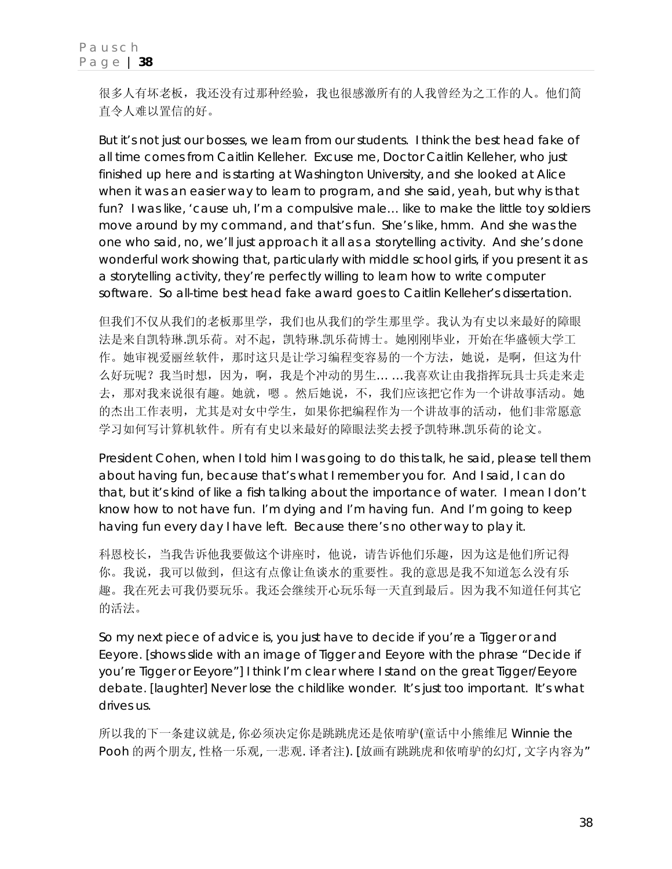很多人有坏老板,我还没有过那种经验,我也很感激所有的人我曾经为之工作的人。他们简 直令人难以置信的好。

But it's not just our bosses, we learn from our students. I think the best head fake of all time comes from Caitlin Kelleher. Excuse me, *Doctor* Caitlin Kelleher, who just finished up here and is starting at Washington University, and she looked at Alice when it was an easier way to learn to program, and she said, *yeah, but why is that fun?* I was like, *'cause uh, I'm a compulsive male… like to make the little toy soldiers move around by my command, and that's fun*. She's like, *hmm.* And she was the one who said, *no, we'll just approach it all as a storytelling activity*. And she's done wonderful work showing that, particularly with middle school girls, if you present it as a storytelling activity, they're perfectly willing to learn how to write computer software. So all-time best head fake award goes to Caitlin Kelleher's dissertation.

但我们不仅从我们的老板那里学,我们也从我们的学生那里学。我认为有史以来最好的障眼 法是来自凯特琳.凯乐荷。对不起,凯特琳.凯乐荷博士。她刚刚毕业,开始在华盛顿大学工 作。她审视爱丽丝软件,那时这只是让学习编程变容易的一个方法,她说,是啊,但这为什 么好玩呢?我当时想,因为,啊,我是个冲动的男生… …我喜欢让由我指挥玩具士兵走来走 去,那对我来说很有趣。她就,嗯 。然后她说,不,我们应该把它作为一个讲故事活动。她 的杰出工作表明,尤其是对女中学生,如果你把编程作为一个讲故事的活动,他们非常愿意 学习如何写计算机软件。所有有史以来最好的障眼法奖去授予凯特琳.凯乐荷的论文。

President Cohen, when I told him I was going to do this talk, he said, *please tell them about having fun, because that's what I remember you for*. And I said, *I can do that, but it's kind of like a fish talking about the importance of water*. I mean I don't know how to not have fun. I'm dying and I'm having fun. And I'm going to keep having fun every day I have left. Because there's no other way to play it.

科恩校长,当我告诉他我要做这个讲座时,他说,请告诉他们乐趣,因为这是他们所记得 你。我说,我可以做到,但这有点像让鱼谈水的重要性。我的意思是我不知道怎么没有乐 趣。我在死去可我仍要玩乐。我还会继续开心玩乐每一天直到最后。因为我不知道任何其它 的活法。

So my next piece of advice is, you just have to decide if you're a Tigger or and Eeyore. [shows slide with an image of Tigger and Eeyore with the phrase "Decide if you're Tigger or Eeyore"] I think I'm clear where I stand on the great Tigger/Eeyore debate. [laughter] Never lose the childlike wonder. It's just too important. It's what drives us.

所以我的下一条建议就是, 你必须决定你是跳跳虎还是依唷驴(童话中小熊维尼 Winnie the Pooh 的两个朋友, 性格一乐观, 一悲观. 译者注). [放画有跳跳虎和依唷驴的幻灯, 文字内容为"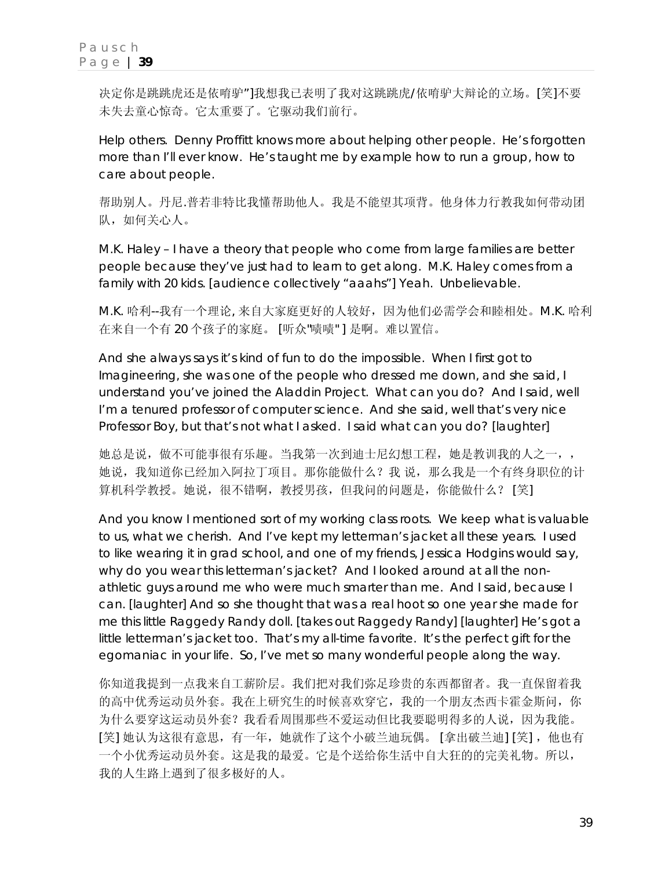决定你是跳跳虎还是依唷驴"]我想我已表明了我对这跳跳虎/依唷驴大辩论的立场。[笑]不要 未失去童心惊奇。它太重要了。它驱动我们前行。

Help others. Denny Proffitt knows more about helping other people. He's forgotten more than I'll ever know. He's taught me by example how to run a group, how to care about people.

帮助别人。丹尼.普若非特比我懂帮助他人。我是不能望其项背。他身体力行教我如何带动团 队,如何关心人。

M.K. Haley – I have a theory that people who come from large families are better people because they've just had to learn to get along. M.K. Haley comes from a family with 20 kids. [audience collectively "aaahs"] Yeah. Unbelievable.

M.K. 哈利--我有一个理论, 来自大家庭更好的人较好,因为他们必需学会和睦相处。M.K. 哈利 在来自一个有 20 个孩子的家庭。 [听众"啧啧" ] 是啊。难以置信。

And she always says it's kind of fun to do the impossible. When I first got to Imagineering, she was one of the people who dressed me down, and she said, *I understand you've joined the Aladdin Project. What can you do?* And I said, *well I'm a tenured professor of computer science*. And she said, *well that's very nice Professor Boy, but that's not what I asked. I said what can you do?* [laughter]

她总是说,做不可能事很有乐趣。当我第一次到迪士尼幻想工程,她是教训我的人之一,, 她说,我知道你已经加入阿拉丁项目。那你能做什么?我 说,那么我是一个有终身职位的计 算机科学教授。她说,很不错啊,教授男孩,但我问的问题是,你能做什么? [笑]

And you know I mentioned sort of my working class roots. We keep what is valuable to us, what we cherish. And I've kept my letterman's jacket all these years. I used to like wearing it in grad school, and one of my friends, Jessica Hodgins would say, *why do you wear this letterman's jacket?* And I looked around at all the nonathletic guys around me who were much smarter than me. And I said, *because I can*. [laughter] And so she thought that was a real hoot so one year she made for me this little Raggedy Randy doll. [takes out Raggedy Randy] [laughter] He's got a little letterman's jacket too. That's my all-time favorite. It's the perfect gift for the egomaniac in your life. So, I've met so many wonderful people along the way.

你知道我提到一点我来自工薪阶层。我们把对我们弥足珍贵的东西都留者。我一直保留着我 的高中优秀运动员外套。我在上研究生的时候喜欢穿它,我的一个朋友杰西卡霍金斯问,你 为什么要穿这运动员外套?我看看周围那些不爱运动但比我要聪明得多的人说,因为我能。 [笑] 她认为这很有意思, 有一年, 她就作了这个小破兰迪玩偶。 [拿出破兰迪] [笑], 他也有 一个小优秀运动员外套。这是我的最爱。它是个送给你生活中自大狂的的完美礼物。所以, 我的人生路上遇到了很多极好的人。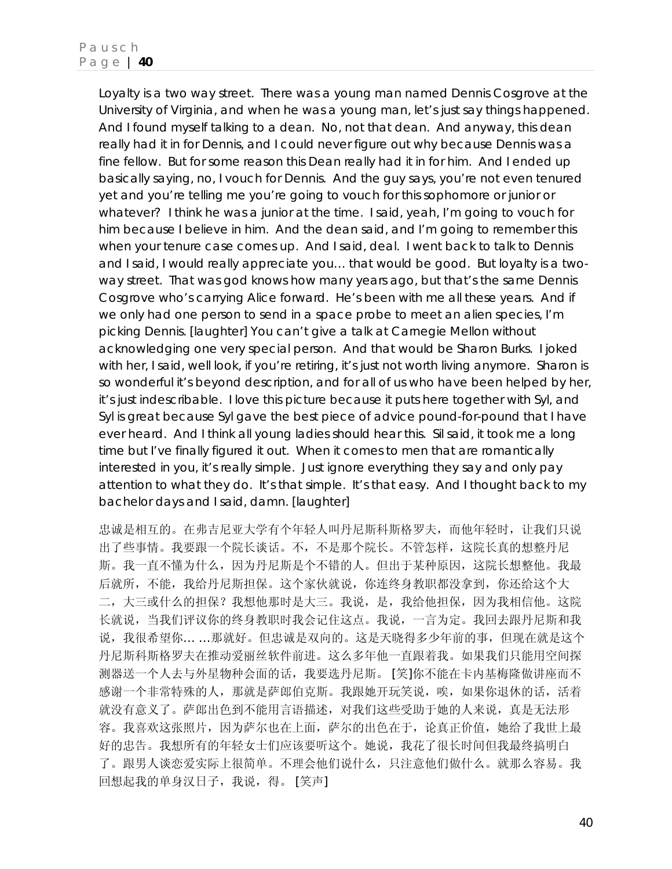Loyalty is a two way street. There was a young man named Dennis Cosgrove at the University of Virginia, and when he was a young man, let's just say things happened. And I found myself talking to a dean. No, not that dean. And anyway, this dean really had it in for Dennis, and I could never figure out why because Dennis was a fine fellow. But for some reason this Dean really had it in for him. And I ended up basically saying, *no, I vouch for Dennis*. And the guy says, *you're not even tenured yet and you're telling me you're going to vouch for this sophomore* or junior or whatever? I think he was a junior at the time. I said, *yeah, I'm going to vouch for him because I believe in him.* And the dean said, *and I'm going to remember this when your tenure case comes up.* And I said, *deal*. I went back to talk to Dennis and I said, *I would really appreciate you… that would be good.* But loyalty is a twoway street. That was god knows how many years ago, but that's the same Dennis Cosgrove who's carrying Alice forward. He's been with me all these years. And if we only had one person to send in a space probe to meet an alien species, I'm picking Dennis. [laughter] You can't give a talk at Carnegie Mellon without acknowledging one very special person. And that would be Sharon Burks. I joked with her, I said, *well look, if you're retiring, it's just not worth living anymore*. Sharon is so wonderful it's beyond description, and for all of us who have been helped by her, it's just indescribable. I love this picture because it puts here together with Syl, and Syl is great because Syl gave the best piece of advice pound-for-pound that I have ever heard. And I think all young ladies should hear this. Sil said, *it took me a long time but I've finally figured it out. When it comes to men that are romantically interested in you, it's really simple. Just ignore everything they say and only pay attention to what they do. It's that simple. It's that easy*. And I thought back to my bachelor days and I said, *damn.* [laughter]

忠诚是相互的。在弗吉尼亚大学有个年轻人叫丹尼斯科斯格罗夫,而他年轻时,让我们只说 出了些事情。我要跟一个院长谈话。不,不是那个院长。不管怎样,这院长真的想整丹尼 斯。我一直不懂为什么,因为丹尼斯是个不错的人。但出于某种原因,这院长想整他。我最 后就所,不能,我给丹尼斯担保。这个家伙就说,你连终身教职都没拿到,你还给这个大 二,大三或什么的担保?我想他那时是大三。我说,是,我给他担保,因为我相信他。这院 长就说,当我们评议你的终身教职时我会记住这点。我说,一言为定。我回去跟丹尼斯和我 说,我很希望你… …那就好。但忠诚是双向的。这是天晓得多少年前的事,但现在就是这个 丹尼斯科斯格罗夫在推动爱丽丝软件前进。这么多年他一直跟着我。如果我们只能用空间探 测器送一个人去与外星物种会面的话,我要选丹尼斯。 [笑]你不能在卡内基梅隆做讲座而不 感谢一个非常特殊的人,那就是萨郎伯克斯。我跟她开玩笑说,唉,如果你退休的话,活着 就没有意义了。萨郎出色到不能用言语描述,对我们这些受助于她的人来说,真是无法形 容。我喜欢这张照片,因为萨尔也在上面,萨尔的出色在于,论真正价值,她给了我世上最 好的忠告。我想所有的年轻女士们应该要听这个。她说,我花了很长时间但我最终搞明白 了。跟男人谈恋爱实际上很简单。不理会他们说什么,只注意他们做什么。就那么容易。我 回想起我的单身汉日子,我说,得。 [笑声]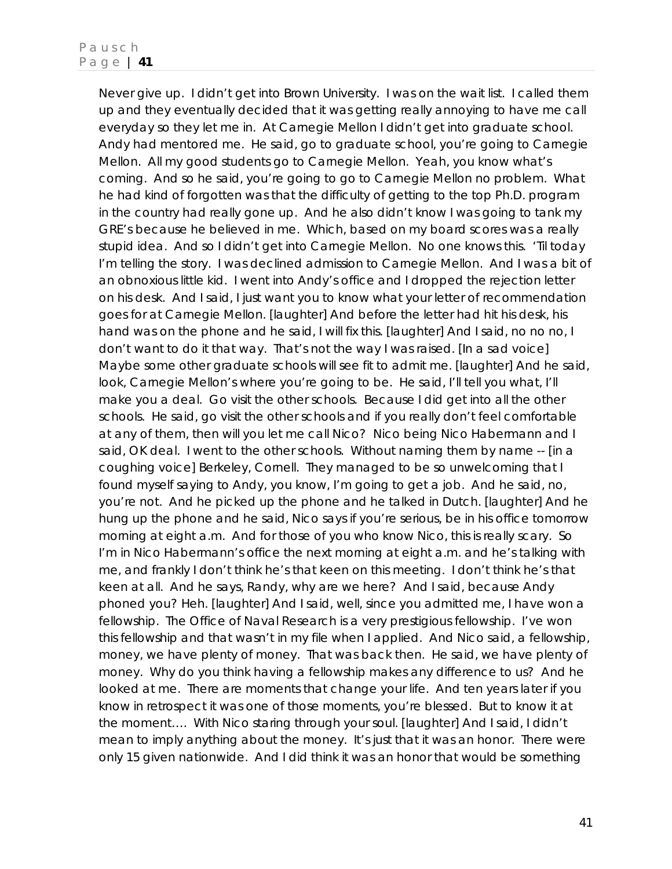Never give up. I didn't get into Brown University. I was on the wait list. I called them up and they eventually decided that it was getting really annoying to have me call everyday so they let me in. At Carnegie Mellon I didn't get into graduate school. Andy had mentored me. He said, *go to graduate school, you're going to Carnegie Mellon. All my good students go to Carnegie Mellon*. Yeah, you know what's coming. And so he said, *you're going to go to Carnegie Mellon no problem.* What he had kind of forgotten was that the difficulty of getting to the top Ph.D. program in the country had really gone up. And he also didn't know I was going to tank my GRE's because he believed in me. Which, based on my board scores was a really stupid idea. And so I didn't get into Carnegie Mellon. No one knows this. 'Til today I'm telling the story. I was declined admission to Carnegie Mellon. And I was a bit of an obnoxious little kid. I went into Andy's office and I dropped the rejection letter on his desk. And I said, *I just want you to know what your letter of recommendation goes for at Carnegie Mellon*. [laughter] And before the letter had hit his desk, his hand was on the phone and he said, *I will fix this*. [laughter] And I said, *no no no, I don't want to do it that way. That's not the way I was raised. [*In a sad voice] *Maybe some other graduate schools will see fit to admit me.* [laughter] And he said, *look, Carnegie Mellon's where you're going to be.* He said, I'll tell you what, I'll *make you a deal. Go visit the other schools*. Because I did get into all the other schools. He said, *go visit the other schools and if you really don't feel comfortable at any of them, then will you let me call Nico?* Nico being Nico Habermann and I said, *OK deal*. I went to the other schools. Without naming them by name -- [in a coughing voice] Berkeley, Cornell. They managed to be so unwelcoming that I found myself saying to Andy, *you know, I'm going to get a job*. And he said, *no, you're not.* And he picked up the phone and he talked in Dutch. [laughter] And he hung up the phone and he said, *Nico says if you're serious, be in his office tomorrow morning at eight a.m.* And for those of you who know Nico, this is really scary. So I'm in Nico Habermann's office the next morning at eight a.m. and he's talking with me, and frankly I don't think he's that keen on this meeting. I don't think he's that keen at all. And he says, *Randy, why are we here?* And I said, *because Andy phoned you? Heh.* [laughter] And I said, *well, since you admitted me, I have won a fellowship. The Office of Naval Research is a very prestigious fellowship. I've won this fellowship and that wasn't in my file when I applied.* And Nico said, *a fellowship, money, we have plenty of money.* That was back then. He said, *we have plenty of money. Why do you think having a fellowship makes any difference to us?* And he looked at me. There are moments that change your life. And ten years later if you know in retrospect it was one of those moments, you're blessed. But to know it *at* the moment…. With Nico staring through your soul. [laughter] And I said, *I didn't mean to imply anything about the money. It's just that it was an honor. There were only 15 given nationwide. And I did think it was an honor that would be something*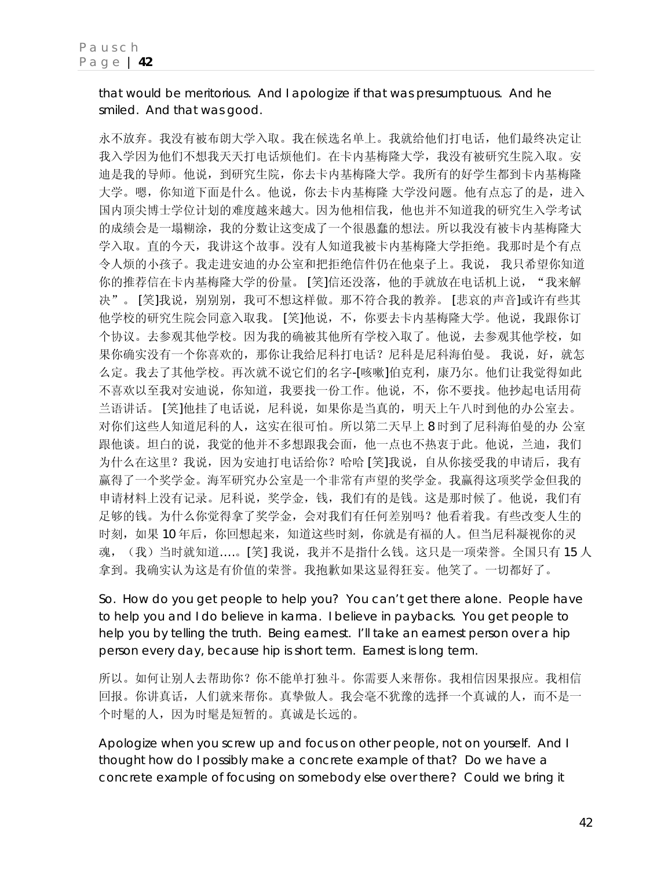*that would be meritorious. And I apologize if that was presumptuous.* And he smiled. And that was good.

永不放弃。我没有被布朗大学入取。我在候选名单上。我就给他们打电话,他们最终决定让 我入学因为他们不想我天天打电话烦他们。在卡内基梅隆大学,我没有被研究生院入取。安 迪是我的导师。他说,到研究生院,你去卡内基梅隆大学。我所有的好学生都到卡内基梅隆 大学。嗯,你知道下面是什么。他说,你去卡内基梅隆 大学没问题。他有点忘了的是,进入 国内顶尖博士学位计划的难度越来越大。因为他相信我,他也并不知道我的研究生入学考试 的成绩会是一塌糊涂,我的分数让这变成了一个很愚蠢的想法。所以我没有被卡内基梅隆大 学入取。直的今天,我讲这个故事。没有人知道我被卡内基梅隆大学拒绝。我那时是个有点 令人烦的小孩子。我走进安迪的办公室和把拒绝信件仍在他桌子上。我说, 我只希望你知道 你的推荐信在卡内基梅隆大学的份量。 [笑]信还没落,他的手就放在电话机上说, "我来解 决"。 [笑]我说,别别别,我可不想这样做。那不符合我的教养。 [悲哀的声音]或许有些其 他学校的研究生院会同意入取我。 [笑]他说,不,你要去卡内基梅隆大学。他说,我跟你订 个协议。去参观其他学校。因为我的确被其他所有学校入取了。他说,去参观其他学校,如 果你确实没有一个你喜欢的,那你让我给尼科打电话?尼科是尼科海伯曼。我说,好,就怎 么定。我去了其他学校。再次就不说它们的名字-[咳嗽]伯克利,康乃尔。他们让我觉得如此 不喜欢以至我对安迪说,你知道,我要找一份工作。他说,不,你不要找。他抄起电话用荷 兰语讲话。 [笑]他挂了电话说,尼科说,如果你是当真的,明天上午八时到他的办公室去。 对你们这些人知道尼科的人,这实在很可怕。所以第二天早上 8 时到了尼科海伯曼的办 公室 跟他谈。坦白的说,我觉的他并不多想跟我会面,他一点也不热衷于此。他说,兰迪,我们 为什么在这里?我说,因为安迪打电话给你?哈哈 [笑]我说,自从你接受我的申请后,我有 赢得了一个奖学金。海军研究办公室是一个非常有声望的奖学金。我赢得这项奖学金但我的 申请材料上没有记录。尼科说,奖学金,钱,我们有的是钱。这是那时候了。他说,我们有 足够的钱。为什么你觉得拿了奖学金,会对我们有任何差别吗?他看着我。有些改变人生的 时刻,如果 10 年后, 你回想起来, 知道这些时刻, 你就是有福的人。但当尼科凝视你的灵 魂, (我)当时就知道….。[笑] 我说, 我并不是指什么钱。这只是一项荣誉。全国只有 15 人 拿到。我确实认为这是有价值的荣誉。我抱歉如果这显得狂妄。他笑了。一切都好了。

So. How do you get people to help you? You can't get there alone. People have to help you and I do believe in karma. I believe in paybacks. You get people to help you by telling the truth. Being earnest. I'll take an earnest person over a hip person every day, because hip is short term. Earnest is long term.

所以。如何让别人去帮助你?你不能单打独斗。你需要人来帮你。我相信因果报应。我相信 回报。你讲真话,人们就来帮你。真挚做人。我会毫不犹豫的选择一个真诚的人,而不是一 个时髦的人,因为时髦是短暂的。真诚是长远的。

Apologize when you screw up and focus on other people, not on yourself. And I thought how do I possibly make a concrete example of that? Do we have a concrete example of focusing on somebody else over there? Could we bring it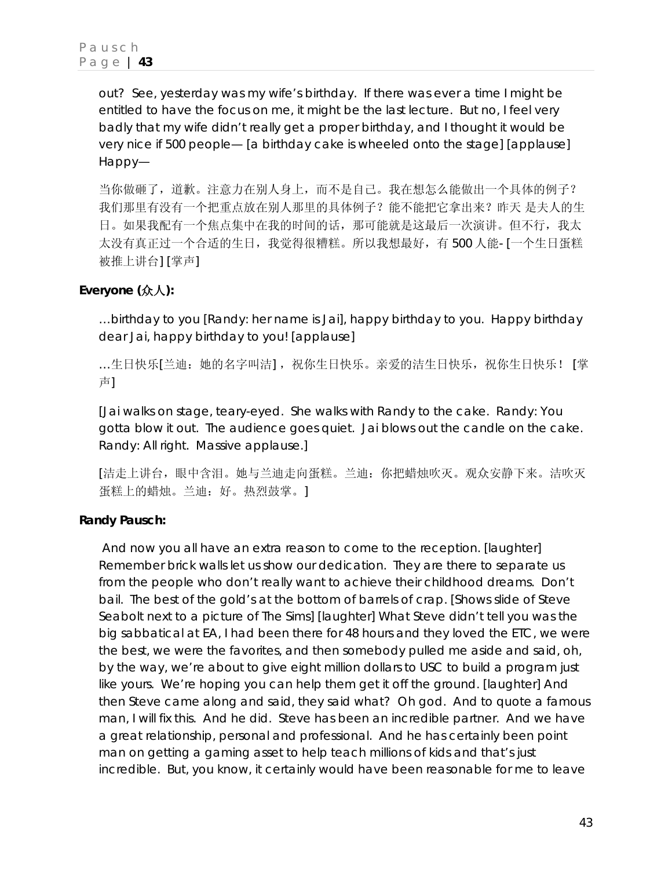out? See, yesterday was my wife's birthday. If there was ever a time I might be entitled to have the focus on me, it might be the last lecture. But no, I feel very badly that my wife didn't really get a proper birthday, and I thought it would be very nice if 500 people— [a birthday cake is wheeled onto the stage] [applause] Happy—

当你做砸了,道歉。注意力在别人身上,而不是自己。我在想怎么能做出一个具体的例子? 我们那里有没有一个把重点放在别人那里的具体例子?能不能把它拿出来?昨天 是夫人的生 日。如果我配有一个焦点集中在我的时间的话,那可能就是这最后一次演讲。但不行,我太 太没有真正过一个合适的生日,我觉得很糟糕。所以我想最好,有 500 人能- [一个生日蛋糕 被推上讲台] [掌声]

# **Everyone (**众人**):**

…birthday to you [Randy: *her name is Jai*], happy birthday to you. Happy birthday dear Jai, happy birthday to you! [applause]

...生日快乐[兰迪: 她的名字叫洁], 祝你生日快乐。亲爱的洁生日快乐, 祝你生日快乐! [掌 声]

[Jai walks on stage, teary-eyed. She walks with Randy to the cake. Randy: You gotta blow it out. The audience goes quiet. Jai blows out the candle on the cake. Randy: All right. Massive applause.]

[洁走上讲台,眼中含泪。她与兰迪走向蛋糕。兰迪:你把蜡烛吹灭。观众安静下来。洁吹灭 蛋糕上的蜡烛。兰迪:好。热烈鼓掌。]

# **Randy Pausch:**

 And now you all have an extra reason to come to the reception. [laughter] Remember brick walls let us show our dedication. They are there to separate us from the people who don't really want to achieve their childhood dreams. Don't bail. The best of the gold's at the bottom of barrels of crap. [Shows slide of Steve Seabolt next to a picture of The Sims] [laughter] What Steve didn't tell you was the big sabbatical at EA, I had been there for 48 hours and they loved the ETC, we were the best, we were the favorites, and then somebody pulled me aside and said, *oh, by the way, we're about to give eight million dollars to USC to build a program just like yours*. We're hoping you can help them get it off the ground. [laughter] And then Steve came along and said, *they said what? Oh god.* And to quote a famous man, *I will fix this*. And he did. Steve has been an incredible partner. And we have a great relationship, personal and professional. And he has certainly been point man on getting a gaming asset to help teach millions of kids and that's just incredible. But, you know, it certainly would have been reasonable for me to leave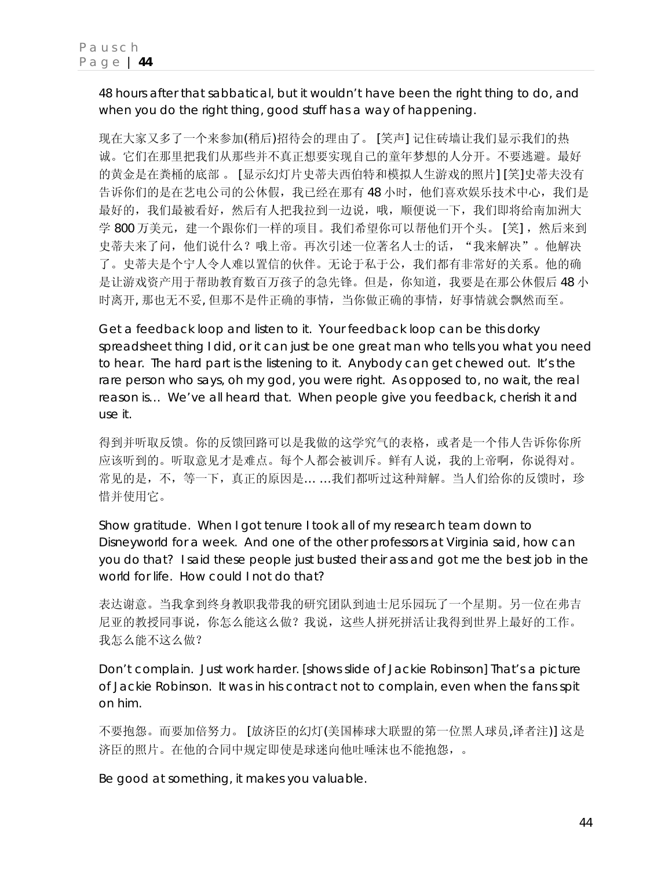48 hours after that sabbatical, but it wouldn't have been the right thing to do, and when you do the right thing, good stuff has a way of happening.

现在大家又多了一个来参加(稍后)招待会的理由了。 [笑声] 记住砖墙让我们显示我们的热 诚。它们在那里把我们从那些并不真正想要实现自己的童年梦想的人分开。不要逃避。最好 的黄金是在粪桶的底部 。 [显示幻灯片史蒂夫西伯特和模拟人生游戏的照片] [笑]史蒂夫没有 告诉你们的是在艺电公司的公休假,我已经在那有48小时,他们喜欢娱乐技术中心,我们是 最好的,我们最被看好,然后有人把我拉到一边说,哦,顺便说一下,我们即将给南加洲大 学 800 万美元,建一个跟你们一样的项目。我们希望你可以帮他们开个头。 [笑] ,然后来到 史蒂夫来了问,他们说什么?哦上帝。再次引述一位著名人士的话,"我来解决"。他解决 了。史蒂夫是个宁人令人难以置信的伙伴。无论于私于公,我们都有非常好的关系。他的确 是让游戏资产用于帮助教育数百万孩子的急先锋。但是,你知道,我要是在那公休假后 48 小 时离开, 那也无不妥, 但那不是件正确的事情,当你做正确的事情,好事情就会飘然而至。

Get a feedback loop and listen to it. Your feedback loop can be this dorky spreadsheet thing I did, or it can just be one great man who tells you what you need to hear. The hard part is the listening to it. Anybody can get chewed out. It's the rare person who says, *oh my god, you were right.* As opposed to*, no wait, the real reason is…* We've all heard that. When people give you feedback, cherish it and use it.

得到并听取反馈。你的反馈回路可以是我做的这学究气的表格,或者是一个伟人告诉你你所 应该听到的。听取意见才是难点。每个人都会被训斥。鲜有人说,我的上帝啊,你说得对。 常见的是,不,等一下,真正的原因是……我们都听过这种辩解。当人们给你的反馈时,珍 惜并使用它。

Show gratitude. When I got tenure I took all of my research team down to Disneyworld for a week. And one of the other professors at Virginia said, *how can you do that?* I said *these people just busted their ass and got me the best job in the world for life. How could I not do that?* 

表达谢意。当我拿到终身教职我带我的研究团队到迪士尼乐园玩了一个星期。另一位在弗吉 尼亚的教授同事说,你怎么能这么做?我说,这些人拼死拼活让我得到世界上最好的工作。 我怎么能不这么做?

Don't complain. Just work harder. [shows slide of Jackie Robinson] That's a picture of Jackie Robinson. It was in his contract not to complain, even when the fans spit on him.

不要抱怨。而要加倍努力。 [放济臣的幻灯(美国棒球大联盟的第一位黑人球员,译者注)] 这是 济臣的照片。在他的合同中规定即使是球迷向他吐唾沫也不能抱怨,。

Be good at something, it makes you valuable.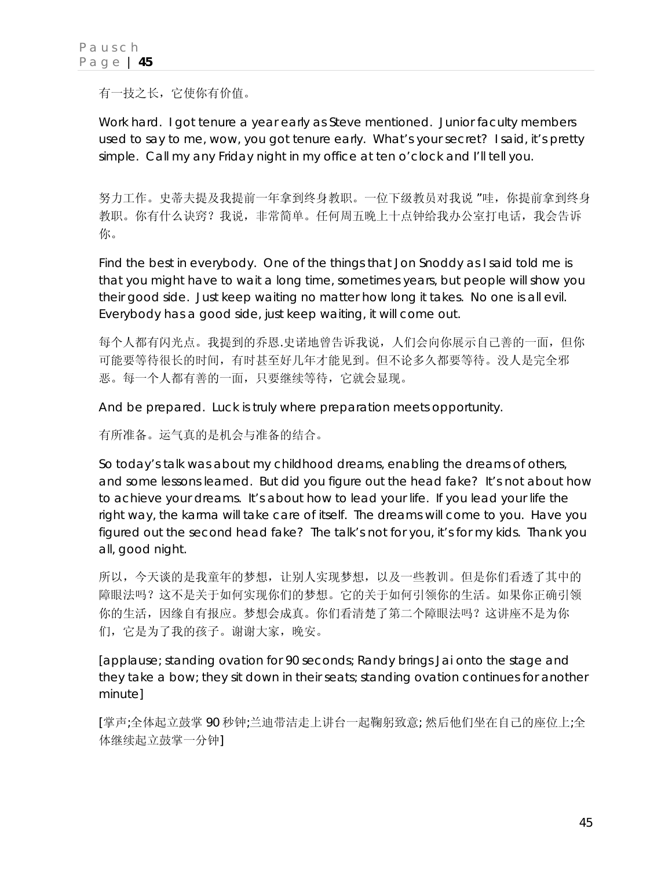有一技之长,它使你有价值。

Work hard. I got tenure a year early as Steve mentioned. Junior faculty members used to say to me, *wow, you got tenure early. What's your secret?* I said, *it's pretty simple. Call my any Friday night in my office at ten o'clock and I'll tell you.* 

努力工作。史蒂夫提及我提前一年拿到终身教职。一位下级教员对我说 "哇,你提前拿到终身 教职。你有什么诀窍?我说,非常简单。任何周五晚上十点钟给我办公室打电话,我会告诉 你。

Find the best in everybody. One of the things that Jon Snoddy as I said told me is that you might have to wait a long time, sometimes years, but people will show you their good side. Just keep waiting no matter how long it takes. No one is all evil. Everybody has a good side, just keep waiting, it will come out.

每个人都有闪光点。我提到的乔恩.史诺地曾告诉我说,人们会向你展示自己善的一面,但你 可能要等待很长的时间,有时甚至好几年才能见到。但不论多久都要等待。没人是完全邪 恶。每一个人都有善的一面,只要继续等待,它就会显现。

And be prepared. Luck is truly where preparation meets opportunity.

有所准备。运气真的是机会与准备的结合。

So today's talk was about my childhood dreams, enabling the dreams of others, and some lessons learned. But did you figure out the head fake? It's not about how to achieve your dreams. It's about how to lead your life. If you lead your life the right way, the karma will take care of itself. The dreams will come to you. Have you figured out the second head fake? The talk's not for you, it's for my kids. Thank you all, good night.

所以,今天谈的是我童年的梦想,让别人实现梦想,以及一些教训。但是你们看透了其中的 障眼法吗?这不是关于如何实现你们的梦想。它的关于如何引领你的生活。如果你正确引领 你的生活,因缘自有报应。梦想会成真。你们看清楚了第二个障眼法吗?这讲座不是为你 们,它是为了我的孩子。谢谢大家,晚安。

[applause; standing ovation for 90 seconds; Randy brings Jai onto the stage and they take a bow; they sit down in their seats; standing ovation continues for another minute]

[掌声;全体起立鼓掌 90 秒钟;兰迪带洁走上讲台一起鞠躬致意; 然后他们坐在自己的座位上;全 体继续起立鼓掌一分钟]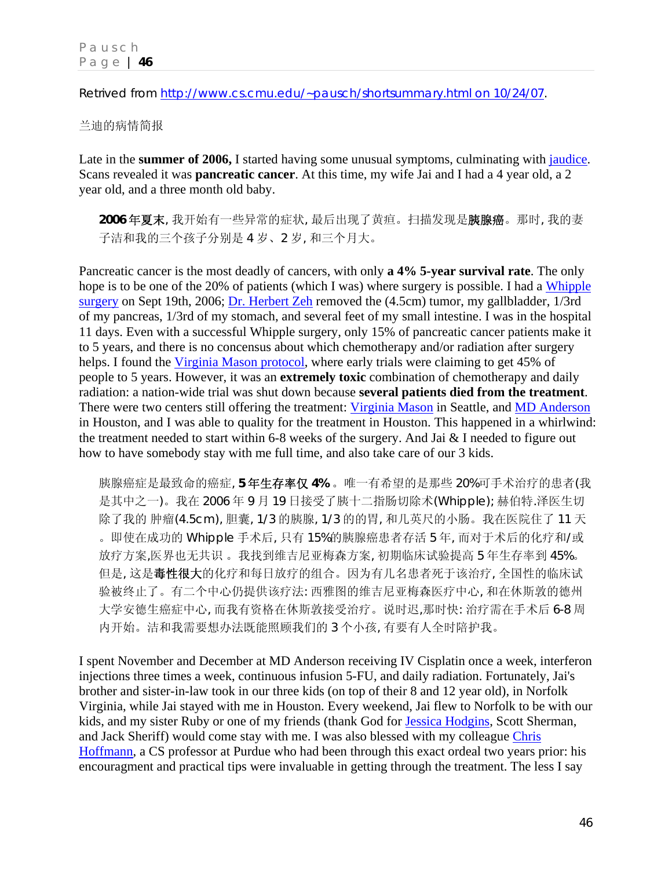Retrived from http://www.cs.cmu.edu/~pausch/shortsummary.html on 10/24/07.

兰迪的病情简报

Late in the **summer of 2006,** I started having some unusual symptoms, culminating with jaudice. Scans revealed it was **pancreatic cancer**. At this time, my wife Jai and I had a 4 year old, a 2 year old, and a three month old baby.

**2006** 年夏末, 我开始有一些异常的症状, 最后出现了黄疸。扫描发现是胰腺癌。那时, 我的妻 子洁和我的三个孩子分别是 4 岁、2 岁, 和三个月大。

Pancreatic cancer is the most deadly of cancers, with only **a 4% 5-year survival rate**. The only hope is to be one of the 20% of patients (which I was) where surgery is possible. I had a Whipple surgery on Sept 19th, 2006; Dr. Herbert Zeh removed the (4.5cm) tumor, my gallbladder, 1/3rd of my pancreas, 1/3rd of my stomach, and several feet of my small intestine. I was in the hospital 11 days. Even with a successful Whipple surgery, only 15% of pancreatic cancer patients make it to 5 years, and there is no concensus about which chemotherapy and/or radiation after surgery helps. I found the Virginia Mason protocol, where early trials were claiming to get 45% of people to 5 years. However, it was an **extremely toxic** combination of chemotherapy and daily radiation: a nation-wide trial was shut down because **several patients died from the treatment**. There were two centers still offering the treatment: Virginia Mason in Seattle, and MD Anderson in Houston, and I was able to quality for the treatment in Houston. This happened in a whirlwind: the treatment needed to start within 6-8 weeks of the surgery. And Jai & I needed to figure out how to have somebody stay with me full time, and also take care of our 3 kids.

胰腺癌症是最致命的癌症, **5** 年生存率仅 **4%** 。唯一有希望的是那些 20%可手术治疗的患者(我 是其中之一)。我在 2006 年 9 月 19 日接受了胰十二指肠切除术(Whipple); 赫伯特.泽医生切 除了我的 肿瘤(4.5cm), 胆囊, 1/3 的胰腺, 1/3 的的胃, 和几英尺的小肠。我在医院住了 11 天 。即使在成功的 Whipple 手术后, 只有 15%的胰腺癌患者存活 5 年, 而对于术后的化疗和/或 放疗方案,医界也无共识 。我找到维吉尼亚梅森方案, 初期临床试验提高 5 年生存率到 45%。 但是, 这是毒性很大的化疗和每日放疗的组合。因为有几名患者死于该治疗, 全国性的临床试 验被终止了。有二个中心仍提供该疗法: 西雅图的维吉尼亚梅森医疗中心, 和在休斯敦的德州 大学安德生癌症中心, 而我有资格在休斯敦接受治疗。说时迟,那时快: 治疗需在手术后 6-8 周 内开始。洁和我需要想办法既能照顾我们的 3 个小孩, 有要有人全时陪护我。

I spent November and December at MD Anderson receiving IV Cisplatin once a week, interferon injections three times a week, continuous infusion 5-FU, and daily radiation. Fortunately, Jai's brother and sister-in-law took in our three kids (on top of their 8 and 12 year old), in Norfolk Virginia, while Jai stayed with me in Houston. Every weekend, Jai flew to Norfolk to be with our kids, and my sister Ruby or one of my friends (thank God for Jessica Hodgins, Scott Sherman, and Jack Sheriff) would come stay with me. I was also blessed with my colleague Chris Hoffmann, a CS professor at Purdue who had been through this exact ordeal two years prior: his encouragment and practical tips were invaluable in getting through the treatment. The less I say